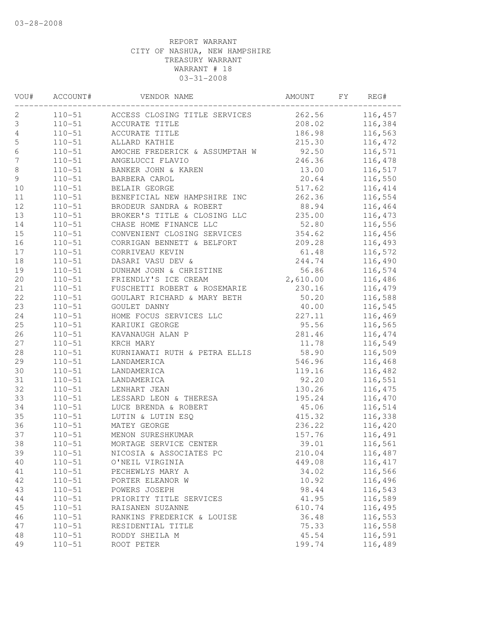| VOU#           | ACCOUNT#   | VENDOR NAME                                         | AMOUNT   | FY | REG#    |
|----------------|------------|-----------------------------------------------------|----------|----|---------|
| 2              |            | 110-51 ACCESS CLOSING TITLE SERVICES 262.56 116,457 |          |    |         |
| 3              | $110 - 51$ | ACCURATE TITLE                                      | 208.02   |    | 116,384 |
| $\sqrt{4}$     | $110 - 51$ | ACCURATE TITLE                                      | 186.98   |    | 116,563 |
| $\mathsf S$    | $110 - 51$ | ALLARD KATHIE                                       | 215.30   |    | 116,472 |
| $6\phantom{a}$ | $110 - 51$ | AMOCHE FREDERICK & ASSUMPTAH W                      | 92.50    |    | 116,571 |
| $\overline{7}$ | $110 - 51$ | ANGELUCCI FLAVIO                                    | 246.36   |    | 116,478 |
| $\,8\,$        | $110 - 51$ | BANKER JOHN & KAREN<br>BADDERA GILI                 | 13.00    |    | 116,517 |
| $\mathfrak{g}$ | $110 - 51$ | BARBERA CAROL                                       | 20.64    |    | 116,550 |
| 10             | $110 - 51$ | BELAIR GEORGE                                       | 517.62   |    | 116,414 |
| 11             | $110 - 51$ | BENEFICIAL NEW HAMPSHIRE INC                        | 262.36   |    | 116,554 |
| $12$           | $110 - 51$ | BRODEUR SANDRA & ROBERT                             | 88.94    |    | 116,464 |
| 13             | $110 - 51$ | BROKER'S TITLE & CLOSING LLC                        | 235.00   |    | 116,473 |
| 14             | $110 - 51$ | CHASE HOME FINANCE LLC                              | 52.80    |    | 116,556 |
| 15             | $110 - 51$ | CONVENIENT CLOSING SERVICES                         | 354.62   |    | 116,456 |
| 16             | $110 - 51$ | CORRIGAN BENNETT & BELFORT                          | 209.28   |    | 116,493 |
| 17             | $110 - 51$ | CORRIVEAU KEVIN                                     | 61.48    |    | 116,572 |
| 18             | $110 - 51$ | DASARI VASU DEV &                                   | 244.74   |    | 116,490 |
| 19             | $110 - 51$ | DUNHAM JOHN & CHRISTINE                             | 56.86    |    | 116,574 |
| 20             | $110 - 51$ | FRIENDLY'S ICE CREAM                                | 2,610.00 |    | 116,486 |
| 21             | $110 - 51$ | FUSCHETTI ROBERT & ROSEMARIE 230.16                 |          |    | 116,479 |
| 22             | $110 - 51$ | GOULART RICHARD & MARY BETH 50.20                   |          |    | 116,588 |
| 23             | $110 - 51$ | GOULET DANNY                                        | 40.00    |    | 116,545 |
| 24             | $110 - 51$ | HOME FOCUS SERVICES LLC                             | 227.11   |    | 116,469 |
| 25             | $110 - 51$ | KARIUKI GEORGE                                      | 95.56    |    | 116,565 |
| 26             | $110 - 51$ | KAVANAUGH ALAN P                                    | 281.46   |    | 116,474 |
| 27             | $110 - 51$ | KRCH MARY                                           | 11.78    |    | 116,549 |
| $2\,8$         | $110 - 51$ | KURNIAWATI RUTH & PETRA ELLIS 58.90                 |          |    | 116,509 |
| 29             | $110 - 51$ | LANDAMERICA                                         | 546.96   |    | 116,468 |
| 30             | $110 - 51$ | LANDAMERICA                                         | 119.16   |    | 116,482 |
| 31             | $110 - 51$ | LANDAMERICA                                         | 92.20    |    | 116,551 |
| 32             | $110 - 51$ | LENHART JEAN                                        | 130.26   |    | 116,475 |
| 33             | $110 - 51$ | LESSARD LEON & THERESA                              | 195.24   |    | 116,470 |
| 34             | $110 - 51$ | LUCE BRENDA & ROBERT                                | 45.06    |    | 116,514 |
| 35             | $110 - 51$ | LUTIN & LUTIN ESQ                                   | 415.32   |    | 116,338 |
| 36             | $110 - 51$ | MATEY GEORGE                                        | 236.22   |    | 116,420 |
| 37             | $110 - 51$ | MENON SURESHKUMAR                                   | 157.76   |    | 116,491 |
| 38             | $110 - 51$ | MORTAGE SERVICE CENTER                              | 39.01    |    | 116,561 |
| 39             | $110 - 51$ | NICOSIA & ASSOCIATES PC                             | 210.04   |    | 116,487 |
| 40             | $110 - 51$ | O'NEIL VIRGINIA                                     | 449.08   |    | 116,417 |
| 41             | $110 - 51$ | PECHEWLYS MARY A                                    | 34.02    |    | 116,566 |
| 42             | $110 - 51$ | PORTER ELEANOR W                                    | 10.92    |    | 116,496 |
| 43             | $110 - 51$ | POWERS JOSEPH                                       | 98.44    |    | 116,543 |
| 44             | $110 - 51$ | PRIORITY TITLE SERVICES                             | 41.95    |    | 116,589 |
| 45             | $110 - 51$ | RAISANEN SUZANNE                                    | 610.74   |    | 116,495 |
| 46             | $110 - 51$ | RANKINS FREDERICK & LOUISE                          | 36.48    |    | 116,553 |
| 47             | $110 - 51$ | RESIDENTIAL TITLE                                   | 75.33    |    | 116,558 |
| 48             | $110 - 51$ | RODDY SHEILA M                                      | 45.54    |    | 116,591 |
| 49             | $110 - 51$ | ROOT PETER                                          | 199.74   |    | 116,489 |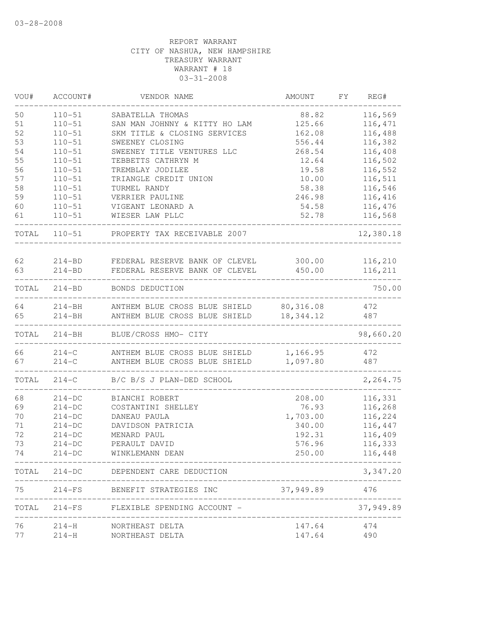| VOU#  | ACCOUNT#   | VENDOR NAME                                    | <b>AMOUNT</b>    | FY | REG#                      |
|-------|------------|------------------------------------------------|------------------|----|---------------------------|
| 50    | $110 - 51$ | SABATELLA THOMAS                               | 88.82            |    | 116,569                   |
| 51    | $110 - 51$ | SAN MAN JOHNNY & KITTY HO LAM                  | 125.66           |    | 116,471                   |
| 52    | $110 - 51$ | SKM TITLE & CLOSING SERVICES                   | 162.08           |    | 116,488                   |
| 53    | $110 - 51$ | SWEENEY CLOSING                                | 556.44           |    | 116,382                   |
| 54    | $110 - 51$ | SWEENEY TITLE VENTURES LLC                     | 268.54           |    | 116,408                   |
| 55    | $110 - 51$ | TEBBETTS CATHRYN M                             | 12.64            |    | 116,502                   |
| 56    | $110 - 51$ | TREMBLAY JODILEE                               | 19.58            |    | 116,552                   |
| 57    | $110 - 51$ | TRIANGLE CREDIT UNION                          | 10.00            |    | 116,511                   |
| 58    | $110 - 51$ | TURMEL RANDY                                   | 58.38            |    | 116,546                   |
| 59    | $110 - 51$ | VERRIER PAULINE                                | 246.98           |    | 116,416                   |
| 60    | $110 - 51$ | VIGEANT LEONARD A                              | 54.58            |    | 116,476                   |
| 61    | $110 - 51$ | WIESER LAW PLLC                                | 52.78            |    | 116,568                   |
| TOTAL | $110 - 51$ | PROPERTY TAX RECEIVABLE 2007                   |                  |    | 12,380.18                 |
|       |            |                                                |                  |    |                           |
| 62    | $214 - BD$ | FEDERAL RESERVE BANK OF CLEVEL                 | 300.00<br>450.00 |    | 116,210<br>116,211        |
| 63    | $214 - BD$ | FEDERAL RESERVE BANK OF CLEVEL                 |                  |    |                           |
| TOTAL |            | 214-BD BONDS DEDUCTION                         |                  |    | 750.00                    |
| 64    |            | 214-BH ANTHEM BLUE CROSS BLUE SHIELD 80,316.08 |                  |    | 472                       |
| 65    | $214 - BH$ | ANTHEM BLUE CROSS BLUE SHIELD                  | 18,344.12        |    | 487                       |
| TOTAL | $214 - BH$ | BLUE/CROSS HMO- CITY                           |                  |    | 98,660.20                 |
| 66    |            | 214-C ANTHEM BLUE CROSS BLUE SHIELD            | 1,166.95         |    | 472                       |
| 67    | $214-C$    | ANTHEM BLUE CROSS BLUE SHIELD                  | 1,097.80         |    | 487                       |
| TOTAL | $214-C$    | B/C B/S J PLAN-DED SCHOOL                      |                  |    | 2,264.75                  |
| 68    | $214-DC$   | BIANCHI ROBERT                                 | 208.00           |    | 116,331                   |
| 69    | $214-DC$   | COSTANTINI SHELLEY                             | 76.93            |    | 116,268                   |
| 70    | $214-DC$   | DANEAU PAULA                                   | 1,703.00         |    | 116,224                   |
| 71    | $214-DC$   | DAVIDSON PATRICIA                              | 340.00           |    | 116,447                   |
| 72    | $214-DC$   | MENARD PAUL                                    | 192.31           |    | 116,409                   |
| 73    | $214-DC$   | PERAULT DAVID                                  | 576.96           |    | 116,333                   |
| 74    | $214-DC$   | WINKLEMANN DEAN                                | 250.00           |    | 116,448                   |
|       |            | TOTAL 214-DC DEPENDENT CARE DEDUCTION          |                  |    | 3,347.20                  |
| 75    |            | 214-FS BENEFIT STRATEGIES INC                  | 37,949.89        |    | 476                       |
| TOTAL |            | 214-FS FLEXIBLE SPENDING ACCOUNT -             |                  |    | ------------<br>37,949.89 |
| 76    |            | 214-H NORTHEAST DELTA                          | 147.64           |    | 474                       |
| 77    | $214 - H$  | NORTHEAST DELTA                                | 147.64           |    | 490                       |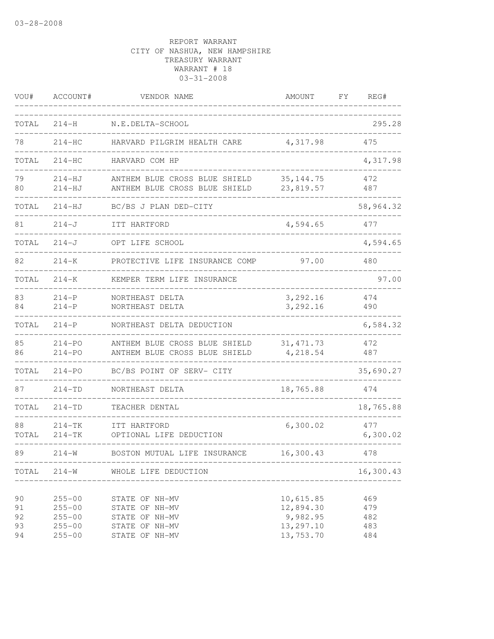| VOU#                       | ACCOUNT#                                                           | VENDOR NAME                                                                            | AMOUNT                                                       | FΥ | REG#                            |
|----------------------------|--------------------------------------------------------------------|----------------------------------------------------------------------------------------|--------------------------------------------------------------|----|---------------------------------|
| TOTAL                      | $214 - H$                                                          | N.E.DELTA-SCHOOL                                                                       |                                                              |    | 295.28                          |
| 78                         | $214-HC$                                                           | HARVARD PILGRIM HEALTH CARE                                                            | 4,317.98                                                     |    | 475                             |
| TOTAL                      | $214-HC$                                                           | HARVARD COM HP                                                                         |                                                              |    | 4,317.98                        |
| 79<br>80                   | $214 - HJ$<br>$214 - HJ$                                           | ANTHEM BLUE CROSS BLUE SHIELD<br>ANTHEM BLUE CROSS BLUE SHIELD                         | 35, 144.75<br>23,819.57                                      |    | 472<br>487                      |
| TOTAL                      | $214 - HJ$                                                         | BC/BS J PLAN DED-CITY                                                                  |                                                              |    | 58,964.32                       |
| 81                         | $214 - J$                                                          | ITT HARTFORD                                                                           | 4,594.65                                                     |    | 477                             |
| TOTAL                      | $214 - J$                                                          | OPT LIFE SCHOOL                                                                        |                                                              |    | 4,594.65                        |
| 82                         | $214 - K$                                                          | PROTECTIVE LIFE INSURANCE COMP                                                         | 97.00                                                        |    | 480                             |
| TOTAL                      | $214 - K$                                                          | KEMPER TERM LIFE INSURANCE                                                             |                                                              |    | 97.00                           |
| 83<br>84                   | $214-P$<br>$214-P$                                                 | NORTHEAST DELTA<br>NORTHEAST DELTA                                                     | 3,292.16<br>3,292.16                                         |    | 474<br>490                      |
| TOTAL                      | $214-P$                                                            | NORTHEAST DELTA DEDUCTION                                                              |                                                              |    | 6,584.32                        |
| 85<br>86                   | $214 - PO$<br>$214 - PO$                                           | ANTHEM BLUE CROSS BLUE SHIELD<br>ANTHEM BLUE CROSS BLUE SHIELD                         | 31, 471.73<br>4,218.54                                       |    | 472<br>487                      |
| TOTAL                      | $214 - PO$                                                         | BC/BS POINT OF SERV- CITY                                                              |                                                              |    | 35,690.27                       |
| 87                         | $214 - TD$                                                         | NORTHEAST DELTA                                                                        | 18,765.88                                                    |    | 474                             |
| TOTAL                      | $214 - TD$                                                         | TEACHER DENTAL                                                                         |                                                              |    | 18,765.88                       |
| 88<br>TOTAL                | $214 - TK$<br>214-TK                                               | ITT HARTFORD<br>OPTIONAL LIFE DEDUCTION                                                | 6,300.02                                                     |    | 477<br>6,300.02                 |
| 89                         | $214 - W$                                                          | BOSTON MUTUAL LIFE INSURANCE                                                           | 16,300.43                                                    |    | 478                             |
|                            | ----------------                                                   | TOTAL 214-W WHOLE LIFE DEDUCTION                                                       |                                                              |    | 16,300.43                       |
| 90<br>91<br>92<br>93<br>94 | $255 - 00$<br>$255 - 00$<br>$255 - 00$<br>$255 - 00$<br>$255 - 00$ | STATE OF NH-MV<br>STATE OF NH-MV<br>STATE OF NH-MV<br>STATE OF NH-MV<br>STATE OF NH-MV | 10,615.85<br>12,894.30<br>9,982.95<br>13,297.10<br>13,753.70 |    | 469<br>479<br>482<br>483<br>484 |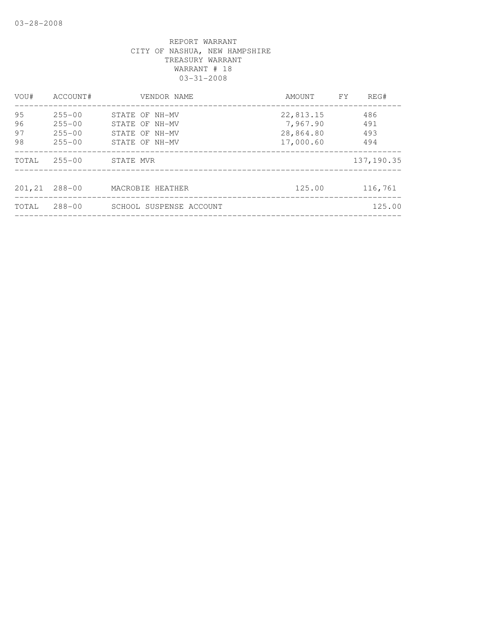| VOU#           | ACCOUNT#                               | VENDOR NAME                                        | AMOUNT                             | FY. | REG#              |
|----------------|----------------------------------------|----------------------------------------------------|------------------------------------|-----|-------------------|
| 95<br>96<br>97 | $255 - 00$<br>$255 - 00$<br>$255 - 00$ | STATE OF NH-MV<br>STATE OF NH-MV<br>STATE OF NH-MV | 22,813.15<br>7,967.90<br>28,864.80 |     | 486<br>491<br>493 |
| 98             | $255 - 00$                             | STATE OF NH-MV                                     | 17,000.60                          |     | 494               |
| TOTAL          | $255 - 00$                             | STATE MVR                                          |                                    |     | 137, 190.35       |
| 201,21         | $288 - 00$                             | MACROBIE HEATHER                                   | 125.00                             |     | 116,761           |
| TOTAL          | $288 - 00$                             | SCHOOL SUSPENSE ACCOUNT                            |                                    |     | 125.00            |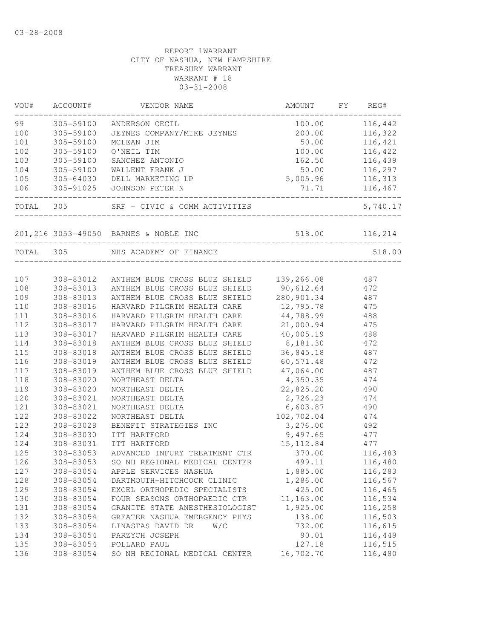| VOU#      | ACCOUNT#      | VENDOR NAME                                 | AMOUNT         | FY | REG#               |
|-----------|---------------|---------------------------------------------|----------------|----|--------------------|
| 99 7      | 305-59100     | ANDERSON CECIL                              | 100.00         |    | 116,442            |
| 100       | 305-59100     | JEYNES COMPANY/MIKE JEYNES                  | 200.00         |    | 116,322            |
| 101       | 305-59100     | MCLEAN JIM                                  | 50.00          |    | 116,421            |
| 102       | 305-59100     | O'NEIL TIM                                  | 100.00         |    | 116,422            |
| 103       | 305-59100     | SANCHEZ ANTONIO                             | 162.50         |    | 116,439            |
| 104       | 305-59100     | WALLENT FRANK J                             | 50.00          |    | 116,297            |
| 105       | $305 - 64030$ | DELL MARKETING LP                           | 5,005.96       |    | 116,313            |
| 106       | $305 - 91025$ | JOHNSON PETER N                             | 71.71          |    | 116,467            |
| TOTAL 305 |               | SRF - CIVIC & COMM ACTIVITIES               |                |    | 5,740.17           |
|           |               | 201,216 3053-49050 BARNES & NOBLE INC       | 518.00         |    | 116,214            |
| TOTAL     | 305           | NHS ACADEMY OF FINANCE                      |                |    | 518.00             |
|           |               |                                             |                |    |                    |
| 107       |               | 308-83012 ANTHEM BLUE CROSS BLUE SHIELD     | 139,266.08 487 |    |                    |
| 108       | 308-83013     | ANTHEM BLUE CROSS BLUE SHIELD 90,612.64 472 |                |    |                    |
| 109       | 308-83013     | ANTHEM BLUE CROSS BLUE SHIELD               | 280,901.34     |    | 487                |
| 110       | 308-83016     | HARVARD PILGRIM HEALTH CARE                 | 12,795.78      |    | 475                |
| 111       | 308-83016     | HARVARD PILGRIM HEALTH CARE                 | 44,788.99      |    | 488                |
| 112       | 308-83017     | HARVARD PILGRIM HEALTH CARE                 | 21,000.94      |    | 475                |
| 113       | 308-83017     | HARVARD PILGRIM HEALTH CARE                 | 40,005.19      |    | 488                |
| 114       | 308-83018     | ANTHEM BLUE CROSS BLUE SHIELD               | 8,181.30       |    | 472                |
| 115       | 308-83018     | ANTHEM BLUE CROSS BLUE SHIELD               | 36,845.18      |    | 487                |
| 116       | 308-83019     | ANTHEM BLUE CROSS BLUE SHIELD               | 60, 571.48     |    | 472                |
| 117       | 308-83019     | ANTHEM BLUE CROSS BLUE SHIELD               | 47,064.00      |    | 487                |
| 118       | 308-83020     | NORTHEAST DELTA                             | 4,350.35       |    | 474                |
| 119       | 308-83020     | NORTHEAST DELTA                             | 22,825.20      |    | 490                |
| 120       | 308-83021     | NORTHEAST DELTA                             | 2,726.23       |    | 474                |
| 121       | 308-83021     | NORTHEAST DELTA                             | 6,603.87       |    | 490                |
| 122       | 308-83022     | NORTHEAST DELTA                             | 102,702.04     |    | 474                |
| 123       | 308-83028     | BENEFIT STRATEGIES INC                      | 3,276.00       |    | 492                |
| 124       | 308-83030     | ITT HARTFORD                                | 9,497.65       |    | 477                |
| 124       | 308-83031     | ITT HARTFORD                                | 15, 112.84     |    | 477                |
| 125       | 308-83053     | ADVANCED INFURY TREATMENT CTR               | 370.00         |    | 116,483            |
| 126       | 308-83053     | SO NH REGIONAL MEDICAL CENTER               | 499.11         |    | 116,480            |
| 127       | 308-83054     | APPLE SERVICES NASHUA                       | 1,885.00       |    | 116,283            |
| 128       | 308-83054     | DARTMOUTH-HITCHCOCK CLINIC                  | 1,286.00       |    | 116,567            |
| 129       | 308-83054     | EXCEL ORTHOPEDIC SPECIALISTS                | 425.00         |    | 116,465            |
| 130       | 308-83054     | FOUR SEASONS ORTHOPAEDIC CTR                | 11,163.00      |    | 116,534            |
| 131       | 308-83054     | GRANITE STATE ANESTHESIOLOGIST              | 1,925.00       |    | 116,258            |
| 132       | 308-83054     | GREATER NASHUA EMERGENCY PHYS               | 138.00         |    | 116,503            |
| 133       | 308-83054     | LINASTAS DAVID DR<br>W/C                    |                |    | 116,615            |
| 134       | 308-83054     | PARZYCH JOSEPH                              | 732.00         |    |                    |
| 135       | 308-83054     | POLLARD PAUL                                | 90.01          |    | 116,449<br>116,515 |
|           |               |                                             | 127.18         |    |                    |
| 136       | 308-83054     | SO NH REGIONAL MEDICAL CENTER               | 16,702.70      |    | 116,480            |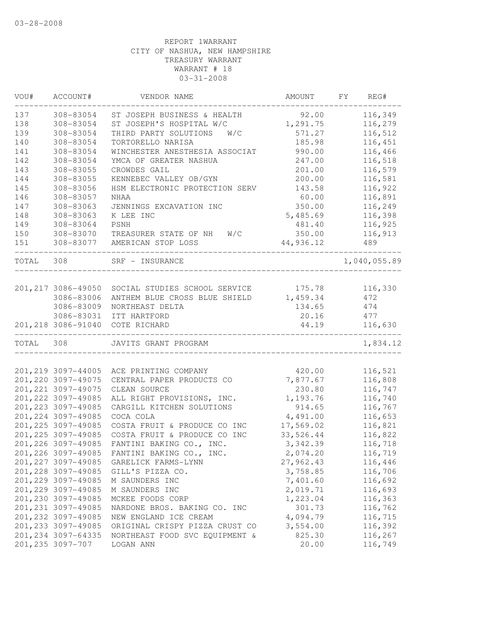| VOU#      | ACCOUNT#            | VENDOR NAME                    | AMOUNT    | FY | REG#         |
|-----------|---------------------|--------------------------------|-----------|----|--------------|
| 137       | 308-83054           | ST JOSEPH BUSINESS & HEALTH    | 92.00     |    | 116,349      |
| 138       | 308-83054           | ST JOSEPH'S HOSPITAL W/C       | 1,291.75  |    | 116,279      |
| 139       | 308-83054           | THIRD PARTY SOLUTIONS<br>W/C   | 571.27    |    | 116,512      |
| 140       | 308-83054           | TORTORELLO NARISA              | 185.98    |    | 116,451      |
| 141       | 308-83054           | WINCHESTER ANESTHESIA ASSOCIAT | 990.00    |    | 116,466      |
| 142       | 308-83054           | YMCA OF GREATER NASHUA         | 247.00    |    | 116,518      |
| 143       | 308-83055           | CROWDES GAIL                   | 201.00    |    | 116,579      |
| 144       | 308-83055           | KENNEBEC VALLEY OB/GYN         | 200.00    |    | 116,581      |
| 145       | 308-83056           | HSM ELECTRONIC PROTECTION SERV | 143.58    |    | 116,922      |
| 146       | 308-83057           | <b>NHAA</b>                    | 60.00     |    | 116,891      |
| 147       | 308-83063           | JENNINGS EXCAVATION INC        | 350.00    |    | 116,249      |
| 148       | 308-83063           | K LEE INC                      | 5,485.69  |    | 116,398      |
| 149       | 308-83064           | PSNH                           | 481.40    |    | 116,925      |
| 150       | 308-83070           | TREASURER STATE OF NH<br>W/C   | 350.00    |    | 116,913      |
| 151       | 308-83077           | AMERICAN STOP LOSS             | 44,936.12 |    | 489          |
|           |                     |                                |           |    |              |
| TOTAL 308 |                     | SRF - INSURANCE                |           |    | 1,040,055.89 |
|           |                     |                                |           |    |              |
|           | 201, 217 3086-49050 | SOCIAL STUDIES SCHOOL SERVICE  | 175.78    |    | 116,330      |
|           | 3086-83006          | ANTHEM BLUE CROSS BLUE SHIELD  | 1,459.34  |    | 472          |
|           | 3086-83009          | NORTHEAST DELTA                | 134.65    |    | 474          |
|           | 3086-83031          | ITT HARTFORD                   | 20.16     |    | 477          |
|           | 201, 218 3086-91040 | COTE RICHARD                   | 44.19     |    | 116,630      |
| TOTAL 308 |                     | JAVITS GRANT PROGRAM           |           |    | 1,834.12     |
|           |                     |                                |           |    |              |
|           | 201,219 3097-44005  | ACE PRINTING COMPANY           | 420.00    |    | 116,521      |
|           | 201, 220 3097-49075 | CENTRAL PAPER PRODUCTS CO      | 7,877.67  |    | 116,808      |
|           | 201, 221 3097-49075 | CLEAN SOURCE                   | 230.80    |    | 116,747      |
|           | 201, 222 3097-49085 | ALL RIGHT PROVISIONS, INC.     | 1,193.76  |    | 116,740      |
|           | 201, 223 3097-49085 | CARGILL KITCHEN SOLUTIONS      | 914.65    |    | 116,767      |
|           | 201, 224 3097-49085 | COCA COLA                      | 4,491.00  |    | 116,653      |
|           | 201, 225 3097-49085 | COSTA FRUIT & PRODUCE CO INC   | 17,569.02 |    | 116,821      |
|           | 201, 225 3097-49085 | COSTA FRUIT & PRODUCE CO INC   | 33,526.44 |    | 116,822      |
|           | 201, 226 3097-49085 | FANTINI BAKING CO., INC.       | 3,342.39  |    | 116,718      |
|           | 201, 226 3097-49085 | FANTINI BAKING CO., INC.       | 2,074.20  |    | 116,719      |
|           | 201, 227 3097-49085 | GARELICK FARMS-LYNN            | 27,962.43 |    | 116,446      |
|           | 201, 228 3097-49085 | GILL'S PIZZA CO.               | 3,758.85  |    | 116,706      |
|           | 201, 229 3097-49085 | M SAUNDERS INC                 | 7,401.60  |    | 116,692      |
|           | 201, 229 3097-49085 | M SAUNDERS INC                 | 2,019.71  |    | 116,693      |
|           | 201,230 3097-49085  | MCKEE FOODS CORP               | 1,223.04  |    | 116,363      |
|           | 201, 231 3097-49085 | NARDONE BROS. BAKING CO. INC   | 301.73    |    | 116,762      |
|           | 201, 232 3097-49085 | NEW ENGLAND ICE CREAM          | 4,094.79  |    | 116,715      |
|           | 201, 233 3097-49085 | ORIGINAL CRISPY PIZZA CRUST CO | 3,554.00  |    | 116,392      |
|           | 201, 234 3097-64335 | NORTHEAST FOOD SVC EQUIPMENT & | 825.30    |    | 116,267      |
|           | 201, 235 3097-707   | LOGAN ANN                      | 20.00     |    | 116,749      |
|           |                     |                                |           |    |              |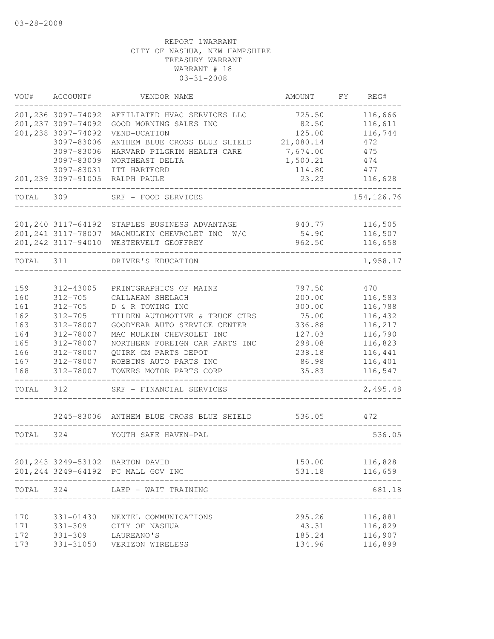| WOU#  | ACCOUNT#            | VENDOR NAME                        | AMOUNT    | FY | REG#        |
|-------|---------------------|------------------------------------|-----------|----|-------------|
|       | 201,236 3097-74092  | AFFILIATED HVAC SERVICES LLC       | 725.50    |    | 116,666     |
|       | 201, 237 3097-74092 | GOOD MORNING SALES INC             | 82.50     |    | 116,611     |
|       | 201, 238 3097-74092 | VEND-UCATION                       | 125.00    |    | 116,744     |
|       | 3097-83006          | ANTHEM BLUE CROSS BLUE SHIELD      | 21,080.14 |    | 472         |
|       | 3097-83006          | HARVARD PILGRIM HEALTH CARE        | 7,674.00  |    | 475         |
|       | 3097-83009          | NORTHEAST DELTA                    | 1,500.21  |    | 474         |
|       | 3097-83031          | ITT HARTFORD                       | 114.80    |    | 477         |
|       | 201,239 3097-91005  | RALPH PAULE                        | 23.23     |    | 116,628     |
| TOTAL | 309                 | SRF - FOOD SERVICES                |           |    | 154, 126.76 |
|       |                     |                                    |           |    |             |
|       | 201, 240 3117-64192 | STAPLES BUSINESS ADVANTAGE         | 940.77    |    | 116,505     |
|       | 201, 241 3117-78007 | MACMULKIN CHEVROLET INC<br>W/C     | 54.90     |    | 116,507     |
|       | 201, 242 3117-94010 | WESTERVELT GEOFFREY                | 962.50    |    | 116,658     |
| TOTAL | 311                 | DRIVER'S EDUCATION                 |           |    | 1,958.17    |
|       |                     |                                    |           |    |             |
| 159   | 312-43005           | PRINTGRAPHICS OF MAINE             | 797.50    |    | 470         |
| 160   | $312 - 705$         | CALLAHAN SHELAGH                   | 200.00    |    | 116,583     |
| 161   | $312 - 705$         | D & R TOWING INC                   | 300.00    |    | 116,788     |
| 162   | $312 - 705$         | TILDEN AUTOMOTIVE & TRUCK CTRS     | 75.00     |    | 116,432     |
| 163   | 312-78007           | GOODYEAR AUTO SERVICE CENTER       | 336.88    |    | 116,217     |
| 164   | 312-78007           | MAC MULKIN CHEVROLET INC           | 127.03    |    | 116,790     |
| 165   | 312-78007           | NORTHERN FOREIGN CAR PARTS INC     | 298.08    |    | 116,823     |
| 166   | 312-78007           | QUIRK GM PARTS DEPOT               | 238.18    |    | 116,441     |
| 167   | 312-78007           | ROBBINS AUTO PARTS INC             | 86.98     |    | 116,401     |
| 168   | 312-78007           | TOWERS MOTOR PARTS CORP            | 35.83     |    | 116,547     |
| TOTAL | 312                 | SRF - FINANCIAL SERVICES           |           |    | 2,495.48    |
|       | 3245-83006          | ANTHEM BLUE CROSS BLUE SHIELD      | 536.05    |    | 472         |
| TOTAL | 324                 | YOUTH SAFE HAVEN-PAL               |           |    | 536.05      |
|       |                     |                                    |           |    |             |
|       |                     | 201,243 3249-53102 BARTON DAVID    | 150.00    |    | 116,828     |
|       |                     | 201,244 3249-64192 PC MALL GOV INC | 531.18    |    | 116,659     |
| TOTAL | 324                 | LAEP - WAIT TRAINING               |           |    | 681.18      |
| 170   | 331-01430           |                                    | 295.26    |    |             |
|       |                     | NEXTEL COMMUNICATIONS              | 43.31     |    | 116,881     |
| 171   | 331-309             | CITY OF NASHUA                     |           |    | 116,829     |
| 172   | $331 - 309$         | LAUREANO'S                         | 185.24    |    | 116,907     |
| 173   | 331-31050           | VERIZON WIRELESS                   | 134.96    |    | 116,899     |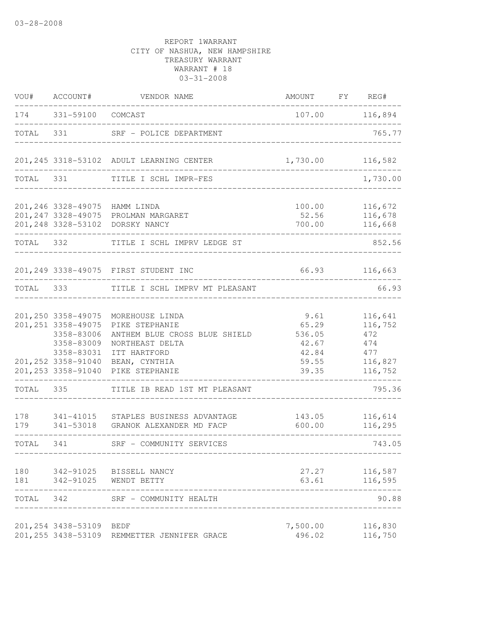| VOU#       | ACCOUNT#                                                                                                                          | VENDOR NAME                                                                                                                              | AMOUNT FY REG#                                              |                                                               |
|------------|-----------------------------------------------------------------------------------------------------------------------------------|------------------------------------------------------------------------------------------------------------------------------------------|-------------------------------------------------------------|---------------------------------------------------------------|
|            | 174 331-59100 COMCAST                                                                                                             | _________________________________                                                                                                        |                                                             | 107.00 116,894                                                |
| TOTAL      | 331                                                                                                                               | SRF - POLICE DEPARTMENT<br>_______________________                                                                                       |                                                             | 765.77                                                        |
|            |                                                                                                                                   | 201, 245 3318-53102 ADULT LEARNING CENTER                                                                                                | 1,730.00                                                    | 116,582                                                       |
| TOTAL 331  |                                                                                                                                   | TITLE I SCHL IMPR-FES                                                                                                                    |                                                             | 1,730.00                                                      |
|            |                                                                                                                                   | 201,246 3328-49075 HAMM LINDA<br>201, 247 3328-49075 PROLMAN MARGARET<br>201,248 3328-53102 DORSKY NANCY                                 | 100.00<br>52.56<br>700.00                                   | 116,672<br>116,678<br>116,668                                 |
| TOTAL 332  |                                                                                                                                   | TITLE I SCHL IMPRV LEDGE ST                                                                                                              |                                                             | 852.56                                                        |
|            |                                                                                                                                   | 201, 249 3338-49075 FIRST STUDENT INC                                                                                                    |                                                             | 66.93 116,663                                                 |
| TOTAL 333  |                                                                                                                                   | TITLE I SCHL IMPRV MT PLEASANT                                                                                                           |                                                             | 66.93                                                         |
|            | 201,250 3358-49075<br>201, 251 3358-49075<br>3358-83006<br>3358-83009<br>3358-83031<br>201, 252 3358-91040<br>201, 253 3358-91040 | MOREHOUSE LINDA<br>PIKE STEPHANIE<br>ANTHEM BLUE CROSS BLUE SHIELD<br>NORTHEAST DELTA<br>ITT HARTFORD<br>BEAN, CYNTHIA<br>PIKE STEPHANIE | 9.61<br>65.29<br>536.05<br>42.67<br>42.84<br>59.55<br>39.35 | 116,641<br>116,752<br>472<br>474<br>477<br>116,827<br>116,752 |
|            | TOTAL 335                                                                                                                         | TITLE IB READ 1ST MT PLEASANT                                                                                                            |                                                             | 795.36                                                        |
| 179        |                                                                                                                                   | 178 341-41015 STAPLES BUSINESS ADVANTAGE<br>341-53018 GRANOK ALEXANDER MD FACP                                                           | 143.05<br>600.00                                            | 116,614<br>116,295                                            |
| TOTAL 341  |                                                                                                                                   | SRF - COMMUNITY SERVICES                                                                                                                 | ____________________________________                        | 743.05                                                        |
| 180<br>181 | 342-91025<br>342-91025                                                                                                            | BISSELL NANCY<br>WENDT BETTY                                                                                                             | 27.27<br>63.61                                              | 116,587<br>116,595                                            |
| TOTAL      | 342                                                                                                                               | SRF - COMMUNITY HEALTH                                                                                                                   |                                                             | 90.88                                                         |
|            | 201, 254 3438-53109<br>201, 255 3438-53109                                                                                        | BEDF<br>REMMETTER JENNIFER GRACE                                                                                                         | 7,500.00<br>496.02                                          | 116,830<br>116,750                                            |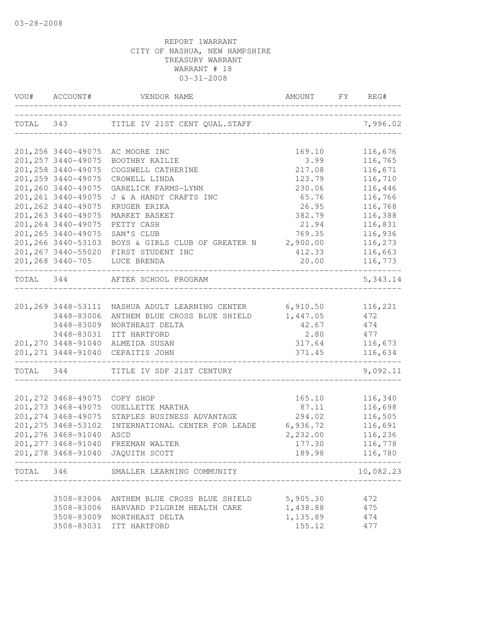| VOU# ACCOUNT#                     | VENDOR NAME                                                      | AMOUNT                      | FY REG#            |
|-----------------------------------|------------------------------------------------------------------|-----------------------------|--------------------|
|                                   | TOTAL 343 TITLE IV 21ST CENT QUAL.STAFF                          | __________________________  | 7,996.02           |
|                                   | 201,256 3440-49075 AC MOORE INC                                  | 169.10                      | 116,676            |
| 201, 257 3440-49075               | BOOTHBY KAILIE                                                   | 3.99                        | 116,765            |
| 201, 258 3440-49075               | COGSWELL CATHERINE                                               | 217.08                      | 116,671            |
| 201,259 3440-49075                | CROWELL LINDA                                                    | 123.79                      | 116,710            |
| 201,260 3440-49075                | GARELICK FARMS-LYNN                                              | 230.06                      | 116,446            |
| 201, 261 3440-49075               | J & A HANDY CRAFTS INC                                           | 65.76                       | 116,766            |
| 201, 262 3440-49075               | KRUGER ERIKA                                                     | 26.95                       | 116,768            |
| 201, 263 3440-49075               | MARKET BASKET                                                    | 382.79                      | 116,388            |
| 201, 264 3440-49075               | PETTY CASH                                                       | 21.94                       | 116,831            |
| 201, 265 3440-49075               | SAM'S CLUB                                                       | 769.35                      | 116,936            |
| 201,266 3440-53103                | BOYS & GIRLS CLUB OF GREATER N 2,900.00                          |                             | 116,273            |
|                                   | 201,267 3440-55020 FIRST STUDENT INC                             | 412.33                      | 116,663            |
|                                   | 201,268 3440-705 LUCE BRENDA                                     | 20.00                       | 116,773            |
| TOTAL 344                         | AFTER SCHOOL PROGRAM<br>-------------------                      |                             | 5,343.14           |
|                                   |                                                                  |                             |                    |
|                                   | 201,269 3448-53111 NASHUA ADULT LEARNING CENTER 6,910.50 116,221 |                             |                    |
| 3448-83006                        | ANTHEM BLUE CROSS BLUE SHIELD<br>NORTHEAST DELTA                 | 1,447.05<br>42.67           | 472<br>474         |
| 3448-83009                        |                                                                  |                             | 477                |
|                                   | 3448-83031 ITT HARTFORD<br>201, 270 3448-91040 ALMEIDA SUSAN     | 2.80<br>317.64              | 116,673            |
|                                   | 201, 271 3448-91040 CEPAITIS JOHN                                | 371.45                      | 116,634            |
| _________________________________ | TOTAL 344 TITLE IV SDF 21ST CENTURY                              | ___________________________ | 9,092.11           |
|                                   |                                                                  |                             |                    |
| 201, 272 3468-49075               | COPY SHOP                                                        | 165.10                      | 116,340            |
| 201, 273 3468-49075               | OUELLETTE MARTHA                                                 | 87.11                       | 116,698            |
| 201, 274 3468-49075               | STAPLES BUSINESS ADVANTAGE                                       | 294.02                      | 116,505            |
| 201, 275 3468-53102               | INTERNATIONAL CENTER FOR LEADE                                   | 6,936.72                    | 116,691            |
| 201, 276 3468-91040               | ASCD                                                             | 2,232.00                    | 116,236            |
| 201, 277 3468-91040               | FREEMAN WALTER<br>201,278 3468-91040 JAQUITH SCOTT               | 177.30<br>189.98            | 116,778<br>116,780 |
|                                   |                                                                  |                             |                    |
|                                   | TOTAL 346 SMALLER LEARNING COMMUNITY                             |                             | 10,082.23          |
|                                   | 3508-83006 ANTHEM BLUE CROSS BLUE SHIELD                         | 5,905.30                    | 472                |
|                                   | 3508-83006 HARVARD PILGRIM HEALTH CARE                           | 1,438.88                    | 475                |
|                                   | 3508-83009 NORTHEAST DELTA                                       | 1,135.89                    | 474                |
| 3508-83031                        | ITT HARTFORD                                                     | 155.12                      | 477                |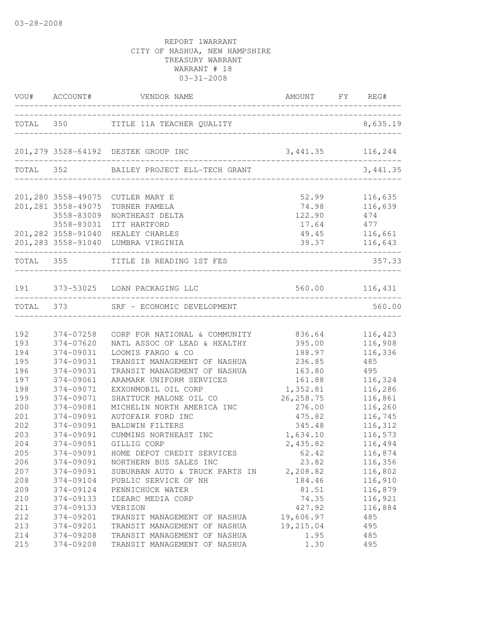| ------------------------------<br>TOTAL 350<br>TITLE 11A TEACHER QUALITY<br>____________________________<br>201,279 3528-64192 DESTEK GROUP INC<br>3, 441.35 116, 244<br>TOTAL 352 BAILEY PROJECT ELL-TECH GRANT<br>201,280 3558-49075 CUTLER MARY E<br>52.99<br>116,635<br>201, 281 3558-49075<br>116,639<br>74.98<br>TURNER PAMELA<br>3558-83009<br>NORTHEAST DELTA<br>122.90<br>474<br>3558-83031<br>ITT HARTFORD<br>17.64<br>477<br>49.45<br>201, 282 3558-91040 HEALEY CHARLES<br>116,661<br>39.37 116,643<br>201,283 3558-91040 LUMBRA VIRGINIA<br>------------------------------<br>TOTAL 355<br>TITLE IB READING 1ST FES<br>191 373-53025 LOAN PACKAGING LLC<br>560.00 116,431<br>560.00<br>TOTAL 373<br>SRF - ECONOMIC DEVELOPMENT<br>192<br>374-07258<br>836.64<br>116,423<br>CORP FOR NATIONAL & COMMUNITY<br>193<br>116,908<br>374-07620<br>NATL ASSOC OF LEAD & HEALTHY<br>395.00<br>194<br>374-09031<br>LOOMIS FARGO & CO<br>188.97<br>116,336<br>195<br>374-09031<br>TRANSIT MANAGEMENT OF NASHUA<br>485<br>236.85<br>196<br>374-09031<br>TRANSIT MANAGEMENT OF NASHUA<br>163.80<br>495<br>197<br>374-09061<br>ARAMARK UNIFORM SERVICES<br>161.88<br>116,324<br>1,352.81<br>198<br>374-09071<br>116,286<br>EXXONMOBIL OIL CORP<br>199<br>26, 258.75<br>116,861<br>374-09071<br>SHATTUCK MALONE OIL CO<br>200<br>374-09081<br>116,260<br>MICHELIN NORTH AMERICA INC<br>276.00<br>201<br>374-09091<br>AUTOFAIR FORD INC<br>475.82<br>116,745<br>202<br>374-09091<br><b>BALDWIN FILTERS</b><br>345.48<br>116,312<br>203<br>374-09091<br>CUMMINS NORTHEAST INC<br>1,634.10<br>116,573<br>204<br>374-09091<br>2,435.82<br>116,494<br>GILLIG CORP<br>205<br>HOME DEPOT CREDIT SERVICES<br>374-09091<br>62.42<br>116,874<br>206<br>374-09091<br>23.82<br>116,356<br>NORTHERN BUS SALES INC<br>207<br>374-09091<br>2,208.82<br>116,802<br>SUBURBAN AUTO & TRUCK PARTS IN<br>208<br>374-09104<br>184.46<br>116,910<br>PUBLIC SERVICE OF NH<br>209<br>374-09124<br>PENNICHUCK WATER<br>81.51<br>116,879<br>210<br>374-09133<br>IDEARC MEDIA CORP<br>74.35<br>116,921<br>211<br>374-09133<br>VERIZON<br>427.92<br>116,884<br>212<br>19,606.97<br>374-09201<br>485<br>TRANSIT MANAGEMENT OF NASHUA<br>213<br>374-09201<br>19,215.04<br>495<br>TRANSIT MANAGEMENT OF NASHUA<br>214<br>374-09208<br>TRANSIT MANAGEMENT OF NASHUA<br>1.95<br>485 |     | VOU# ACCOUNT# | VENDOR NAME                  | AMOUNT FY REG# |           |
|--------------------------------------------------------------------------------------------------------------------------------------------------------------------------------------------------------------------------------------------------------------------------------------------------------------------------------------------------------------------------------------------------------------------------------------------------------------------------------------------------------------------------------------------------------------------------------------------------------------------------------------------------------------------------------------------------------------------------------------------------------------------------------------------------------------------------------------------------------------------------------------------------------------------------------------------------------------------------------------------------------------------------------------------------------------------------------------------------------------------------------------------------------------------------------------------------------------------------------------------------------------------------------------------------------------------------------------------------------------------------------------------------------------------------------------------------------------------------------------------------------------------------------------------------------------------------------------------------------------------------------------------------------------------------------------------------------------------------------------------------------------------------------------------------------------------------------------------------------------------------------------------------------------------------------------------------------------------------------------------------------------------------------------------------------------------------------------------------------------------------------------------------------------------------------------------------------------------------------------------------------------------------------------------------------------------------------------------------|-----|---------------|------------------------------|----------------|-----------|
|                                                                                                                                                                                                                                                                                                                                                                                                                                                                                                                                                                                                                                                                                                                                                                                                                                                                                                                                                                                                                                                                                                                                                                                                                                                                                                                                                                                                                                                                                                                                                                                                                                                                                                                                                                                                                                                                                                                                                                                                                                                                                                                                                                                                                                                                                                                                                  |     |               |                              |                | 8,635.19  |
|                                                                                                                                                                                                                                                                                                                                                                                                                                                                                                                                                                                                                                                                                                                                                                                                                                                                                                                                                                                                                                                                                                                                                                                                                                                                                                                                                                                                                                                                                                                                                                                                                                                                                                                                                                                                                                                                                                                                                                                                                                                                                                                                                                                                                                                                                                                                                  |     |               |                              |                |           |
|                                                                                                                                                                                                                                                                                                                                                                                                                                                                                                                                                                                                                                                                                                                                                                                                                                                                                                                                                                                                                                                                                                                                                                                                                                                                                                                                                                                                                                                                                                                                                                                                                                                                                                                                                                                                                                                                                                                                                                                                                                                                                                                                                                                                                                                                                                                                                  |     |               |                              |                | 3, 441.35 |
|                                                                                                                                                                                                                                                                                                                                                                                                                                                                                                                                                                                                                                                                                                                                                                                                                                                                                                                                                                                                                                                                                                                                                                                                                                                                                                                                                                                                                                                                                                                                                                                                                                                                                                                                                                                                                                                                                                                                                                                                                                                                                                                                                                                                                                                                                                                                                  |     |               |                              |                |           |
|                                                                                                                                                                                                                                                                                                                                                                                                                                                                                                                                                                                                                                                                                                                                                                                                                                                                                                                                                                                                                                                                                                                                                                                                                                                                                                                                                                                                                                                                                                                                                                                                                                                                                                                                                                                                                                                                                                                                                                                                                                                                                                                                                                                                                                                                                                                                                  |     |               |                              |                |           |
|                                                                                                                                                                                                                                                                                                                                                                                                                                                                                                                                                                                                                                                                                                                                                                                                                                                                                                                                                                                                                                                                                                                                                                                                                                                                                                                                                                                                                                                                                                                                                                                                                                                                                                                                                                                                                                                                                                                                                                                                                                                                                                                                                                                                                                                                                                                                                  |     |               |                              |                |           |
|                                                                                                                                                                                                                                                                                                                                                                                                                                                                                                                                                                                                                                                                                                                                                                                                                                                                                                                                                                                                                                                                                                                                                                                                                                                                                                                                                                                                                                                                                                                                                                                                                                                                                                                                                                                                                                                                                                                                                                                                                                                                                                                                                                                                                                                                                                                                                  |     |               |                              |                |           |
|                                                                                                                                                                                                                                                                                                                                                                                                                                                                                                                                                                                                                                                                                                                                                                                                                                                                                                                                                                                                                                                                                                                                                                                                                                                                                                                                                                                                                                                                                                                                                                                                                                                                                                                                                                                                                                                                                                                                                                                                                                                                                                                                                                                                                                                                                                                                                  |     |               |                              |                |           |
|                                                                                                                                                                                                                                                                                                                                                                                                                                                                                                                                                                                                                                                                                                                                                                                                                                                                                                                                                                                                                                                                                                                                                                                                                                                                                                                                                                                                                                                                                                                                                                                                                                                                                                                                                                                                                                                                                                                                                                                                                                                                                                                                                                                                                                                                                                                                                  |     |               |                              |                |           |
|                                                                                                                                                                                                                                                                                                                                                                                                                                                                                                                                                                                                                                                                                                                                                                                                                                                                                                                                                                                                                                                                                                                                                                                                                                                                                                                                                                                                                                                                                                                                                                                                                                                                                                                                                                                                                                                                                                                                                                                                                                                                                                                                                                                                                                                                                                                                                  |     |               |                              |                |           |
|                                                                                                                                                                                                                                                                                                                                                                                                                                                                                                                                                                                                                                                                                                                                                                                                                                                                                                                                                                                                                                                                                                                                                                                                                                                                                                                                                                                                                                                                                                                                                                                                                                                                                                                                                                                                                                                                                                                                                                                                                                                                                                                                                                                                                                                                                                                                                  |     |               |                              |                | 357.33    |
|                                                                                                                                                                                                                                                                                                                                                                                                                                                                                                                                                                                                                                                                                                                                                                                                                                                                                                                                                                                                                                                                                                                                                                                                                                                                                                                                                                                                                                                                                                                                                                                                                                                                                                                                                                                                                                                                                                                                                                                                                                                                                                                                                                                                                                                                                                                                                  |     |               |                              |                |           |
|                                                                                                                                                                                                                                                                                                                                                                                                                                                                                                                                                                                                                                                                                                                                                                                                                                                                                                                                                                                                                                                                                                                                                                                                                                                                                                                                                                                                                                                                                                                                                                                                                                                                                                                                                                                                                                                                                                                                                                                                                                                                                                                                                                                                                                                                                                                                                  |     |               |                              |                |           |
|                                                                                                                                                                                                                                                                                                                                                                                                                                                                                                                                                                                                                                                                                                                                                                                                                                                                                                                                                                                                                                                                                                                                                                                                                                                                                                                                                                                                                                                                                                                                                                                                                                                                                                                                                                                                                                                                                                                                                                                                                                                                                                                                                                                                                                                                                                                                                  |     |               |                              |                |           |
|                                                                                                                                                                                                                                                                                                                                                                                                                                                                                                                                                                                                                                                                                                                                                                                                                                                                                                                                                                                                                                                                                                                                                                                                                                                                                                                                                                                                                                                                                                                                                                                                                                                                                                                                                                                                                                                                                                                                                                                                                                                                                                                                                                                                                                                                                                                                                  |     |               |                              |                |           |
|                                                                                                                                                                                                                                                                                                                                                                                                                                                                                                                                                                                                                                                                                                                                                                                                                                                                                                                                                                                                                                                                                                                                                                                                                                                                                                                                                                                                                                                                                                                                                                                                                                                                                                                                                                                                                                                                                                                                                                                                                                                                                                                                                                                                                                                                                                                                                  |     |               |                              |                |           |
|                                                                                                                                                                                                                                                                                                                                                                                                                                                                                                                                                                                                                                                                                                                                                                                                                                                                                                                                                                                                                                                                                                                                                                                                                                                                                                                                                                                                                                                                                                                                                                                                                                                                                                                                                                                                                                                                                                                                                                                                                                                                                                                                                                                                                                                                                                                                                  |     |               |                              |                |           |
|                                                                                                                                                                                                                                                                                                                                                                                                                                                                                                                                                                                                                                                                                                                                                                                                                                                                                                                                                                                                                                                                                                                                                                                                                                                                                                                                                                                                                                                                                                                                                                                                                                                                                                                                                                                                                                                                                                                                                                                                                                                                                                                                                                                                                                                                                                                                                  |     |               |                              |                |           |
|                                                                                                                                                                                                                                                                                                                                                                                                                                                                                                                                                                                                                                                                                                                                                                                                                                                                                                                                                                                                                                                                                                                                                                                                                                                                                                                                                                                                                                                                                                                                                                                                                                                                                                                                                                                                                                                                                                                                                                                                                                                                                                                                                                                                                                                                                                                                                  |     |               |                              |                |           |
|                                                                                                                                                                                                                                                                                                                                                                                                                                                                                                                                                                                                                                                                                                                                                                                                                                                                                                                                                                                                                                                                                                                                                                                                                                                                                                                                                                                                                                                                                                                                                                                                                                                                                                                                                                                                                                                                                                                                                                                                                                                                                                                                                                                                                                                                                                                                                  |     |               |                              |                |           |
|                                                                                                                                                                                                                                                                                                                                                                                                                                                                                                                                                                                                                                                                                                                                                                                                                                                                                                                                                                                                                                                                                                                                                                                                                                                                                                                                                                                                                                                                                                                                                                                                                                                                                                                                                                                                                                                                                                                                                                                                                                                                                                                                                                                                                                                                                                                                                  |     |               |                              |                |           |
|                                                                                                                                                                                                                                                                                                                                                                                                                                                                                                                                                                                                                                                                                                                                                                                                                                                                                                                                                                                                                                                                                                                                                                                                                                                                                                                                                                                                                                                                                                                                                                                                                                                                                                                                                                                                                                                                                                                                                                                                                                                                                                                                                                                                                                                                                                                                                  |     |               |                              |                |           |
|                                                                                                                                                                                                                                                                                                                                                                                                                                                                                                                                                                                                                                                                                                                                                                                                                                                                                                                                                                                                                                                                                                                                                                                                                                                                                                                                                                                                                                                                                                                                                                                                                                                                                                                                                                                                                                                                                                                                                                                                                                                                                                                                                                                                                                                                                                                                                  |     |               |                              |                |           |
|                                                                                                                                                                                                                                                                                                                                                                                                                                                                                                                                                                                                                                                                                                                                                                                                                                                                                                                                                                                                                                                                                                                                                                                                                                                                                                                                                                                                                                                                                                                                                                                                                                                                                                                                                                                                                                                                                                                                                                                                                                                                                                                                                                                                                                                                                                                                                  |     |               |                              |                |           |
|                                                                                                                                                                                                                                                                                                                                                                                                                                                                                                                                                                                                                                                                                                                                                                                                                                                                                                                                                                                                                                                                                                                                                                                                                                                                                                                                                                                                                                                                                                                                                                                                                                                                                                                                                                                                                                                                                                                                                                                                                                                                                                                                                                                                                                                                                                                                                  |     |               |                              |                |           |
|                                                                                                                                                                                                                                                                                                                                                                                                                                                                                                                                                                                                                                                                                                                                                                                                                                                                                                                                                                                                                                                                                                                                                                                                                                                                                                                                                                                                                                                                                                                                                                                                                                                                                                                                                                                                                                                                                                                                                                                                                                                                                                                                                                                                                                                                                                                                                  |     |               |                              |                |           |
|                                                                                                                                                                                                                                                                                                                                                                                                                                                                                                                                                                                                                                                                                                                                                                                                                                                                                                                                                                                                                                                                                                                                                                                                                                                                                                                                                                                                                                                                                                                                                                                                                                                                                                                                                                                                                                                                                                                                                                                                                                                                                                                                                                                                                                                                                                                                                  |     |               |                              |                |           |
|                                                                                                                                                                                                                                                                                                                                                                                                                                                                                                                                                                                                                                                                                                                                                                                                                                                                                                                                                                                                                                                                                                                                                                                                                                                                                                                                                                                                                                                                                                                                                                                                                                                                                                                                                                                                                                                                                                                                                                                                                                                                                                                                                                                                                                                                                                                                                  |     |               |                              |                |           |
|                                                                                                                                                                                                                                                                                                                                                                                                                                                                                                                                                                                                                                                                                                                                                                                                                                                                                                                                                                                                                                                                                                                                                                                                                                                                                                                                                                                                                                                                                                                                                                                                                                                                                                                                                                                                                                                                                                                                                                                                                                                                                                                                                                                                                                                                                                                                                  |     |               |                              |                |           |
|                                                                                                                                                                                                                                                                                                                                                                                                                                                                                                                                                                                                                                                                                                                                                                                                                                                                                                                                                                                                                                                                                                                                                                                                                                                                                                                                                                                                                                                                                                                                                                                                                                                                                                                                                                                                                                                                                                                                                                                                                                                                                                                                                                                                                                                                                                                                                  |     |               |                              |                |           |
|                                                                                                                                                                                                                                                                                                                                                                                                                                                                                                                                                                                                                                                                                                                                                                                                                                                                                                                                                                                                                                                                                                                                                                                                                                                                                                                                                                                                                                                                                                                                                                                                                                                                                                                                                                                                                                                                                                                                                                                                                                                                                                                                                                                                                                                                                                                                                  |     |               |                              |                |           |
|                                                                                                                                                                                                                                                                                                                                                                                                                                                                                                                                                                                                                                                                                                                                                                                                                                                                                                                                                                                                                                                                                                                                                                                                                                                                                                                                                                                                                                                                                                                                                                                                                                                                                                                                                                                                                                                                                                                                                                                                                                                                                                                                                                                                                                                                                                                                                  |     |               |                              |                |           |
|                                                                                                                                                                                                                                                                                                                                                                                                                                                                                                                                                                                                                                                                                                                                                                                                                                                                                                                                                                                                                                                                                                                                                                                                                                                                                                                                                                                                                                                                                                                                                                                                                                                                                                                                                                                                                                                                                                                                                                                                                                                                                                                                                                                                                                                                                                                                                  |     |               |                              |                |           |
|                                                                                                                                                                                                                                                                                                                                                                                                                                                                                                                                                                                                                                                                                                                                                                                                                                                                                                                                                                                                                                                                                                                                                                                                                                                                                                                                                                                                                                                                                                                                                                                                                                                                                                                                                                                                                                                                                                                                                                                                                                                                                                                                                                                                                                                                                                                                                  |     |               |                              |                |           |
|                                                                                                                                                                                                                                                                                                                                                                                                                                                                                                                                                                                                                                                                                                                                                                                                                                                                                                                                                                                                                                                                                                                                                                                                                                                                                                                                                                                                                                                                                                                                                                                                                                                                                                                                                                                                                                                                                                                                                                                                                                                                                                                                                                                                                                                                                                                                                  |     |               |                              |                |           |
|                                                                                                                                                                                                                                                                                                                                                                                                                                                                                                                                                                                                                                                                                                                                                                                                                                                                                                                                                                                                                                                                                                                                                                                                                                                                                                                                                                                                                                                                                                                                                                                                                                                                                                                                                                                                                                                                                                                                                                                                                                                                                                                                                                                                                                                                                                                                                  |     |               |                              |                |           |
|                                                                                                                                                                                                                                                                                                                                                                                                                                                                                                                                                                                                                                                                                                                                                                                                                                                                                                                                                                                                                                                                                                                                                                                                                                                                                                                                                                                                                                                                                                                                                                                                                                                                                                                                                                                                                                                                                                                                                                                                                                                                                                                                                                                                                                                                                                                                                  |     |               |                              |                |           |
|                                                                                                                                                                                                                                                                                                                                                                                                                                                                                                                                                                                                                                                                                                                                                                                                                                                                                                                                                                                                                                                                                                                                                                                                                                                                                                                                                                                                                                                                                                                                                                                                                                                                                                                                                                                                                                                                                                                                                                                                                                                                                                                                                                                                                                                                                                                                                  | 215 | 374-09208     | TRANSIT MANAGEMENT OF NASHUA | 1.30           | 495       |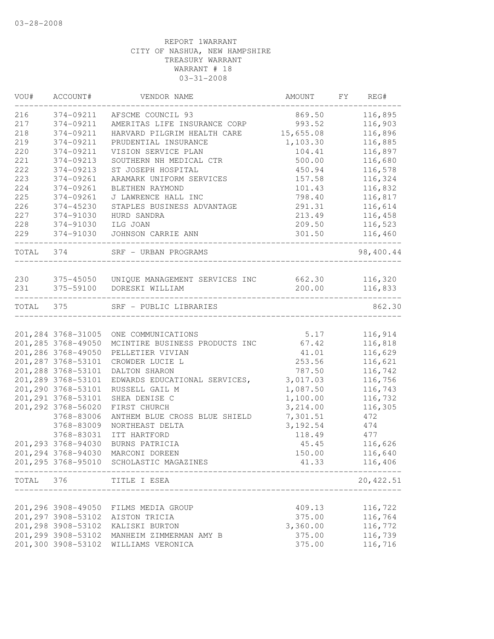| VOU#      | ACCOUNT#                                 | VENDOR NAME                                     | AMOUNT   | FY | REG#               |
|-----------|------------------------------------------|-------------------------------------------------|----------|----|--------------------|
| 216       | 374-09211                                | AFSCME COUNCIL 93                               | 869.50   |    | 116,895            |
| 217       | 374-09211                                | AMERITAS LIFE INSURANCE CORP                    | 993.52   |    | 116,903            |
| 218       | 374-09211                                | HARVARD PILGRIM HEALTH CARE 15,655.08           |          |    | 116,896            |
| 219       | 374-09211                                | PRUDENTIAL INSURANCE                            | 1,103.30 |    | 116,885            |
| 220       | 374-09211                                | VISION SERVICE PLAN                             | 104.41   |    | 116,897            |
| 221       | 374-09213                                | SOUTHERN NH MEDICAL CTR                         | 500.00   |    | 116,680            |
| 222       | 374-09213                                | ST JOSEPH HOSPITAL                              | 450.94   |    | 116,578            |
| 223       | 374-09261                                | ARAMARK UNIFORM SERVICES                        | 157.58   |    | 116,324            |
| 224       | 374-09261                                | BLETHEN RAYMOND                                 | 101.43   |    | 116,832            |
| 225       | 374-09261                                | J LAWRENCE HALL INC                             | 798.40   |    | 116,817            |
| 226       | 374-45230                                | STAPLES BUSINESS ADVANTAGE                      | 291.31   |    | 116,614            |
| 227       | 374-91030                                | HURD SANDRA                                     | 213.49   |    | 116,458            |
| 228       | 374-91030                                | ILG JOAN                                        | 209.50   |    | 116,523            |
| 229       | 374-91030                                | JOHNSON CARRIE ANN                              | 301.50   |    | 116,460            |
| TOTAL 374 |                                          | SRF - URBAN PROGRAMS                            |          |    | 98,400.44          |
| 230       |                                          | 375-45050 UNIQUE MANAGEMENT SERVICES INC 662.30 |          |    | 116,320            |
| 231       | 375-59100                                | DORESKI WILLIAM                                 | 200.00   |    | 116,833            |
| TOTAL 375 |                                          | SRF - PUBLIC LIBRARIES                          |          |    | 862.30             |
|           |                                          |                                                 |          |    |                    |
|           | 201, 284 3768-31005                      | ONE COMMUNICATIONS                              | 5.17     |    | 116,914            |
|           | 201, 285 3768-49050                      | MCINTIRE BUSINESS PRODUCTS INC                  | 67.42    |    | 116,818            |
|           | 201,286 3768-49050                       | PELLETIER VIVIAN                                | 41.01    |    | 116,629            |
|           | 201, 287 3768-53101                      | CROWDER LUCIE L                                 | 253.56   |    | 116,621            |
|           | 201,288 3768-53101                       | DALTON SHARON                                   | 787.50   |    | 116,742            |
|           | 201,289 3768-53101                       | EDWARDS EDUCATIONAL SERVICES,                   | 3,017.03 |    | 116,756            |
|           | 201,290 3768-53101                       | RUSSELL GAIL M                                  | 1,087.50 |    | 116,743            |
|           | 201, 291 3768-53101                      | SHEA DENISE C                                   | 1,100.00 |    | 116,732            |
|           | 201,292 3768-56020                       | FIRST CHURCH                                    | 3,214.00 |    | 116,305            |
|           | 3768-83006                               | ANTHEM BLUE CROSS BLUE SHIELD                   | 7,301.51 |    | 472                |
|           | 3768-83009                               | NORTHEAST DELTA                                 | 3,192.54 |    | 474                |
|           | 3768-83031                               | ITT HARTFORD                                    | 118.49   |    | 477                |
|           | 201,293 3768-94030                       | BURNS PATRICIA                                  | 45.45    |    | 116,626            |
|           | 201,294 3768-94030                       | MARCONI DOREEN                                  | 150.00   |    | 116,640            |
|           |                                          | 201,295 3768-95010 SCHOLASTIC MAGAZINES         | 41.33    |    | 116,406            |
| TOTAL     | 376                                      | TITLE I ESEA                                    |          |    | 20, 422.51         |
|           | 201,296 3908-49050                       |                                                 |          |    |                    |
|           | 201, 297 3908-53102                      | FILMS MEDIA GROUP<br>AISTON TRICIA              | 409.13   |    | 116,722<br>116,764 |
|           | 201,298 3908-53102                       |                                                 | 375.00   |    | 116,772            |
|           |                                          | KALISKI BURTON                                  | 3,360.00 |    |                    |
|           | 201,299 3908-53102<br>201,300 3908-53102 | MANHEIM ZIMMERMAN AMY B                         | 375.00   |    | 116,739            |
|           |                                          | WILLIAMS VERONICA                               | 375.00   |    | 116,716            |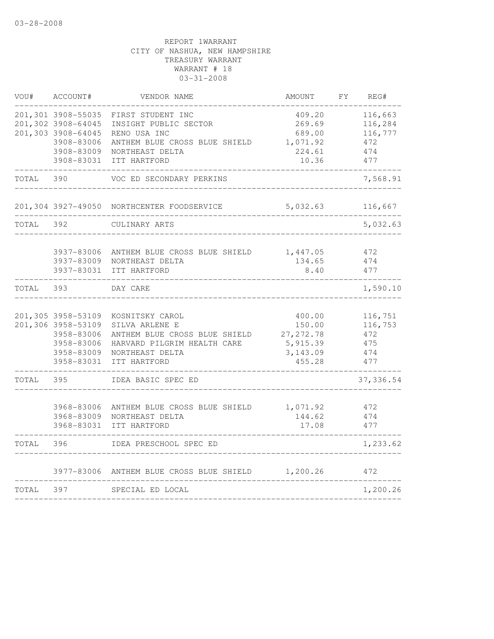| VOU#  | ACCOUNT#           | VENDOR NAME                                | AMOUNT     | REG#<br>FY |
|-------|--------------------|--------------------------------------------|------------|------------|
|       | 201,301 3908-55035 | FIRST STUDENT INC                          | 409.20     | 116,663    |
|       | 201,302 3908-64045 | INSIGHT PUBLIC SECTOR                      | 269.69     | 116,284    |
|       | 201,303 3908-64045 | RENO USA INC                               | 689.00     | 116,777    |
|       | 3908-83006         | ANTHEM BLUE CROSS BLUE SHIELD              | 1,071.92   | 472        |
|       | 3908-83009         | NORTHEAST DELTA                            | 224.61     | 474        |
|       | 3908-83031         | ITT HARTFORD                               | 10.36      | 477        |
| TOTAL | 390                | VOC ED SECONDARY PERKINS                   |            | 7,568.91   |
|       |                    | 201,304 3927-49050 NORTHCENTER FOODSERVICE | 5,032.63   | 116,667    |
| TOTAL | 392                | CULINARY ARTS                              |            | 5,032.63   |
|       | 3937-83006         | ANTHEM BLUE CROSS BLUE SHIELD              | 1,447.05   | 472        |
|       | 3937-83009         | NORTHEAST DELTA                            | 134.65     | 474        |
|       | 3937-83031         | ITT HARTFORD                               | 8.40       | 477        |
| TOTAL | 393                | DAY CARE                                   |            | 1,590.10   |
|       | 201,305 3958-53109 | KOSNITSKY CAROL                            | 400.00     | 116,751    |
|       | 201,306 3958-53109 | SILVA ARLENE E                             | 150.00     | 116,753    |
|       | 3958-83006         | ANTHEM BLUE CROSS BLUE SHIELD              | 27, 272.78 | 472        |
|       | 3958-83006         | HARVARD PILGRIM HEALTH CARE                | 5,915.39   | 475        |
|       | 3958-83009         | NORTHEAST DELTA                            | 3, 143.09  | 474        |
|       | 3958-83031         | ITT HARTFORD                               | 455.28     | 477        |
| TOTAL | 395                | IDEA BASIC SPEC ED                         |            | 37,336.54  |
|       | 3968-83006         | ANTHEM BLUE CROSS BLUE SHIELD              | 1,071.92   | 472        |
|       | 3968-83009         | NORTHEAST DELTA                            | 144.62     | 474        |
|       | 3968-83031         | ITT HARTFORD                               | 17.08      | 477        |
| TOTAL | 396                | IDEA PRESCHOOL SPEC ED                     |            | 1,233.62   |
|       | 3977-83006         | ANTHEM BLUE CROSS BLUE SHIELD              | 1,200.26   | 472        |
| TOTAL | 397                | SPECIAL ED LOCAL                           |            | 1,200.26   |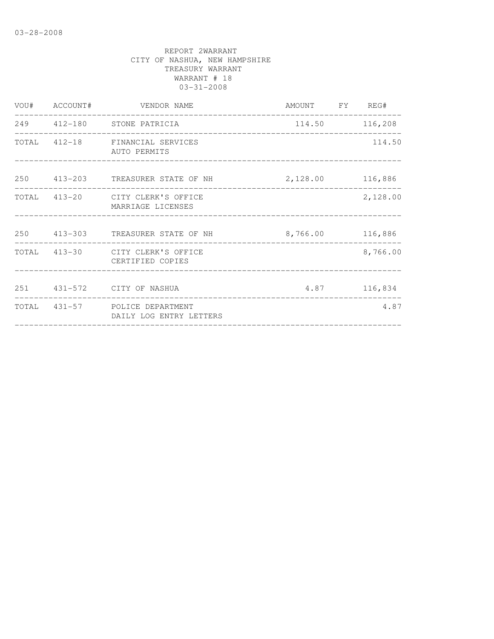|  | VOU# ACCOUNT# VENDOR NAME                                 | AMOUNT FY REG# |          |
|--|-----------------------------------------------------------|----------------|----------|
|  | 249 412-180 STONE PATRICIA                                | 114.50 116,208 |          |
|  | TOTAL 412-18 FINANCIAL SERVICES<br>AUTO PERMITS           |                | 114.50   |
|  | 250 413-203 TREASURER STATE OF NH 2,128.00 116,886        |                |          |
|  | TOTAL 413-20 CITY CLERK'S OFFICE<br>MARRIAGE LICENSES     |                | 2,128.00 |
|  | 250 413-303 TREASURER STATE OF NH 8,766.00 116,886        |                |          |
|  | TOTAL 413-30 CITY CLERK'S OFFICE<br>CERTIFIED COPIES      |                | 8,766.00 |
|  | 251 431-572 CITY OF NASHUA                                | 4.87 116,834   |          |
|  | TOTAL 431-57 POLICE DEPARTMENT<br>DAILY LOG ENTRY LETTERS |                | 4.87     |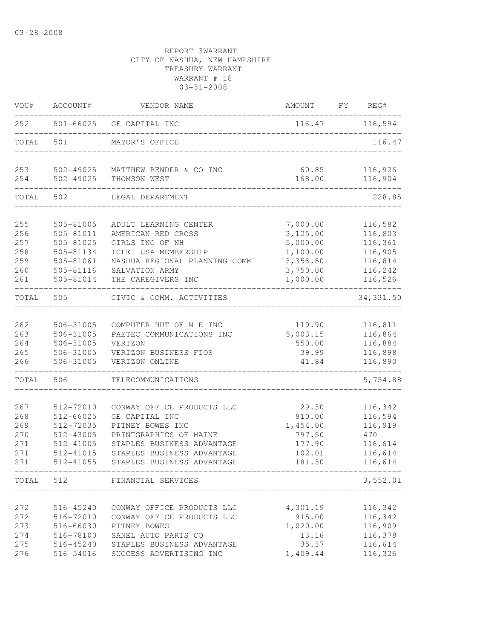| VOU#       | ACCOUNT#               | VENDOR NAME                                                         | AMOUNT               | FY REG#            |
|------------|------------------------|---------------------------------------------------------------------|----------------------|--------------------|
| 252        |                        | 501-66025 GE CAPITAL INC                                            |                      | 116.47 116,594     |
| TOTAL      | 501                    | MAYOR'S OFFICE                                                      |                      | 116.47             |
| 253<br>254 | 502-49025<br>502-49025 | MATTHEW BENDER & CO INC<br>THOMSON WEST                             | 60.85<br>168.00      | 116,926<br>116,904 |
| TOTAL      | 502                    | LEGAL DEPARTMENT                                                    |                      | 228.85             |
|            |                        |                                                                     |                      |                    |
| 255<br>256 | 505-81005              | ADULT LEARNING CENTER                                               | 7,000.00             | 116,582<br>116,803 |
| 257        | 505-81011<br>505-81025 | AMERICAN RED CROSS<br>GIRLS INC OF NH                               | 3,125.00<br>5,000.00 |                    |
| 258        | 505-81134              | ICLEI USA MEMBERSHIP                                                | 1,100.00             | 116,361<br>116,905 |
| 259        | 505-81061              | NASHUA REGIONAL PLANNING COMMI                                      | 13,356.50            | 116,814            |
| 260        | 505-81116              | SALVATION ARMY                                                      | 3,750.00             | 116,242            |
| 261        | 505-81014              | THE CAREGIVERS INC                                                  | 1,000.00             | 116,526            |
| TOTAL      | 505                    | CIVIC & COMM. ACTIVITIES                                            |                      | 34, 331.50         |
|            |                        |                                                                     |                      |                    |
| 262        | 506-31005              | COMPUTER HUT OF N E INC                                             | 119.90               | 116,811            |
| 263        | 506-31005              | PAETEC COMMUNICATIONS INC                                           | 5,003.15             | 116,864            |
| 264<br>265 | 506-31005<br>506-31005 | VERIZON<br>VERIZON BUSINESS FIOS                                    | 550.00<br>39.99      | 116,884<br>116,898 |
| 266        | 506-31005              | VERIZON ONLINE                                                      | 41.84                | 116,890            |
| TOTAL      | 506                    | TELECOMMUNICATIONS                                                  |                      | 5,754.88           |
| 267        |                        | CONWAY OFFICE PRODUCTS LLC                                          |                      |                    |
| 268        | 512-72010<br>512-66025 | GE CAPITAL INC                                                      | 29.30<br>810.00      | 116,342<br>116,594 |
| 269        | 512-72035              | PITNEY BOWES INC                                                    | 1,454.00             | 116,919            |
| 270        | 512-43005              | PRINTGRAPHICS OF MAINE                                              | 797.50               | 470                |
| 271        | 512-41005              | STAPLES BUSINESS ADVANTAGE                                          | 177.90               | 116,614            |
| 271        | 512-41015              | STAPLES BUSINESS ADVANTAGE                                          | 102.01               | 116,614            |
| 271        | 512-41055              | STAPLES BUSINESS ADVANTAGE                                          | 181.30               | 116,614            |
|            |                        | ___________________________________<br>TOTAL 512 FINANCIAL SERVICES |                      | 3,552.01           |
|            |                        |                                                                     |                      |                    |
| 272        | 516-45240              | CONWAY OFFICE PRODUCTS LLC                                          | 4,301.19             | 116,342            |
| 272        | 516-72010              | CONWAY OFFICE PRODUCTS LLC                                          | 915.00               | 116,342            |
| 273        | 516-66030              | PITNEY BOWES                                                        | 1,020.00             | 116,909            |
| 274        | 516-78100              | SANEL AUTO PARTS CO                                                 | 13.16                | 116,378            |
| 275        | 516-45240              | STAPLES BUSINESS ADVANTAGE                                          | 35.37                | 116,614            |
| 276        |                        | 516-54016 SUCCESS ADVERTISING INC                                   | 1,409.44             | 116,326            |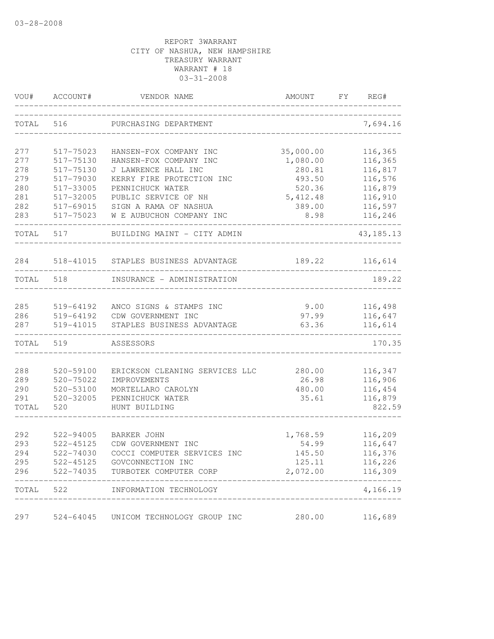| VOU#       | ACCOUNT#               | VENDOR NAME                                   | AMOUNT            | FY | REG#               |
|------------|------------------------|-----------------------------------------------|-------------------|----|--------------------|
| TOTAL      | 516                    | PURCHASING DEPARTMENT                         |                   |    | 7,694.16           |
| 277        | 517-75023              | HANSEN-FOX COMPANY INC                        | 35,000.00         |    | 116,365            |
| 277        | 517-75130              | HANSEN-FOX COMPANY INC                        | 1,080.00          |    | 116,365            |
| 278        | 517-75130              | J LAWRENCE HALL INC                           | 280.81            |    | 116,817            |
| 279        | 517-79030              | KERRY FIRE PROTECTION INC                     | 493.50            |    | 116,576            |
| 280        | 517-33005              | PENNICHUCK WATER                              | 520.36            |    | 116,879            |
| 281        | 517-32005              | PUBLIC SERVICE OF NH                          | 5, 412.48         |    | 116,910            |
| 282        | 517-69015              | SIGN A RAMA OF NASHUA                         | 389.00            |    | 116,597            |
| 283        | 517-75023              | W E AUBUCHON COMPANY INC                      | 8.98              |    | 116,246            |
| TOTAL      | 517                    | BUILDING MAINT - CITY ADMIN                   |                   |    | 43, 185. 13        |
| 284        | 518-41015              | STAPLES BUSINESS ADVANTAGE                    | 189.22            |    | 116,614            |
| TOTAL 518  |                        | INSURANCE - ADMINISTRATION                    |                   |    | 189.22             |
|            |                        |                                               |                   |    |                    |
| 285<br>286 | 519-64192<br>519-64192 | ANCO SIGNS & STAMPS INC<br>CDW GOVERNMENT INC | 9.00<br>97.99     |    | 116,498<br>116,647 |
| 287        | 519-41015              | STAPLES BUSINESS ADVANTAGE                    | 63.36             |    | 116,614            |
|            |                        |                                               |                   |    |                    |
| TOTAL      | 519                    | ASSESSORS                                     |                   |    | 170.35             |
| 288        | 520-59100              | ERICKSON CLEANING SERVICES LLC                | 280.00            |    | 116,347            |
| 289        | $520 - 75022$          | IMPROVEMENTS                                  | 26.98             |    | 116,906            |
| 290        | 520-53100              | MORTELLARO CAROLYN                            | 480.00            |    | 116,454            |
| 291        | 520-32005              | PENNICHUCK WATER                              | 35.61             |    | 116,879            |
| TOTAL      | 520                    | HUNT BUILDING                                 |                   |    | 822.59             |
|            |                        |                                               |                   |    |                    |
| 292<br>293 | 522-94005<br>522-45125 | <b>BARKER JOHN</b><br>CDW GOVERNMENT INC      | 1,768.59<br>54.99 |    | 116,209<br>116,647 |
| 294        | 522-74030              | COCCI COMPUTER SERVICES INC                   | 145.50            |    | 116,376            |
| 295        | 522-45125              | GOVCONNECTION INC                             | 125.11            |    | 116,226            |
| 296        | 522-74035              | TURBOTEK COMPUTER CORP                        | 2,072.00          |    | 116,309            |
| TOTAL      | 522                    | INFORMATION TECHNOLOGY                        |                   |    | 4,166.19           |
| 297        |                        | 524-64045 UNICOM TECHNOLOGY GROUP INC         | 280.00            |    | 116,689            |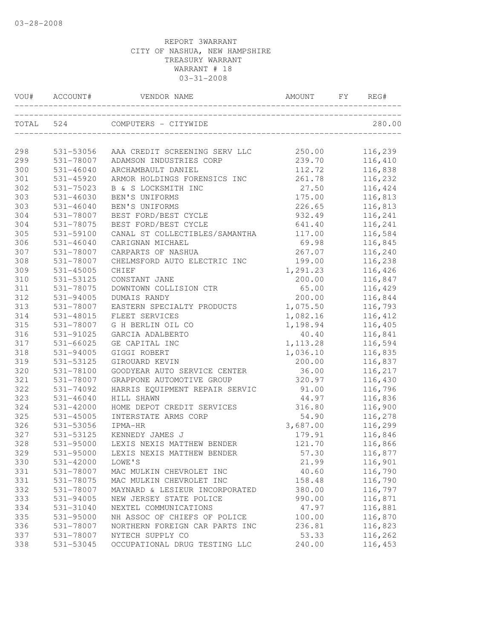|     | VOU# ACCOUNT# | VENDOR NAME                          | AMOUNT    | FY | REG#     |
|-----|---------------|--------------------------------------|-----------|----|----------|
|     |               | TOTAL 524 COMPUTERS - CITYWIDE       |           |    | 280.00   |
| 298 | 531-53056     | AAA CREDIT SCREENING SERV LLC        | 250.00    |    | 116,239  |
| 299 | 531-78007     | ADAMSON INDUSTRIES CORP              | 239.70    |    | 116,410  |
| 300 | $531 - 46040$ | ARCHAMBAULT DANIEL                   | 112.72    |    | 116,838  |
| 301 | 531-45920     | ARMOR HOLDINGS FORENSICS INC         | 261.78    |    | 116,232  |
| 302 | $531 - 75023$ | B & S LOCKSMITH INC                  | 27.50     |    | 116,424  |
| 303 | $531 - 46030$ | BEN'S UNIFORMS                       | 175.00    |    | 116,813  |
| 303 | $531 - 46040$ | BEN'S UNIFORMS                       | 226.65    |    | 116,813  |
| 304 | 531-78007     | BEST FORD/BEST CYCLE                 | 932.49    |    | 116,241  |
| 304 | 531-78075     | BEST FORD/BEST CYCLE                 | 641.40    |    | 116,241  |
| 305 | 531-59100     | CANAL ST COLLECTIBLES/SAMANTHA       | 117.00    |    | 116,584  |
| 306 | $531 - 46040$ | CARIGNAN MICHAEL                     | 69.98     |    | 116,845  |
| 307 | 531-78007     | CARPARTS OF NASHUA                   | 267.07    |    | 116,240  |
| 308 | 531-78007     | CHELMSFORD AUTO ELECTRIC INC         | 199.00    |    | 116,238  |
| 309 | $531 - 45005$ | <b>CHIEF</b>                         | 1,291.23  |    | 116,426  |
| 310 | 531-53125     | CONSTANT JANE                        | 200.00    |    | 116,847  |
| 311 | 531-78075     | DOWNTOWN COLLISION CTR               | 65.00     |    | 116,429  |
| 312 | $531 - 94005$ | DUMAIS RANDY                         | 200.00    |    | 116,844  |
| 313 | 531-78007     | EASTERN SPECIALTY PRODUCTS           | 1,075.50  |    | 116,793  |
| 314 | 531-48015     | FLEET SERVICES                       | 1,082.16  |    | 116, 412 |
| 315 | 531-78007     | G H BERLIN OIL CO                    | 1,198.94  |    | 116,405  |
| 316 | 531-91025     | GARCIA ADALBERTO                     | 40.40     |    | 116,841  |
| 317 | 531-66025     | GE CAPITAL INC                       | 1, 113.28 |    | 116,594  |
| 318 | 531-94005     | GIGGI ROBERT                         | 1,036.10  |    | 116,835  |
| 319 | 531-53125     | GIROUARD KEVIN                       | 200.00    |    | 116,837  |
| 320 | 531-78100     | GOODYEAR AUTO SERVICE CENTER         | 36.00     |    | 116,217  |
| 321 | 531-78007     | GRAPPONE AUTOMOTIVE GROUP            | 320.97    |    | 116,430  |
| 322 | 531-74092     | HARRIS EQUIPMENT REPAIR SERVIC       | 91.00     |    | 116,796  |
| 323 | $531 - 46040$ | HILL SHAWN                           | 44.97     |    | 116,836  |
| 324 | 531-42000     | HOME DEPOT CREDIT SERVICES           | 316.80    |    | 116,900  |
| 325 | 531-45005     | INTERSTATE ARMS CORP                 | 54.90     |    | 116,278  |
| 326 | 531-53056     | IPMA-HR                              | 3,687.00  |    | 116,299  |
| 327 | 531-53125     | KENNEDY JAMES J                      | 179.91    |    | 116,846  |
| 328 | 531-95000     | LEXIS NEXIS MATTHEW BENDER           | 121.70    |    | 116,866  |
| 329 |               | 531-95000 LEXIS NEXIS MATTHEW BENDER | 57.30     |    | 116,877  |
| 330 | 531-42000     | LOWE'S                               | 21.99     |    | 116,901  |
| 331 | 531-78007     | MAC MULKIN CHEVROLET INC             | 40.60     |    | 116,790  |
| 331 | 531-78075     | MAC MULKIN CHEVROLET INC             | 158.48    |    | 116,790  |
| 332 | 531-78007     | MAYNARD & LESIEUR INCORPORATED       | 380.00    |    | 116,797  |
| 333 | 531-94005     | NEW JERSEY STATE POLICE              | 990.00    |    | 116,871  |
| 334 | 531-31040     | NEXTEL COMMUNICATIONS                | 47.97     |    | 116,881  |
| 335 | 531-95000     | NH ASSOC OF CHIEFS OF POLICE         | 100.00    |    | 116,870  |
| 336 | 531-78007     | NORTHERN FOREIGN CAR PARTS INC       | 236.81    |    | 116,823  |
| 337 | 531-78007     | NYTECH SUPPLY CO                     | 53.33     |    | 116,262  |
| 338 | 531-53045     | OCCUPATIONAL DRUG TESTING LLC        | 240.00    |    | 116,453  |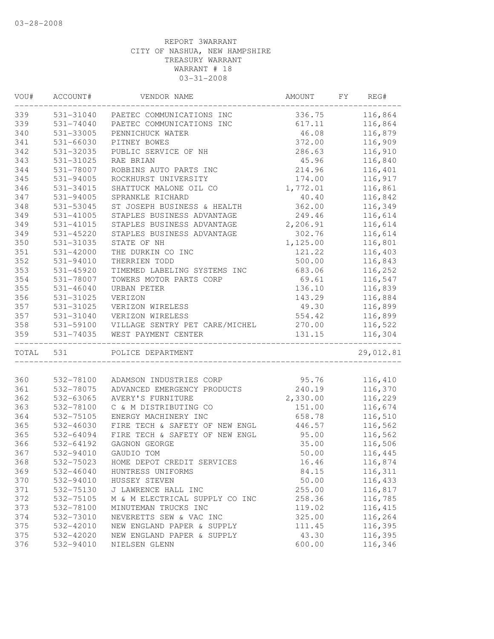| WOU#      | ACCOUNT#      | VENDOR NAME                         | AMOUNT   | FY | REG#      |
|-----------|---------------|-------------------------------------|----------|----|-----------|
| 339       |               | 531-31040 PAETEC COMMUNICATIONS INC | 336.75   |    | 116,864   |
| 339       | $531 - 74040$ | PAETEC COMMUNICATIONS INC           | 617.11   |    | 116,864   |
| 340       | 531-33005     | PENNICHUCK WATER                    | 46.08    |    | 116,879   |
| 341       | 531-66030     | PITNEY BOWES                        | 372.00   |    | 116,909   |
| 342       | 531-32035     | PUBLIC SERVICE OF NH                | 286.63   |    | 116,910   |
| 343       | 531-31025     | RAE BRIAN                           | 45.96    |    | 116,840   |
| 344       | 531-78007     | ROBBINS AUTO PARTS INC              | 214.96   |    | 116,401   |
| 345       | 531-94005     | ROCKHURST UNIVERSITY                | 174.00   |    | 116,917   |
| 346       | 531-34015     | SHATTUCK MALONE OIL CO              | 1,772.01 |    | 116,861   |
| 347       | $531 - 94005$ | SPRANKLE RICHARD                    | 40.40    |    | 116,842   |
| 348       | 531-53045     | ST JOSEPH BUSINESS & HEALTH         | 362.00   |    | 116,349   |
| 349       | 531-41005     | STAPLES BUSINESS ADVANTAGE          | 249.46   |    | 116,614   |
| 349       | 531-41015     | STAPLES BUSINESS ADVANTAGE          | 2,206.91 |    | 116,614   |
| 349       | 531-45220     | STAPLES BUSINESS ADVANTAGE          | 302.76   |    | 116,614   |
| 350       | 531-31035     | STATE OF NH                         | 1,125.00 |    | 116,801   |
| 351       | $531 - 42000$ | THE DURKIN CO INC                   | 121.22   |    | 116,403   |
| 352       | 531-94010     | THERRIEN TODD                       | 500.00   |    | 116,843   |
| 353       | 531-45920     | TIMEMED LABELING SYSTEMS INC        | 683.06   |    | 116,252   |
| 354       | 531-78007     | TOWERS MOTOR PARTS CORP             | 69.61    |    | 116,547   |
| 355       | $531 - 46040$ | URBAN PETER                         | 136.10   |    | 116,839   |
| 356       | 531-31025     | VERIZON                             | 143.29   |    | 116,884   |
| 357       | 531-31025     | VERIZON WIRELESS                    | 49.30    |    | 116,899   |
| 357       | 531-31040     | VERIZON WIRELESS                    | 554.42   |    | 116,899   |
| 358       | 531-59100     | VILLAGE SENTRY PET CARE/MICHEL      | 270.00   |    | 116,522   |
| 359       | 531-74035     | WEST PAYMENT CENTER                 | 131.15   |    | 116,304   |
| TOTAL 531 |               | POLICE DEPARTMENT                   |          |    | 29,012.81 |
|           |               |                                     |          |    |           |
| 360       | 532-78100     | ADAMSON INDUSTRIES CORP             | 95.76    |    | 116,410   |
| 361       | 532-78075     | ADVANCED EMERGENCY PRODUCTS         | 240.19   |    | 116,370   |
| 362       | 532-63065     | AVERY'S FURNITURE                   | 2,330.00 |    | 116,229   |
| 363       | 532-78100     | C & M DISTRIBUTING CO               | 151.00   |    | 116,674   |
| 364       | 532-75105     | ENERGY MACHINERY INC                | 658.78   |    | 116,510   |
| 365       | 532-46030     | FIRE TECH & SAFETY OF NEW ENGL      | 446.57   |    | 116,562   |
| 365       | 532-64094     | FIRE TECH & SAFETY OF NEW ENGL      | 95.00    |    | 116,562   |
| 366       | 532-64192     | GAGNON GEORGE                       | 35.00    |    | 116,506   |
| 367       | 532-94010     | GAUDIO TOM                          | 50.00    |    | 116,445   |
| 368       | 532-75023     | HOME DEPOT CREDIT SERVICES          | 16.46    |    | 116,874   |
| 369       | 532-46040     | HUNTRESS UNIFORMS                   | 84.15    |    | 116,311   |
| 370       | 532-94010     | HUSSEY STEVEN                       | 50.00    |    | 116,433   |
| 371       | 532-75130     | J LAWRENCE HALL INC                 | 255.00   |    | 116,817   |
| 372       | 532-75105     | M & M ELECTRICAL SUPPLY CO INC      | 258.36   |    | 116,785   |
| 373       | 532-78100     | MINUTEMAN TRUCKS INC                | 119.02   |    | 116, 415  |
| 374       | 532-73010     | NEVERETTS SEW & VAC INC             | 325.00   |    | 116,264   |
| 375       | 532-42010     | NEW ENGLAND PAPER & SUPPLY          | 111.45   |    | 116,395   |
| 375       | 532-42020     | NEW ENGLAND PAPER & SUPPLY          | 43.30    |    | 116,395   |
| 376       | 532-94010     | NIELSEN GLENN                       | 600.00   |    | 116,346   |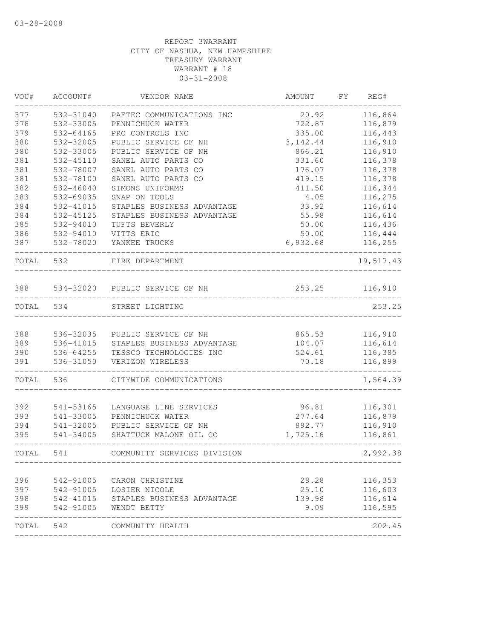| VOU#      | ACCOUNT#               | VENDOR NAME                 | AMOUNT    | FY<br>REG# |
|-----------|------------------------|-----------------------------|-----------|------------|
| 377       | 532-31040              | PAETEC COMMUNICATIONS INC   | 20.92     | 116,864    |
| 378       | 532-33005              | PENNICHUCK WATER            | 722.87    | 116,879    |
| 379       | 532-64165              | PRO CONTROLS INC            | 335.00    | 116,443    |
| 380       | 532-32005              | PUBLIC SERVICE OF NH        | 3, 142.44 | 116,910    |
| 380       | 532-33005              | PUBLIC SERVICE OF NH        | 866.21    | 116,910    |
| 381       | 532-45110              | SANEL AUTO PARTS CO         | 331.60    | 116,378    |
| 381       | 532-78007              | SANEL AUTO PARTS CO         | 176.07    | 116,378    |
| 381       | 532-78100              | SANEL AUTO PARTS CO         | 419.15    | 116,378    |
| 382       | 532-46040              | SIMONS UNIFORMS             | 411.50    | 116,344    |
| 383       | 532-69035              | SNAP ON TOOLS               | 4.05      | 116,275    |
| 384       | 532-41015              | STAPLES BUSINESS ADVANTAGE  | 33.92     | 116,614    |
| 384       | 532-45125              | STAPLES BUSINESS ADVANTAGE  | 55.98     | 116,614    |
| 385       | 532-94010              | TUFTS BEVERLY               | 50.00     | 116,436    |
| 386       | 532-94010              | VITTS ERIC                  | 50.00     | 116,444    |
| 387       | 532-78020              | YANKEE TRUCKS               | 6,932.68  | 116,255    |
| TOTAL     | 532                    | FIRE DEPARTMENT             |           | 19,517.43  |
| 388       | 534-32020              | PUBLIC SERVICE OF NH        | 253.25    | 116,910    |
| TOTAL     | 534                    | STREET LIGHTING             |           | 253.25     |
|           |                        |                             |           |            |
| 388       | 536-32035              | PUBLIC SERVICE OF NH        | 865.53    | 116,910    |
| 389       | 536-41015              | STAPLES BUSINESS ADVANTAGE  | 104.07    | 116,614    |
| 390       | 536-64255              | TESSCO TECHNOLOGIES INC     | 524.61    | 116,385    |
| 391       | 536-31050              | VERIZON WIRELESS            | 70.18     | 116,899    |
| TOTAL     | 536                    | CITYWIDE COMMUNICATIONS     |           | 1,564.39   |
| 392       | 541-53165              | LANGUAGE LINE SERVICES      | 96.81     | 116,301    |
| 393       | 541-33005              | PENNICHUCK WATER            | 277.64    | 116,879    |
| 394       | 541-32005              | PUBLIC SERVICE OF NH        | 892.77    | 116,910    |
| 395       | 541-34005              | SHATTUCK MALONE OIL CO      | 1,725.16  | 116,861    |
| TOTAL     | 541                    | COMMUNITY SERVICES DIVISION |           | 2,992.38   |
| 396       | 542-91005              | CARON CHRISTINE             | 28.28     | 116,353    |
| 397       |                        | LOSIER NICOLE               | 25.10     | 116,603    |
| 398       | 542-91005<br>542-41015 | STAPLES BUSINESS ADVANTAGE  | 139.98    | 116,614    |
| 399       | 542-91005              | WENDT BETTY                 | 9.09      | 116,595    |
| TOTAL 542 |                        | COMMUNITY HEALTH            |           | 202.45     |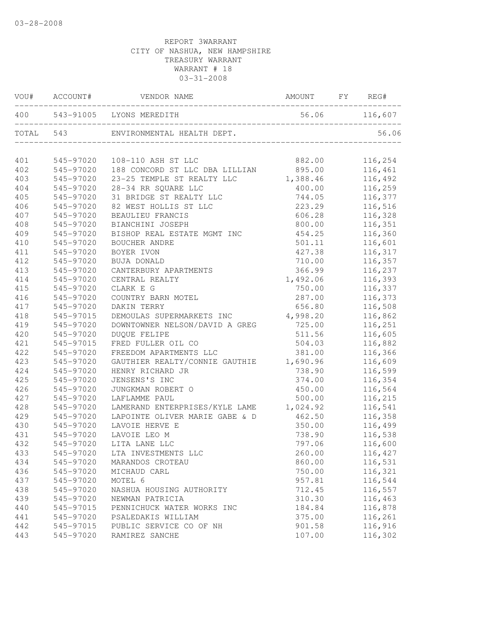|     |           | 56.06 116,607<br>400 543-91005 LYONS MEREDITH |          |         |
|-----|-----------|-----------------------------------------------|----------|---------|
|     |           | TOTAL 543 ENVIRONMENTAL HEALTH DEPT.          |          | 56.06   |
| 401 | 545-97020 | 108-110 ASH ST LLC                            | 882.00   | 116,254 |
| 402 | 545-97020 | 188 CONCORD ST LLC DBA LILLIAN                | 895.00   | 116,461 |
| 403 | 545-97020 | 23-25 TEMPLE ST REALTY LLC                    | 1,388.46 | 116,492 |
| 404 | 545-97020 | 28-34 RR SQUARE LLC                           | 400.00   | 116,259 |
| 405 | 545-97020 | 31 BRIDGE ST REALTY LLC                       | 744.05   | 116,377 |
| 406 | 545-97020 | 82 WEST HOLLIS ST LLC                         | 223.29   | 116,516 |
| 407 | 545-97020 | BEAULIEU FRANCIS                              | 606.28   | 116,328 |
| 408 | 545-97020 | BIANCHINI JOSEPH                              | 800.00   | 116,351 |
| 409 | 545-97020 | BISHOP REAL ESTATE MGMT INC                   | 454.25   | 116,360 |
| 410 | 545-97020 | BOUCHER ANDRE                                 | 501.11   | 116,601 |
| 411 | 545-97020 | BOYER IVON                                    | 427.38   | 116,317 |
| 412 | 545-97020 | BUJA DONALD                                   | 710.00   | 116,357 |
| 413 | 545-97020 | CANTERBURY APARTMENTS                         | 366.99   | 116,237 |
| 414 | 545-97020 | CENTRAL REALTY                                | 1,492.06 | 116,393 |
| 415 | 545-97020 | CLARK E G                                     | 750.00   | 116,337 |
| 416 | 545-97020 | COUNTRY BARN MOTEL                            | 287.00   | 116,373 |
| 417 | 545-97020 | DAKIN TERRY                                   | 656.80   | 116,508 |
| 418 | 545-97015 | DEMOULAS SUPERMARKETS INC 4,998.20            |          | 116,862 |
| 419 | 545-97020 | DOWNTOWNER NELSON/DAVID A GREG                | 725.00   | 116,251 |
| 420 | 545-97020 | <b>DUOUE FELIPE</b>                           | 511.56   | 116,605 |
| 421 | 545-97015 | FRED FULLER OIL CO                            | 504.03   | 116,882 |
| 422 | 545-97020 | FREEDOM APARTMENTS LLC                        | 381.00   | 116,366 |
| 423 | 545-97020 | GAUTHIER REALTY/CONNIE GAUTHIE 1,690.96       |          | 116,609 |
| 424 | 545-97020 | HENRY RICHARD JR                              | 738.90   | 116,599 |
| 425 | 545-97020 | JENSENS'S INC                                 | 374.00   | 116,354 |
| 426 | 545-97020 | JUNGKMAN ROBERT O                             | 450.00   | 116,564 |
| 427 | 545-97020 | LAFLAMME PAUL                                 | 500.00   | 116,215 |
| 428 | 545-97020 | LAMERAND ENTERPRISES/KYLE LAME 1,024.92       |          | 116,541 |
| 429 | 545-97020 | LAPOINTE OLIVER MARIE GABE & D                | 462.50   | 116,358 |
| 430 | 545-97020 | LAVOIE HERVE E                                | 350.00   | 116,499 |
| 431 | 545-97020 | LAVOIE LEO M                                  | 738.90   | 116,538 |
| 432 | 545-97020 | LITA LANE LLC                                 | 797.06   | 116,600 |
| 433 |           | 545-97020 LTA INVESTMENTS LLC                 | 260.00   | 116,427 |
| 434 | 545-97020 | MARANDOS CROTEAU                              | 860.00   | 116,531 |
| 436 | 545-97020 | MICHAUD CARL                                  | 750.00   | 116,321 |
| 437 | 545-97020 | MOTEL 6                                       | 957.81   | 116,544 |
| 438 | 545-97020 | NASHUA HOUSING AUTHORITY                      | 712.45   | 116,557 |
| 439 | 545-97020 | NEWMAN PATRICIA                               | 310.30   | 116,463 |
| 440 | 545-97015 | PENNICHUCK WATER WORKS INC                    | 184.84   | 116,878 |
| 441 | 545-97020 | PSALEDAKIS WILLIAM                            | 375.00   | 116,261 |
| 442 | 545-97015 | PUBLIC SERVICE CO OF NH                       | 901.58   | 116,916 |
| 443 | 545-97020 | RAMIREZ SANCHE                                | 107.00   | 116,302 |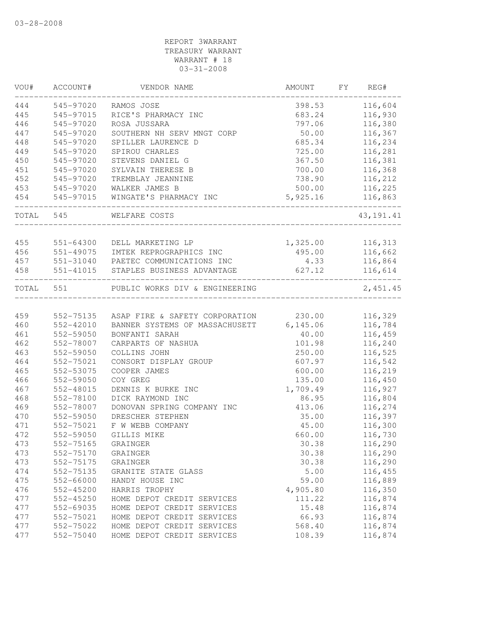## REPORT 3WARRANT TREASURY WARRANT WARRANT # 18 03-31-2008

| WOU#      | ACCOUNT#      | VENDOR NAME                             | AMOUNT   | FY REG#     |
|-----------|---------------|-----------------------------------------|----------|-------------|
| 444       | 545-97020     | RAMOS JOSE                              | 398.53   | 116,604     |
| 445       | 545-97015     | RICE'S PHARMACY INC                     | 683.24   | 116,930     |
| 446       | 545-97020     | ROSA JUSSARA                            | 797.06   | 116,380     |
| 447       | 545-97020     | SOUTHERN NH SERV MNGT CORP              | 50.00    | 116,367     |
| 448       | 545-97020     | SPILLER LAURENCE D                      | 685.34   | 116,234     |
| 449       | 545-97020     | SPIROU CHARLES                          | 725.00   | 116,281     |
| 450       | 545-97020     | STEVENS DANIEL G                        | 367.50   | 116,381     |
| 451       | 545-97020     | SYLVAIN THERESE B                       | 700.00   | 116,368     |
| 452       | 545-97020     | TREMBLAY JEANNINE                       | 738.90   | 116,212     |
| 453       | 545-97020     | WALKER JAMES B                          | 500.00   | 116,225     |
| 454       | 545-97015     | WINGATE'S PHARMACY INC                  | 5,925.16 | 116,863     |
| TOTAL     | 545           | WELFARE COSTS                           |          | 43, 191. 41 |
| 455       | 551-64300     | DELL MARKETING LP                       | 1,325.00 | 116,313     |
| 456       | $551 - 49075$ | IMTEK REPROGRAPHICS INC                 | 495.00   | 116,662     |
| 457       |               | 551-31040 PAETEC COMMUNICATIONS INC     | 4.33     | 116,864     |
| 458       | 551-41015     | STAPLES BUSINESS ADVANTAGE              | 627.12   | 116,614     |
| TOTAL 551 |               | PUBLIC WORKS DIV & ENGINEERING          |          | 2,451.45    |
|           |               |                                         |          |             |
| 459       | 552-75135     | ASAP FIRE & SAFETY CORPORATION          | 230.00   | 116,329     |
| 460       | 552-42010     | BANNER SYSTEMS OF MASSACHUSETT 6,145.06 |          | 116,784     |
| 461       | 552-59050     | BONFANTI SARAH                          | 40.00    | 116,459     |
| 462       | 552-78007     | CARPARTS OF NASHUA                      | 101.98   | 116,240     |
| 463       | 552-59050     | COLLINS JOHN                            | 250.00   | 116,525     |
| 464       | 552-75021     | CONSORT DISPLAY GROUP                   | 607.97   | 116,542     |
| 465       | 552-53075     | COOPER JAMES                            | 600.00   | 116,219     |
| 466       | 552-59050     | COY GREG                                | 135.00   | 116,450     |
| 467       | 552-48015     | DENNIS K BURKE INC                      | 1,709.49 | 116,927     |
| 468       | 552-78100     | DICK RAYMOND INC                        | 86.95    | 116,804     |
| 469       | 552-78007     | DONOVAN SPRING COMPANY INC              | 413.06   | 116,274     |
| 470       | 552-59050     | DRESCHER STEPHEN                        | 35.00    | 116,397     |
| 471       | 552-75021     | F W WEBB COMPANY                        | 45.00    | 116,300     |
| 472       | 552-59050     | GILLIS MIKE                             | 660.00   | 116,730     |
| 473       | 552-75165     | GRAINGER                                | 30.38    | 116,290     |
| 473       | 552-75170     | GRAINGER                                | 30.38    | 116,290     |
| 473       | 552-75175     | GRAINGER                                | 30.38    | 116,290     |
| 474       | 552-75135     | GRANITE STATE GLASS                     | 5.00     | 116,455     |
| 475       | 552-66000     | HANDY HOUSE INC                         | 59.00    | 116,889     |
| 476       | 552-45200     | HARRIS TROPHY                           | 4,905.80 | 116,350     |
| 477       | 552-45250     | HOME DEPOT CREDIT SERVICES              | 111.22   | 116,874     |
| 477       | 552-69035     | HOME DEPOT CREDIT SERVICES              | 15.48    | 116,874     |
| 477       | 552-75021     | HOME DEPOT CREDIT SERVICES              | 66.93    | 116,874     |
| 477       | 552-75022     | HOME DEPOT CREDIT SERVICES              | 568.40   | 116,874     |
| 477       | 552-75040     | HOME DEPOT CREDIT SERVICES              | 108.39   | 116,874     |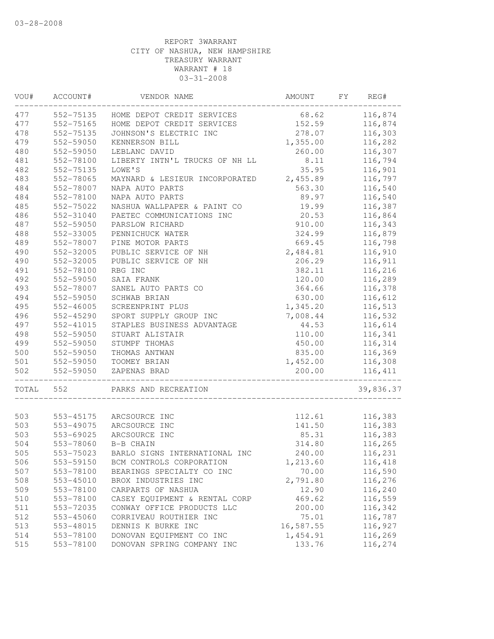| VOU#  | ACCOUNT#               | VENDOR NAME                    | AMOUNT             | FY | REG#                |
|-------|------------------------|--------------------------------|--------------------|----|---------------------|
| 477   | 552-75135              | HOME DEPOT CREDIT SERVICES     | 68.62              |    | 116,874             |
| 477   | 552-75165              | HOME DEPOT CREDIT SERVICES     | 152.59             |    | 116,874             |
| 478   | 552-75135              | JOHNSON'S ELECTRIC INC         | 278.07             |    | 116,303             |
| 479   | 552-59050              | KENNERSON BILL                 | 1,355.00           |    | 116,282             |
| 480   | 552-59050              | LEBLANC DAVID                  | 260.00             |    | 116,307             |
| 481   | 552-78100              | LIBERTY INTN'L TRUCKS OF NH LL | 8.11               |    | 116,794             |
| 482   | 552-75135              | LOWE'S                         | 35.95              |    | 116,901             |
| 483   | 552-78065              | MAYNARD & LESIEUR INCORPORATED | 2,455.89           |    | 116,797             |
| 484   | 552-78007              | NAPA AUTO PARTS                | 563.30             |    | 116,540             |
| 484   | 552-78100              | NAPA AUTO PARTS                | 89.97              |    | 116,540             |
| 485   | 552-75022              | NASHUA WALLPAPER & PAINT CO    | 19.99              |    | 116,387             |
| 486   | 552-31040              | PAETEC COMMUNICATIONS INC      | 20.53              |    | 116,864             |
| 487   | 552-59050              | PARSLOW RICHARD                | 910.00             |    | 116,343             |
| 488   | 552-33005              | PENNICHUCK WATER               | 324.99             |    | 116,879             |
| 489   | 552-78007              | PINE MOTOR PARTS               | 669.45             |    | 116,798             |
| 490   | 552-32005              | PUBLIC SERVICE OF NH           | 2,484.81           |    | 116,910             |
| 490   | 552-32005              | PUBLIC SERVICE OF NH           | 206.29             |    | 116,911             |
| 491   | 552-78100              | RBG INC                        | 382.11             |    | 116,216             |
| 492   | 552-59050              | SAIA FRANK                     | 120.00             |    | 116,289             |
| 493   | 552-78007              | SANEL AUTO PARTS CO            | 364.66             |    | 116,378             |
| 494   | 552-59050              | SCHWAB BRIAN                   | 630.00             |    | 116,612             |
| 495   | 552-46005              | SCREENPRINT PLUS               | 1,345.20           |    | 116,513             |
| 496   | 552-45290              | SPORT SUPPLY GROUP INC         | 7,008.44           |    | 116,532             |
| 497   | 552-41015              | STAPLES BUSINESS ADVANTAGE     | 44.53              |    | 116,614             |
| 498   | 552-59050              | STUART ALISTAIR                | 110.00             |    | 116,341             |
| 499   | 552-59050              | STUMPF THOMAS                  | 450.00             |    | 116,314             |
| 500   |                        |                                |                    |    |                     |
| 501   | 552-59050              | THOMAS ANTWAN                  | 835.00             |    | 116,369             |
| 502   | 552-59050<br>552-59050 | TOOMEY BRIAN<br>ZAPENAS BRAD   | 1,452.00<br>200.00 |    | 116,308<br>116, 411 |
| TOTAL | 552                    | PARKS AND RECREATION           |                    |    | 39,836.37           |
|       |                        |                                |                    |    |                     |
| 503   | 553-45175              | ARCSOURCE INC                  | 112.61             |    | 116,383             |
| 503   | 553-49075              | ARCSOURCE INC                  | 141.50             |    | 116,383             |
| 503   | 553-69025              | ARCSOURCE INC                  | 85.31              |    | 116,383             |
| 504   | 553-78060              | B-B CHAIN                      | 314.80             |    | 116,265             |
| 505   | 553-75023              | BARLO SIGNS INTERNATIONAL INC  | 240.00             |    | 116,231             |
| 506   | 553-59150              | BCM CONTROLS CORPORATION       | 1,213.60           |    | 116,418             |
| 507   | 553-78100              | BEARINGS SPECIALTY CO INC      | 70.00              |    | 116,590             |
| 508   | 553-45010              | BROX INDUSTRIES INC            | 2,791.80           |    | 116,276             |
| 509   | 553-78100              | CARPARTS OF NASHUA             | 12.90              |    | 116,240             |
| 510   | 553-78100              | CASEY EQUIPMENT & RENTAL CORP  | 469.62             |    | 116,559             |
| 511   | 553-72035              | CONWAY OFFICE PRODUCTS LLC     | 200.00             |    | 116,342             |
| 512   | 553-45060              | CORRIVEAU ROUTHIER INC         | 75.01              |    | 116,787             |
| 513   | 553-48015              | DENNIS K BURKE INC             | 16,587.55          |    | 116,927             |
| 514   | 553-78100              | DONOVAN EQUIPMENT CO INC       | 1,454.91           |    | 116,269             |
| 515   | 553-78100              | DONOVAN SPRING COMPANY INC     | 133.76             |    | 116,274             |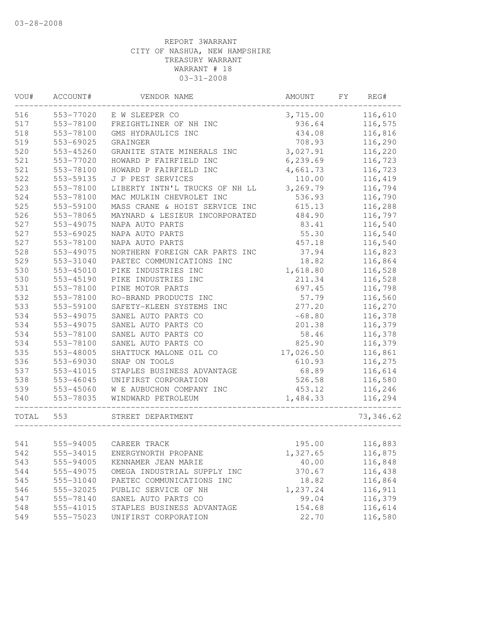| VOU#  | ACCOUNT#      | VENDOR NAME                    | AMOUNT    | FY | REG#       |
|-------|---------------|--------------------------------|-----------|----|------------|
| 516   | 553-77020     | E W SLEEPER CO                 | 3,715.00  |    | 116,610    |
| 517   | 553-78100     | FREIGHTLINER OF NH INC         | 936.64    |    | 116,575    |
| 518   | 553-78100     | GMS HYDRAULICS INC             | 434.08    |    | 116,816    |
| 519   | 553-69025     | GRAINGER                       | 708.93    |    | 116,290    |
| 520   | 553-45260     | GRANITE STATE MINERALS INC     | 3,027.91  |    | 116,220    |
| 521   | 553-77020     | HOWARD P FAIRFIELD INC         | 6, 239.69 |    | 116,723    |
| 521   | 553-78100     | HOWARD P FAIRFIELD INC         | 4,661.73  |    | 116,723    |
| 522   | 553-59135     | J P PEST SERVICES              | 110.00    |    | 116,419    |
| 523   | 553-78100     | LIBERTY INTN'L TRUCKS OF NH LL | 3,269.79  |    | 116,794    |
| 524   | 553-78100     | MAC MULKIN CHEVROLET INC       | 536.93    |    | 116,790    |
| 525   | 553-59100     | MASS CRANE & HOIST SERVICE INC | 615.13    |    | 116,288    |
| 526   | 553-78065     | MAYNARD & LESIEUR INCORPORATED | 484.90    |    | 116,797    |
| 527   | 553-49075     | NAPA AUTO PARTS                | 83.41     |    | 116,540    |
| 527   | 553-69025     | NAPA AUTO PARTS                | 55.30     |    | 116,540    |
| 527   | 553-78100     | NAPA AUTO PARTS                | 457.18    |    | 116,540    |
| 528   | 553-49075     | NORTHERN FOREIGN CAR PARTS INC | 37.94     |    | 116,823    |
| 529   | 553-31040     | PAETEC COMMUNICATIONS INC      | 18.82     |    | 116,864    |
| 530   | 553-45010     | PIKE INDUSTRIES INC            | 1,618.80  |    | 116,528    |
| 530   | 553-45190     | PIKE INDUSTRIES INC            | 211.34    |    | 116,528    |
| 531   | 553-78100     | PINE MOTOR PARTS               | 697.45    |    | 116,798    |
| 532   | 553-78100     | RO-BRAND PRODUCTS INC          | 57.79     |    | 116,560    |
| 533   | 553-59100     | SAFETY-KLEEN SYSTEMS INC       | 277.20    |    | 116,270    |
| 534   | 553-49075     | SANEL AUTO PARTS CO            | $-68.80$  |    | 116,378    |
| 534   | 553-49075     | SANEL AUTO PARTS CO            | 201.38    |    | 116,379    |
| 534   | 553-78100     | SANEL AUTO PARTS CO            | 58.46     |    | 116,378    |
| 534   | 553-78100     | SANEL AUTO PARTS CO            | 825.90    |    | 116,379    |
| 535   | 553-48005     | SHATTUCK MALONE OIL CO         | 17,026.50 |    | 116,861    |
| 536   | 553-69030     | SNAP ON TOOLS                  | 610.93    |    | 116,275    |
| 537   | 553-41015     | STAPLES BUSINESS ADVANTAGE     | 68.89     |    | 116,614    |
| 538   | $553 - 46045$ | UNIFIRST CORPORATION           | 526.58    |    | 116,580    |
| 539   | 553-45060     | W E AUBUCHON COMPANY INC       | 453.12    |    | 116,246    |
| 540   | 553-78035     | WINDWARD PETROLEUM             | 1,484.33  |    | 116,294    |
| TOTAL | 553           | STREET DEPARTMENT              |           |    | 73, 346.62 |
|       |               |                                |           |    |            |
| 541   |               | 555-94005 CAREER TRACK         | 195.00    |    | 116,883    |
| 542   | 555-34015     | ENERGYNORTH PROPANE            | 1,327.65  |    | 116,875    |
| 543   | 555-94005     | KENNAMER JEAN MARIE            | 40.00     |    | 116,848    |
| 544   | 555-49075     | OMEGA INDUSTRIAL SUPPLY INC    | 370.67    |    | 116,438    |
| 545   | 555-31040     | PAETEC COMMUNICATIONS INC      | 18.82     |    | 116,864    |
| 546   | 555-32025     | PUBLIC SERVICE OF NH           | 1,237.24  |    | 116,911    |
| 547   | 555-78140     | SANEL AUTO PARTS CO            | 99.04     |    | 116,379    |
| 548   | 555-41015     | STAPLES BUSINESS ADVANTAGE     | 154.68    |    | 116,614    |
| 549   | 555-75023     | UNIFIRST CORPORATION           | 22.70     |    | 116,580    |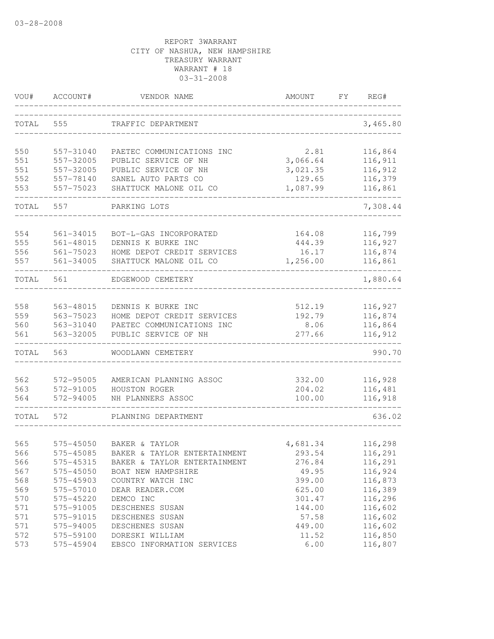| VOU#       | ACCOUNT#               | VENDOR NAME                                      | AMOUNT<br>FY.      | REG#               |
|------------|------------------------|--------------------------------------------------|--------------------|--------------------|
| TOTAL      | 555                    | TRAFFIC DEPARTMENT                               |                    | 3,465.80           |
| 550        | 557-31040              | PAETEC COMMUNICATIONS INC                        | 2.81               | 116,864            |
| 551        | 557-32005              | PUBLIC SERVICE OF NH                             | 3,066.64           | 116,911            |
| 551        | 557-32005              | PUBLIC SERVICE OF NH                             | 3,021.35           | 116,912            |
| 552        | 557-78140              | SANEL AUTO PARTS CO                              | 129.65             | 116,379            |
| 553        | 557-75023              | SHATTUCK MALONE OIL CO                           | 1,087.99           | 116,861            |
| TOTAL      | 557                    | PARKING LOTS                                     |                    | 7,308.44           |
| 554        | 561-34015              | BOT-L-GAS INCORPORATED                           | 164.08             | 116,799            |
| 555        | $561 - 48015$          | DENNIS K BURKE INC                               | 444.39             | 116,927            |
| 556        | $561 - 75023$          | HOME DEPOT CREDIT SERVICES                       | 16.17              | 116,874            |
| 557        | $561 - 34005$          | SHATTUCK MALONE OIL CO                           | 1,256.00           | 116,861            |
| TOTAL      | 561                    | EDGEWOOD CEMETERY                                |                    | 1,880.64           |
|            |                        |                                                  |                    |                    |
| 558<br>559 | 563-48015              | DENNIS K BURKE INC<br>HOME DEPOT CREDIT SERVICES | 512.19             | 116,927<br>116,874 |
| 560        | 563-75023<br>563-31040 | PAETEC COMMUNICATIONS INC                        | 192.79<br>8.06     | 116,864            |
| 561        | 563-32005              | PUBLIC SERVICE OF NH                             | 277.66             | 116,912            |
| TOTAL      | 563                    | WOODLAWN CEMETERY                                |                    | 990.70             |
| 562        | 572-95005              | AMERICAN PLANNING ASSOC                          | 332.00             | 116,928            |
| 563        | 572-91005              | HOUSTON ROGER                                    | 204.02             | 116,481            |
| 564        | 572-94005              | NH PLANNERS ASSOC                                | 100.00             | 116,918            |
| TOTAL      | 572                    | PLANNING DEPARTMENT                              |                    | 636.02             |
| 565        | 575-45050              | BAKER & TAYLOR                                   |                    |                    |
| 566        | 575-45085              | BAKER & TAYLOR ENTERTAINMENT                     | 4,681.34<br>293.54 | 116,298<br>116,291 |
| 566        | 575-45315              | BAKER & TAYLOR ENTERTAINMENT                     | 276.84             | 116,291            |
| 567        | 575-45050              | BOAT NEW HAMPSHIRE                               | 49.95              | 116,924            |
| 568        | 575-45903              | COUNTRY WATCH INC                                | 399.00             | 116,873            |
| 569        | 575-57010              | DEAR READER.COM                                  | 625.00             | 116,389            |
| 570        | 575-45220              | DEMCO INC                                        | 301.47             | 116,296            |
| 571        | 575-91005              | DESCHENES SUSAN                                  | 144.00             | 116,602            |
| 571        | 575-91015              | DESCHENES SUSAN                                  | 57.58              | 116,602            |
| 571        | 575-94005              | DESCHENES SUSAN                                  | 449.00             | 116,602            |
| 572        | 575-59100              | DORESKI WILLIAM                                  | 11.52              | 116,850            |
| 573        | 575-45904              | EBSCO INFORMATION SERVICES                       | 6.00               | 116,807            |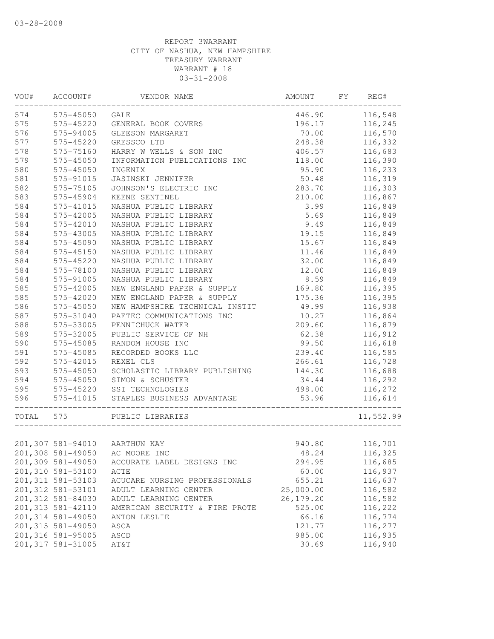| VOU#      | ACCOUNT#           | VENDOR NAME                    | AMOUNT      | FY REG#   |
|-----------|--------------------|--------------------------------|-------------|-----------|
|           | 574 575-45050      | GALE                           | 446.90      | 116,548   |
| 575       | 575-45220          | GENERAL BOOK COVERS            | 196.17      | 116,245   |
| 576       | 575-94005          | GLEESON MARGARET               | 70.00       | 116,570   |
| 577       | 575-45220          | GRESSCO LTD                    | 248.38      | 116,332   |
| 578       | 575-75160          | HARRY W WELLS & SON INC        | 406.57      | 116,683   |
| 579       | 575-45050          | INFORMATION PUBLICATIONS INC   | 118.00      | 116,390   |
| 580       | 575-45050          | INGENIX                        | 95.90       | 116,233   |
| 581       | 575-91015          | JASINSKI JENNIFER              | 50.48       | 116,319   |
| 582       | 575-75105          | JOHNSON'S ELECTRIC INC         | 283.70      | 116,303   |
| 583       | 575-45904          | KEENE SENTINEL                 | 210.00      | 116,867   |
| 584       | 575-41015          | NASHUA PUBLIC LIBRARY          | 3.99        | 116,849   |
| 584       | 575-42005          | NASHUA PUBLIC LIBRARY          | 5.69        | 116,849   |
| 584       | 575-42010          | NASHUA PUBLIC LIBRARY          | 9.49        | 116,849   |
| 584       | 575-43005          | NASHUA PUBLIC LIBRARY          | 19.15       | 116,849   |
| 584       | 575-45090          | NASHUA PUBLIC LIBRARY          | 15.67       | 116,849   |
| 584       | 575-45150          | NASHUA PUBLIC LIBRARY          | 11.46       | 116,849   |
| 584       | 575-45220          | NASHUA PUBLIC LIBRARY          | 32.00       | 116,849   |
| 584       | 575-78100          | NASHUA PUBLIC LIBRARY          | 12.00       | 116,849   |
| 584       | 575-91005          | NASHUA PUBLIC LIBRARY          | 8.59        | 116,849   |
| 585       | 575-42005          | NEW ENGLAND PAPER & SUPPLY     | 169.80      | 116,395   |
| 585       | 575-42020          | NEW ENGLAND PAPER & SUPPLY     | 175.36      | 116,395   |
| 586       | 575-45050          | NEW HAMPSHIRE TECHNICAL INSTIT | 49.99       | 116,938   |
| 587       | 575-31040          | PAETEC COMMUNICATIONS INC      | 10.27       | 116,864   |
| 588       | 575-33005          | PENNICHUCK WATER               | 209.60      | 116,879   |
| 589       | 575-32005          | PUBLIC SERVICE OF NH           | 62.38       | 116,912   |
| 590       | 575-45085          | RANDOM HOUSE INC               | 99.50       | 116,618   |
| 591       | 575-45085          | RECORDED BOOKS LLC             | 239.40      | 116,585   |
| 592       | 575-42015          | REXEL CLS                      | 266.61      | 116,728   |
| 593       | 575-45050          | SCHOLASTIC LIBRARY PUBLISHING  | 144.30      | 116,688   |
| 594       | 575-45050          | SIMON & SCHUSTER               | 34.44       | 116,292   |
| 595       | 575-45220          | SSI TECHNOLOGIES               | 498.00      | 116,272   |
| 596       | 575-41015          | STAPLES BUSINESS ADVANTAGE     | 53.96       | 116,614   |
| TOTAL 575 |                    | PUBLIC LIBRARIES               |             | 11,552.99 |
|           |                    |                                |             |           |
|           |                    | 201,307 581-94010 AARTHUN KAY  | 940.80      | 116,701   |
|           |                    | 201,308 581-49050 AC MOORE INC | 48.24       | 116,325   |
|           | 201,309 581-49050  | ACCURATE LABEL DESIGNS INC     | 294.95      | 116,685   |
|           | 201,310 581-53100  | ACTE                           | 60.00       | 116,937   |
|           | 201, 311 581-53103 | ACUCARE NURSING PROFESSIONALS  | 655.21      | 116,637   |
|           | 201, 312 581-53101 | ADULT LEARNING CENTER          | 25,000.00   | 116,582   |
|           | 201,312 581-84030  | ADULT LEARNING CENTER          | 26, 179. 20 | 116,582   |
|           | 201, 313 581-42110 | AMERICAN SECURITY & FIRE PROTE | 525.00      | 116,222   |
|           | 201,314 581-49050  | ANTON LESLIE                   | 66.16       | 116,774   |
|           | 201,315 581-49050  | ASCA                           | 121.77      | 116,277   |
|           | 201,316 581-95005  | ASCD                           | 985.00      | 116,935   |
|           | 201, 317 581-31005 | AT&T                           | 30.69       | 116,940   |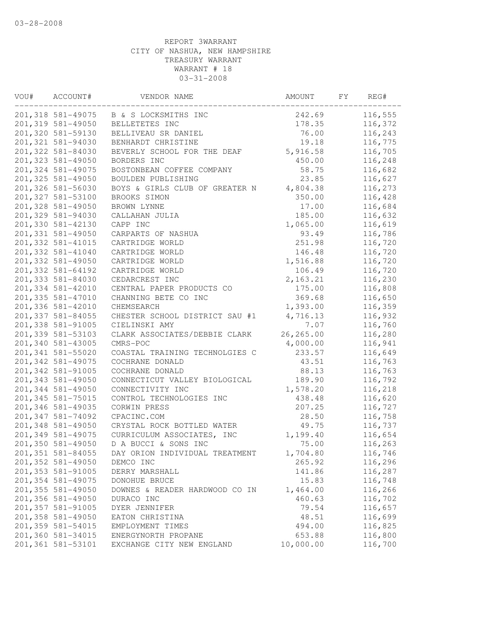| VOU# | ACCOUNT#<br>VENDOR NAME |                                | AMOUNT    | REG# |         |
|------|-------------------------|--------------------------------|-----------|------|---------|
|      | 201,318 581-49075       | B & S LOCKSMITHS INC           | 242.69    |      | 116,555 |
|      | 201,319 581-49050       | BELLETETES INC                 | 178.35    |      | 116,372 |
|      | 201,320 581-59130       | BELLIVEAU SR DANIEL            | 76.00     |      | 116,243 |
|      | 201,321 581-94030       | BENHARDT CHRISTINE             | 19.18     |      | 116,775 |
|      | 201,322 581-84030       | BEVERLY SCHOOL FOR THE DEAF    | 5,916.58  |      | 116,705 |
|      | 201,323 581-49050       | BORDERS INC                    | 450.00    |      | 116,248 |
|      | 201,324 581-49075       | BOSTONBEAN COFFEE COMPANY      | 58.75     |      | 116,682 |
|      | 201,325 581-49050       | BOULDEN PUBLISHING             | 23.85     |      | 116,627 |
|      | 201,326 581-56030       | BOYS & GIRLS CLUB OF GREATER N | 4,804.38  |      | 116,273 |
|      | 201,327 581-53100       | BROOKS SIMON                   | 350.00    |      | 116,428 |
|      | 201,328 581-49050       | BROWN LYNNE                    | 17.00     |      | 116,684 |
|      | 201,329 581-94030       | CALLAHAN JULIA                 | 185.00    |      | 116,632 |
|      | 201,330 581-42130       | CAPP INC                       | 1,065.00  |      | 116,619 |
|      | 201,331 581-49050       | CARPARTS OF NASHUA             | 93.49     |      | 116,786 |
|      | 201,332 581-41015       | CARTRIDGE WORLD                | 251.98    |      | 116,720 |
|      | 201,332 581-41040       | CARTRIDGE WORLD                | 146.48    |      | 116,720 |
|      | 201,332 581-49050       | CARTRIDGE WORLD                | 1,516.88  |      | 116,720 |
|      | 201,332 581-64192       | CARTRIDGE WORLD                | 106.49    |      | 116,720 |
|      | 201,333 581-84030       | CEDARCREST INC                 | 2, 163.21 |      | 116,230 |
|      | 201,334 581-42010       | CENTRAL PAPER PRODUCTS CO      | 175.00    |      | 116,808 |
|      | 201,335 581-47010       | CHANNING BETE CO INC           | 369.68    |      | 116,650 |
|      | 201,336 581-42010       | CHEMSEARCH                     | 1,393.00  |      | 116,359 |
|      | 201,337 581-84055       | CHESTER SCHOOL DISTRICT SAU #1 | 4,716.13  |      | 116,932 |
|      | 201,338 581-91005       | CIELINSKI AMY                  | 7.07      |      | 116,760 |
|      | 201,339 581-53103       | CLARK ASSOCIATES/DEBBIE CLARK  | 26,265.00 |      | 116,280 |
|      | 201,340 581-43005       | CMRS-POC                       | 4,000.00  |      | 116,941 |
|      | 201,341 581-55020       | COASTAL TRAINING TECHNOLGIES C | 233.57    |      | 116,649 |
|      | 201, 342 581-49075      | COCHRANE DONALD                | 43.51     |      | 116,763 |
|      | 201,342 581-91005       | COCHRANE DONALD                | 88.13     |      | 116,763 |
|      | 201,343 581-49050       | CONNECTICUT VALLEY BIOLOGICAL  | 189.90    |      | 116,792 |
|      | 201,344 581-49050       | CONNECTIVITY INC               | 1,578.20  |      | 116,218 |
|      | 201, 345 581-75015      | CONTROL TECHNOLOGIES INC       | 438.48    |      | 116,620 |
|      | 201,346 581-49035       | CORWIN PRESS                   | 207.25    |      | 116,727 |
|      | 201,347 581-74092       | CPACINC.COM                    | 28.50     |      | 116,758 |
|      | 201,348 581-49050       | CRYSTAL ROCK BOTTLED WATER     | 49.75     |      | 116,737 |
|      | 201,349 581-49075       | CURRICULUM ASSOCIATES, INC     | 1,199.40  |      | 116,654 |
|      | 201,350 581-49050       | D A BUCCI & SONS INC           | 75.00     |      | 116,263 |
|      | 201,351 581-84055       | DAY ORION INDIVIDUAL TREATMENT | 1,704.80  |      | 116,746 |
|      | 201,352 581-49050       | DEMCO INC                      | 265.92    |      | 116,296 |
|      | 201,353 581-91005       | DERRY MARSHALL                 | 141.86    |      | 116,287 |
|      | 201,354 581-49075       | DONOHUE BRUCE                  | 15.83     |      | 116,748 |
|      | 201,355 581-49050       | DOWNES & READER HARDWOOD CO IN | 1,464.00  |      | 116,266 |
|      | 201,356 581-49050       | DURACO INC                     | 460.63    |      | 116,702 |
|      | 201,357 581-91005       | DYER JENNIFER                  | 79.54     |      | 116,657 |
|      | 201,358 581-49050       | EATON CHRISTINA                | 48.51     |      | 116,699 |
|      | 201,359 581-54015       | EMPLOYMENT TIMES               | 494.00    |      | 116,825 |
|      | 201,360 581-34015       | ENERGYNORTH PROPANE            | 653.88    |      | 116,800 |
|      | 201,361 581-53101       | EXCHANGE CITY NEW ENGLAND      | 10,000.00 |      | 116,700 |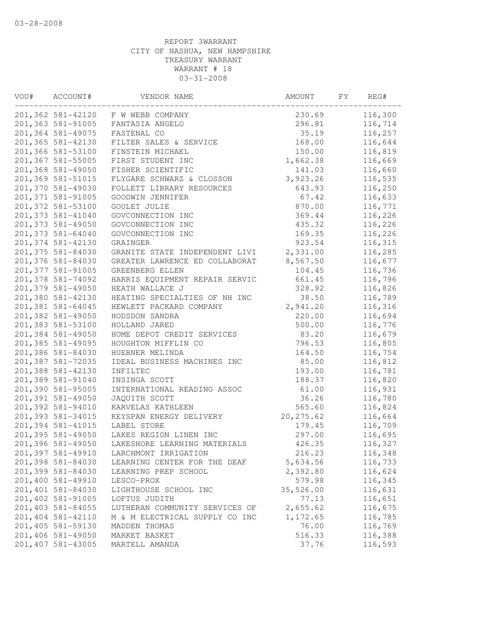| VOU# | ACCOUNT#<br>VENDOR NAME |                                    | AMOUNT<br>FY |  | REG#    |  |
|------|-------------------------|------------------------------------|--------------|--|---------|--|
|      |                         | 201,362 581-42120 F W WEBB COMPANY | 230.69       |  | 116,300 |  |
|      | 201,363 581-91005       | FANTASIA ANGELO                    | 296.81       |  | 116,714 |  |
|      | 201,364 581-49075       | FASTENAL CO                        | 35.19        |  | 116,257 |  |
|      | 201,365 581-42130       | FILTER SALES & SERVICE             | 168.00       |  | 116,644 |  |
|      | 201,366 581-53100       | FINSTEIN MICHAEL                   | 150.00       |  | 116,819 |  |
|      | 201,367 581-55005       | FIRST STUDENT INC                  | 1,662.38     |  | 116,669 |  |
|      | 201,368 581-49050       | FISHER SCIENTIFIC                  | 141.03       |  | 116,660 |  |
|      | 201,369 581-51015       | FLYGARE SCHWARZ & CLOSSON          | 3,923.26     |  | 116,535 |  |
|      | 201,370 581-49030       | FOLLETT LIBRARY RESOURCES          | 643.93       |  | 116,250 |  |
|      | 201,371 581-91005       | GOODWIN JENNIFER                   | 67.42        |  | 116,633 |  |
|      | 201,372 581-53100       | GOULET JULIE                       | 870.00       |  | 116,771 |  |
|      | 201,373 581-41040       | GOVCONNECTION INC                  | 369.44       |  | 116,226 |  |
|      | 201,373 581-49050       | GOVCONNECTION INC                  | 435.32       |  | 116,226 |  |
|      | 201,373 581-64040       | GOVCONNECTION INC                  | 169.35       |  | 116,226 |  |
|      | 201,374 581-42130       | GRAINGER                           | 923.54       |  | 116,315 |  |
|      | 201,375 581-84030       | GRANITE STATE INDEPENDENT LIVI     | 2,331.00     |  | 116,285 |  |
|      | 201,376 581-84030       | GREATER LAWRENCE ED COLLABORAT     | 8,567.50     |  | 116,677 |  |
|      | 201,377 581-91005       | GREENBERG ELLEN                    | 104.45       |  | 116,736 |  |
|      | 201,378 581-74092       | HARRIS EQUIPMENT REPAIR SERVIC     | 661.45       |  | 116,796 |  |
|      | 201,379 581-49050       | HEATH WALLACE J                    | 328.92       |  | 116,826 |  |
|      | 201,380 581-42130       | HEATING SPECIALTIES OF NH INC      | 38.50        |  | 116,789 |  |
|      | 201,381 581-64045       | HEWLETT PACKARD COMPANY            | 2,941.20     |  | 116,316 |  |
|      | 201,382 581-49050       | HODSDON SANDRA                     | 220.00       |  | 116,694 |  |
|      | 201,383 581-53100       | HOLLAND JARED                      | 500.00       |  | 116,776 |  |
|      | 201,384 581-49050       | HOME DEPOT CREDIT SERVICES         | 83.20        |  | 116,679 |  |
|      | 201,385 581-49095       | HOUGHTON MIFFLIN CO                | 796.53       |  | 116,805 |  |
|      | 201,386 581-84030       | HUEBNER MELINDA                    | 164.50       |  | 116,754 |  |
|      | 201,387 581-72035       | IDEAL BUSINESS MACHINES INC        | 85.00        |  | 116,812 |  |
|      | 201,388 581-42130       | INFILTEC                           | 193.00       |  | 116,781 |  |
|      | 201,389 581-91040       | INSINGA SCOTT                      | 188.37       |  | 116,820 |  |
|      | 201,390 581-95005       | INTERNATIONAL READING ASSOC        | 61.00        |  | 116,931 |  |
|      | 201,391 581-49050       | JAQUITH SCOTT                      | 36.26        |  | 116,780 |  |
|      | 201,392 581-94010       | KARVELAS KATHLEEN                  | 565.60       |  | 116,824 |  |
|      | 201,393 581-34015       | KEYSPAN ENERGY DELIVERY            | 20, 275.62   |  | 116,664 |  |
|      | 201,394 581-41015       | LABEL STORE                        | 179.45       |  | 116,709 |  |
|      | 201,395 581-49050       | LAKES REGION LINEN INC             | 297.00       |  | 116,695 |  |
|      | 201,396 581-49050       | LAKESHORE LEARNING MATERIALS       | 426.35       |  | 116,327 |  |
|      | 201,397 581-49910       | LARCHMONT IRRIGATION               | 216.23       |  | 116,348 |  |
|      | 201,398 581-84030       | LEARNING CENTER FOR THE DEAF       | 5,634.56     |  | 116,733 |  |
|      | 201,399 581-84030       | LEARNING PREP SCHOOL               | 2,392.80     |  | 116,624 |  |
|      | 201,400 581-49910       | LESCO-PROX                         | 579.98       |  | 116,345 |  |
|      | 201,401 581-84030       | LIGHTHOUSE SCHOOL INC              | 35,526.00    |  | 116,631 |  |
|      | 201,402 581-91005       | LOFTUS JUDITH                      | 77.13        |  | 116,651 |  |
|      | 201,403 581-84055       | LUTHERAN COMMUNITY SERVICES OF     | 2,655.62     |  | 116,675 |  |
|      | 201,404 581-42110       | M & M ELECTRICAL SUPPLY CO INC     | 1,172.65     |  | 116,785 |  |
|      | 201,405 581-59130       | MADDEN THOMAS                      | 76.00        |  | 116,769 |  |
|      | 201,406 581-49050       | MARKET BASKET                      | 516.33       |  | 116,388 |  |
|      | 201,407 581-43005       | MARTELL AMANDA                     | 37.76        |  | 116,593 |  |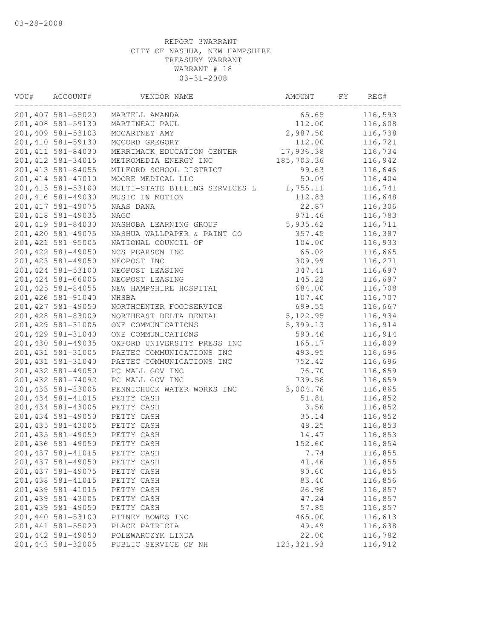| VOU# | ACCOUNT#<br>VENDOR NAME |                                | AMOUNT<br>FY |  | REG#    |  |
|------|-------------------------|--------------------------------|--------------|--|---------|--|
|      | 201,407 581-55020       | MARTELL AMANDA                 | 65.65        |  | 116,593 |  |
|      | 201,408 581-59130       | MARTINEAU PAUL                 | 112.00       |  | 116,608 |  |
|      | 201,409 581-53103       | MCCARTNEY AMY                  | 2,987.50     |  | 116,738 |  |
|      | 201,410 581-59130       | MCCORD GREGORY                 | 112.00       |  | 116,721 |  |
|      | 201, 411 581-84030      | MERRIMACK EDUCATION CENTER     | 17,936.38    |  | 116,734 |  |
|      | 201, 412 581-34015      | METROMEDIA ENERGY INC          | 185,703.36   |  | 116,942 |  |
|      | 201, 413 581-84055      | MILFORD SCHOOL DISTRICT        | 99.63        |  | 116,646 |  |
|      | 201, 414 581-47010      | MOORE MEDICAL LLC              | 50.09        |  | 116,404 |  |
|      | 201, 415 581-53100      | MULTI-STATE BILLING SERVICES L | 1,755.11     |  | 116,741 |  |
|      | 201,416 581-49030       | MUSIC IN MOTION                | 112.83       |  | 116,648 |  |
|      | 201, 417 581-49075      | NAAS DANA                      | 22.87        |  | 116,306 |  |
|      | 201, 418 581-49035      | <b>NAGC</b>                    | 971.46       |  | 116,783 |  |
|      | 201, 419 581-84030      | NASHOBA LEARNING GROUP         | 5,935.62     |  | 116,711 |  |
|      | 201,420 581-49075       | NASHUA WALLPAPER & PAINT CO    | 357.45       |  | 116,387 |  |
|      | 201, 421 581-95005      | NATIONAL COUNCIL OF            | 104.00       |  | 116,933 |  |
|      | 201, 422 581-49050      | NCS PEARSON INC                | 65.02        |  | 116,665 |  |
|      | 201, 423 581-49050      | NEOPOST INC                    | 309.99       |  | 116,271 |  |
|      | 201, 424 581-53100      | NEOPOST LEASING                | 347.41       |  | 116,697 |  |
|      | 201, 424 581-66005      | NEOPOST LEASING                | 145.22       |  | 116,697 |  |
|      | 201, 425 581-84055      | NEW HAMPSHIRE HOSPITAL         | 684.00       |  | 116,708 |  |
|      | 201, 426 581-91040      | NHSBA                          | 107.40       |  | 116,707 |  |
|      | 201, 427 581-49050      | NORTHCENTER FOODSERVICE        | 699.55       |  | 116,667 |  |
|      | 201,428 581-83009       | NORTHEAST DELTA DENTAL         | 5, 122.95    |  | 116,934 |  |
|      | 201, 429 581-31005      | ONE COMMUNICATIONS             | 5,399.13     |  | 116,914 |  |
|      | 201,429 581-31040       | ONE COMMUNICATIONS             | 590.46       |  | 116,914 |  |
|      | 201,430 581-49035       | OXFORD UNIVERSITY PRESS INC    | 165.17       |  | 116,809 |  |
|      | 201, 431 581-31005      | PAETEC COMMUNICATIONS INC      | 493.95       |  | 116,696 |  |
|      | 201, 431 581-31040      | PAETEC COMMUNICATIONS INC      | 752.42       |  | 116,696 |  |
|      | 201, 432 581-49050      | PC MALL GOV INC                | 76.70        |  | 116,659 |  |
|      | 201, 432 581-74092      | PC MALL GOV INC                | 739.58       |  | 116,659 |  |
|      | 201, 433 581-33005      | PENNICHUCK WATER WORKS INC     | 3,004.76     |  | 116,865 |  |
|      | 201, 434 581-41015      | PETTY CASH                     | 51.81        |  | 116,852 |  |
|      | 201, 434 581-43005      | PETTY CASH                     | 3.56         |  | 116,852 |  |
|      | 201, 434 581-49050      | PETTY CASH                     | 35.14        |  | 116,852 |  |
|      | 201, 435 581-43005      | PETTY CASH                     | 48.25        |  | 116,853 |  |
|      | 201, 435 581-49050      | PETTY CASH                     | 14.47        |  | 116,853 |  |
|      | 201, 436 581-49050      | PETTY CASH                     | 152.60       |  | 116,854 |  |
|      | 201, 437 581-41015      | PETTY CASH                     | 7.74         |  | 116,855 |  |
|      | 201, 437 581-49050      | PETTY CASH                     | 41.46        |  | 116,855 |  |
|      | 201, 437 581-49075      | PETTY CASH                     | 90.60        |  | 116,855 |  |
|      | 201, 438 581-41015      | PETTY CASH                     | 83.40        |  | 116,856 |  |
|      | 201, 439 581-41015      | PETTY CASH                     | 26.98        |  | 116,857 |  |
|      | 201,439 581-43005       | PETTY CASH                     | 47.24        |  | 116,857 |  |
|      | 201, 439 581-49050      | PETTY CASH                     | 57.85        |  | 116,857 |  |
|      | 201,440 581-53100       | PITNEY BOWES INC               | 465.00       |  | 116,613 |  |
|      | 201, 441 581-55020      | PLACE PATRICIA                 | 49.49        |  | 116,638 |  |
|      | 201, 442 581-49050      | POLEWARCZYK LINDA              | 22.00        |  | 116,782 |  |
|      | 201, 443 581-32005      | PUBLIC SERVICE OF NH           | 123, 321.93  |  | 116,912 |  |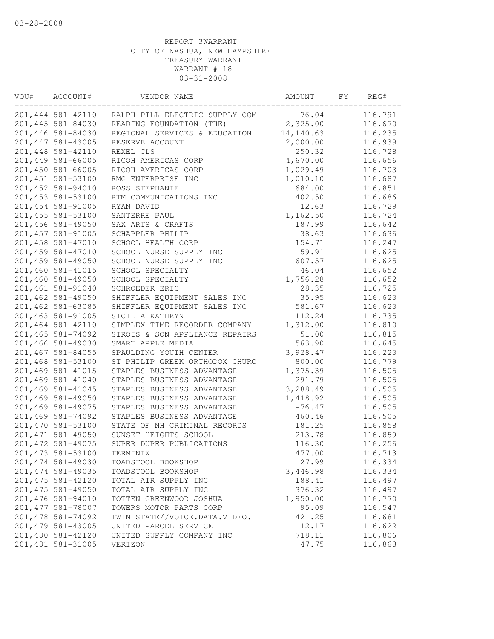| VOU# | ACCOUNT#<br>VENDOR NAME |                                                            | AMOUNT    | FY | REG#    |
|------|-------------------------|------------------------------------------------------------|-----------|----|---------|
|      | 201,444 581-42110       | RALPH PILL ELECTRIC SUPPLY COM                             | 76.04     |    | 116,791 |
|      | 201,445 581-84030       | READING FOUNDATION (THE)                                   | 2,325.00  |    | 116,670 |
|      | 201,446 581-84030       | REGIONAL SERVICES & EDUCATION                              | 14,140.63 |    | 116,235 |
|      | 201, 447 581-43005      | RESERVE ACCOUNT                                            | 2,000.00  |    | 116,939 |
|      | 201,448 581-42110       | REXEL CLS                                                  | 250.32    |    | 116,728 |
|      | 201,449 581-66005       | RICOH AMERICAS CORP                                        | 4,670.00  |    | 116,656 |
|      | 201,450 581-66005       | RICOH AMERICAS CORP                                        | 1,029.49  |    | 116,703 |
|      | 201, 451 581-53100      | RMG ENTERPRISE INC                                         | 1,010.10  |    | 116,687 |
|      | 201,452 581-94010       | ROSS STEPHANIE                                             | 684.00    |    | 116,851 |
|      | 201,453 581-53100       | RTM COMMUNICATIONS INC                                     | 402.50    |    | 116,686 |
|      | 201, 454 581-91005      | RYAN DAVID                                                 | 12.63     |    | 116,729 |
|      | 201, 455 581-53100      | SANTERRE PAUL                                              | 1,162.50  |    | 116,724 |
|      | 201,456 581-49050       | SAX ARTS & CRAFTS                                          | 187.99    |    | 116,642 |
|      | 201, 457 581-91005      | SCHAPPLER PHILIP                                           | 38.63     |    | 116,636 |
|      | 201, 458 581-47010      | SCHOOL HEALTH CORP                                         | 154.71    |    | 116,247 |
|      | 201, 459 581-47010      | SCHOOL NURSE SUPPLY INC                                    | 59.91     |    | 116,625 |
|      | 201,459 581-49050       | SCHOOL NURSE SUPPLY INC                                    | 607.57    |    | 116,625 |
|      | 201,460 581-41015       | SCHOOL SPECIALTY                                           | 46.04     |    | 116,652 |
|      | 201,460 581-49050       | SCHOOL SPECIALTY                                           | 1,756.28  |    | 116,652 |
|      | 201,461 581-91040       | SCHROEDER ERIC                                             | 28.35     |    | 116,725 |
|      | 201,462 581-49050       | SHIFFLER EQUIPMENT SALES INC                               | 35.95     |    | 116,623 |
|      | 201,462 581-63085       | SHIFFLER EQUIPMENT SALES INC                               | 581.67    |    | 116,623 |
|      | 201,463 581-91005       | SICILIA KATHRYN                                            | 112.24    |    | 116,735 |
|      | 201,464 581-42110       | SIMPLEX TIME RECORDER COMPANY                              | 1,312.00  |    | 116,810 |
|      | 201,465 581-74092       | SIROIS & SON APPLIANCE REPAIRS                             | 51.00     |    | 116,815 |
|      | 201,466 581-49030       | SMART APPLE MEDIA                                          | 563.90    |    | 116,645 |
|      | 201,467 581-84055       | SPAULDING YOUTH CENTER                                     | 3,928.47  |    | 116,223 |
|      | 201,468 581-53100       | ST PHILIP GREEK ORTHODOX CHURC                             | 800.00    |    | 116,779 |
|      | 201,469 581-41015       | STAPLES BUSINESS ADVANTAGE                                 | 1,375.39  |    | 116,505 |
|      | 201,469 581-41040       | STAPLES BUSINESS ADVANTAGE                                 | 291.79    |    | 116,505 |
|      | 201,469 581-41045       | STAPLES BUSINESS ADVANTAGE                                 | 3,288.49  |    | 116,505 |
|      | 201,469 581-49050       | STAPLES BUSINESS ADVANTAGE                                 | 1,418.92  |    | 116,505 |
|      | 201,469 581-49075       | STAPLES BUSINESS ADVANTAGE                                 | $-76.47$  |    | 116,505 |
|      | 201,469 581-74092       |                                                            |           |    |         |
|      | 201,470 581-53100       | STAPLES BUSINESS ADVANTAGE<br>STATE OF NH CRIMINAL RECORDS | 460.46    |    | 116,505 |
|      |                         |                                                            | 181.25    |    | 116,858 |
|      | 201, 471 581-49050      | SUNSET HEIGHTS SCHOOL                                      | 213.78    |    | 116,859 |
|      | 201, 472 581-49075      | SUPER DUPER PUBLICATIONS                                   | 116.30    |    | 116,256 |
|      | 201, 473 581-53100      | TERMINIX                                                   | 477.00    |    | 116,713 |
|      | 201, 474 581-49030      | TOADSTOOL BOOKSHOP                                         | 27.99     |    | 116,334 |
|      | 201, 474 581-49035      | TOADSTOOL BOOKSHOP                                         | 3,446.98  |    | 116,334 |
|      | 201, 475 581-42120      | TOTAL AIR SUPPLY INC                                       | 188.41    |    | 116,497 |
|      | 201, 475 581-49050      | TOTAL AIR SUPPLY INC                                       | 376.32    |    | 116,497 |
|      | 201,476 581-94010       | TOTTEN GREENWOOD JOSHUA                                    | 1,950.00  |    | 116,770 |
|      | 201, 477 581-78007      | TOWERS MOTOR PARTS CORP                                    | 95.09     |    | 116,547 |
|      | 201, 478 581-74092      | TWIN STATE//VOICE.DATA.VIDEO.I                             | 421.25    |    | 116,681 |
|      | 201, 479 581-43005      | UNITED PARCEL SERVICE                                      | 12.17     |    | 116,622 |
|      | 201,480 581-42120       | UNITED SUPPLY COMPANY INC                                  | 718.11    |    | 116,806 |
|      | 201,481 581-31005       | VERIZON                                                    | 47.75     |    | 116,868 |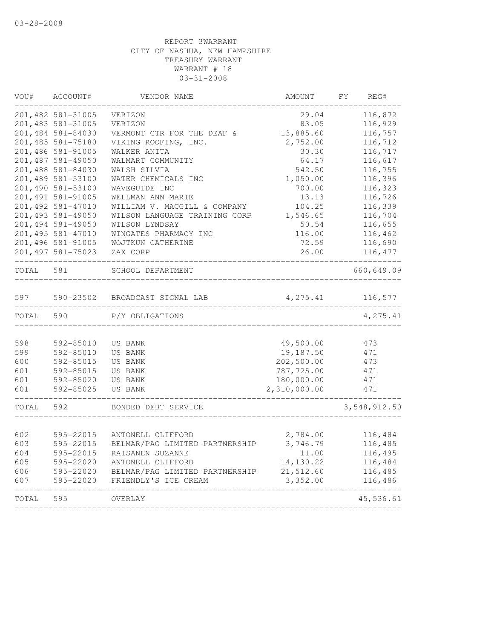| VOU#<br>ACCOUNT#<br>VENDOR NAME |                    | AMOUNT                         | FΥ           | REG# |              |
|---------------------------------|--------------------|--------------------------------|--------------|------|--------------|
|                                 | 201,482 581-31005  | VERIZON                        | 29.04        |      | 116,872      |
|                                 | 201, 483 581-31005 | VERIZON                        | 83.05        |      | 116,929      |
|                                 | 201,484 581-84030  | VERMONT CTR FOR THE DEAF &     | 13,885.60    |      | 116,757      |
|                                 | 201, 485 581-75180 | VIKING ROOFING, INC.           | 2,752.00     |      | 116,712      |
|                                 | 201,486 581-91005  | WALKER ANITA                   | 30.30        |      | 116,717      |
|                                 | 201, 487 581-49050 | WALMART COMMUNITY              | 64.17        |      | 116,617      |
|                                 | 201,488 581-84030  | WALSH SILVIA                   | 542.50       |      | 116,755      |
|                                 | 201,489 581-53100  | WATER CHEMICALS INC            | 1,050.00     |      | 116,396      |
|                                 | 201,490 581-53100  | WAVEGUIDE INC                  | 700.00       |      | 116,323      |
|                                 | 201, 491 581-91005 | WELLMAN ANN MARIE              | 13.13        |      | 116,726      |
|                                 | 201, 492 581-47010 | WILLIAM V. MACGILL & COMPANY   | 104.25       |      | 116,339      |
|                                 | 201, 493 581-49050 | WILSON LANGUAGE TRAINING CORP  | 1,546.65     |      | 116,704      |
|                                 | 201,494 581-49050  | WILSON LYNDSAY                 | 50.54        |      | 116,655      |
|                                 | 201, 495 581-47010 | WINGATES PHARMACY INC          | 116.00       |      | 116,462      |
|                                 | 201,496 581-91005  | WOJTKUN CATHERINE              | 72.59        |      | 116,690      |
|                                 | 201, 497 581-75023 | ZAX CORP                       | 26.00        |      | 116, 477     |
| TOTAL                           | 581                | SCHOOL DEPARTMENT              |              |      | 660,649.09   |
| 597                             | 590-23502          | BROADCAST SIGNAL LAB           | 4,275.41     |      | 116,577      |
| TOTAL                           | 590                | P/Y OBLIGATIONS                |              |      | 4,275.41     |
|                                 |                    |                                |              |      |              |
| 598                             | 592-85010          | US BANK                        | 49,500.00    |      | 473          |
| 599                             | 592-85010          | US BANK                        | 19,187.50    |      | 471          |
| 600                             | 592-85015          | US BANK                        | 202,500.00   |      | 473          |
| 601                             | 592-85015          | US BANK                        | 787,725.00   |      | 471          |
| 601                             | 592-85020          | US BANK                        | 180,000.00   |      | 471          |
| 601                             | 592-85025          | <b>US BANK</b>                 | 2,310,000.00 |      | 471          |
| TOTAL                           | 592                | BONDED DEBT SERVICE            |              |      | 3,548,912.50 |
| 602                             | 595-22015          | ANTONELL CLIFFORD              | 2,784.00     |      | 116,484      |
| 603                             | 595-22015          | BELMAR/PAG LIMITED PARTNERSHIP | 3,746.79     |      | 116,485      |
| 604                             | 595-22015          | RAISANEN SUZANNE               | 11.00        |      | 116,495      |
| 605                             | 595-22020          | ANTONELL CLIFFORD              | 14,130.22    |      | 116,484      |
| 606                             | 595-22020          | BELMAR/PAG LIMITED PARTNERSHIP | 21,512.60    |      | 116,485      |
| 607                             | 595-22020          | FRIENDLY'S ICE CREAM           | 3,352.00     |      | 116,486      |
| TOTAL                           | 595                | OVERLAY                        |              |      | 45,536.61    |
|                                 |                    |                                |              |      |              |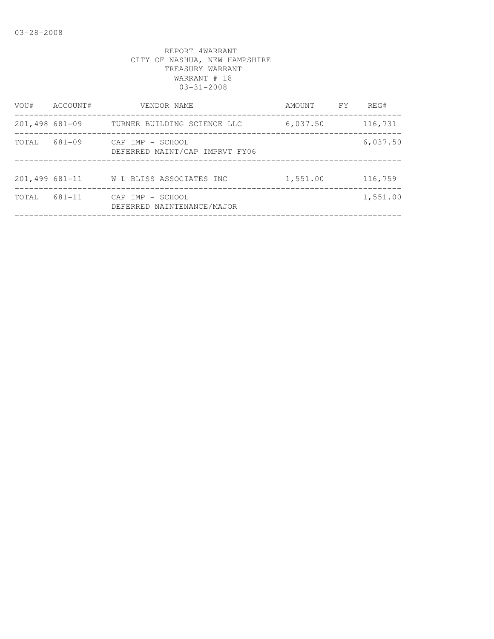| VOU#              | ACCOUNT# | VENDOR NAME                                        | AMOUNT   | FY | REG#     |
|-------------------|----------|----------------------------------------------------|----------|----|----------|
| $201,498$ 681-09  |          | TURNER BUILDING SCIENCE LLC                        | 6,037.50 |    | 116,731  |
| TOTAL             | 681-09   | CAP IMP - SCHOOL<br>DEFERRED MAINT/CAP IMPRVT FY06 |          |    | 6,037.50 |
| $201,499681 - 11$ |          | W L BLISS ASSOCIATES INC                           | 1,551.00 |    | 116,759  |
| TOTAL             | 681-11   | CAP IMP - SCHOOL<br>DEFERRED NAINTENANCE/MAJOR     |          |    | 1,551.00 |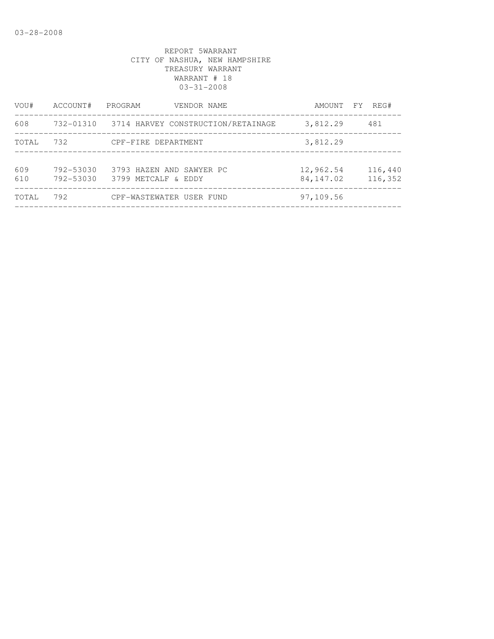| VOU#       | ACCOUNT#               | PROGRAM<br>VENDOR NAME                          | AMOUNT FY              | REG#               |
|------------|------------------------|-------------------------------------------------|------------------------|--------------------|
| 608        |                        | 732-01310 3714 HARVEY CONSTRUCTION/RETAINAGE    | 3,812.29               | 481                |
| TOTAL      | 732                    | CPF-FIRE DEPARTMENT                             | 3,812.29               |                    |
| 609<br>610 | 792-53030<br>792-53030 | 3793 HAZEN AND SAWYER PC<br>3799 METCALF & EDDY | 12,962.54<br>84,147.02 | 116,440<br>116,352 |
| TOTAL      | 792                    | CPF-WASTEWATER USER FUND                        | 97,109.56              |                    |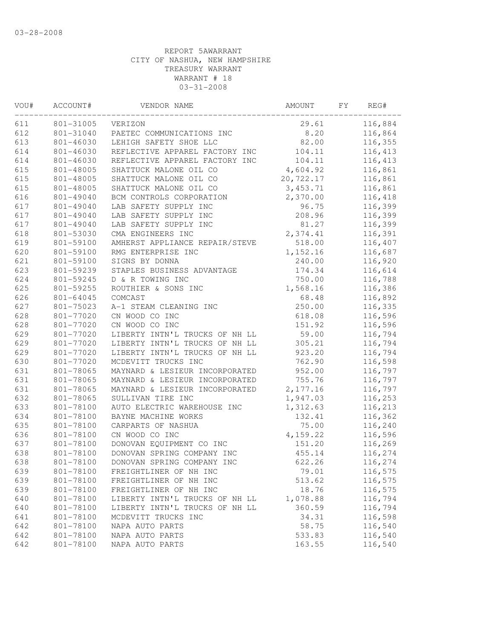| VOU# | ACCOUNT#<br>VENDOR NAME |                                | AMOUNT    | FY. | REG#     |
|------|-------------------------|--------------------------------|-----------|-----|----------|
| 611  | 801-31005               | VERIZON                        | 29.61     |     | 116,884  |
| 612  | 801-31040               | PAETEC COMMUNICATIONS INC      | 8.20      |     | 116,864  |
| 613  | 801-46030               | LEHIGH SAFETY SHOE LLC         | 82.00     |     | 116,355  |
| 614  | 801-46030               | REFLECTIVE APPAREL FACTORY INC | 104.11    |     | 116, 413 |
| 614  | 801-46030               | REFLECTIVE APPAREL FACTORY INC | 104.11    |     | 116, 413 |
| 615  | 801-48005               | SHATTUCK MALONE OIL CO         | 4,604.92  |     | 116,861  |
| 615  | 801-48005               | SHATTUCK MALONE OIL CO         | 20,722.17 |     | 116,861  |
| 615  | 801-48005               | SHATTUCK MALONE OIL CO         | 3, 453.71 |     | 116,861  |
| 616  | 801-49040               | BCM CONTROLS CORPORATION       | 2,370.00  |     | 116,418  |
| 617  | 801-49040               | LAB SAFETY SUPPLY INC          | 96.75     |     | 116,399  |
| 617  | 801-49040               | LAB SAFETY SUPPLY INC          | 208.96    |     | 116,399  |
| 617  | 801-49040               | LAB SAFETY SUPPLY INC          | 81.27     |     | 116,399  |
| 618  | 801-53030               | CMA ENGINEERS INC              | 2,374.41  |     | 116,391  |
| 619  | 801-59100               | AMHERST APPLIANCE REPAIR/STEVE | 518.00    |     | 116,407  |
| 620  | 801-59100               | RMG ENTERPRISE INC             | 1,152.16  |     | 116,687  |
| 621  | 801-59100               | SIGNS BY DONNA                 | 240.00    |     | 116,920  |
| 623  | 801-59239               | STAPLES BUSINESS ADVANTAGE     | 174.34    |     | 116,614  |
| 624  | 801-59245               | D & R TOWING INC               | 750.00    |     | 116,788  |
| 625  | 801-59255               | ROUTHIER & SONS INC            | 1,568.16  |     | 116,386  |
| 626  | 801-64045               | COMCAST                        | 68.48     |     | 116,892  |
| 627  | 801-75023               | A-1 STEAM CLEANING INC         | 250.00    |     | 116,335  |
| 628  | 801-77020               | CN WOOD CO INC                 | 618.08    |     | 116,596  |
| 628  | 801-77020               | CN WOOD CO INC                 | 151.92    |     | 116,596  |
| 629  | 801-77020               | LIBERTY INTN'L TRUCKS OF NH LL | 59.00     |     | 116,794  |
| 629  | 801-77020               | LIBERTY INTN'L TRUCKS OF NH LL | 305.21    |     | 116,794  |
| 629  | 801-77020               | LIBERTY INTN'L TRUCKS OF NH LL | 923.20    |     | 116,794  |
| 630  | 801-77020               | MCDEVITT TRUCKS INC            | 762.90    |     | 116,598  |
| 631  | 801-78065               | MAYNARD & LESIEUR INCORPORATED | 952.00    |     | 116,797  |
| 631  | 801-78065               | MAYNARD & LESIEUR INCORPORATED | 755.76    |     | 116,797  |
| 631  | 801-78065               | MAYNARD & LESIEUR INCORPORATED | 2, 177.16 |     | 116,797  |
| 632  | 801-78065               | SULLIVAN TIRE INC              | 1,947.03  |     | 116,253  |
| 633  | 801-78100               | AUTO ELECTRIC WAREHOUSE INC    | 1,312.63  |     | 116,213  |
| 634  | 801-78100               | BAYNE MACHINE WORKS            | 132.41    |     | 116,362  |
| 635  | 801-78100               | CARPARTS OF NASHUA             | 75.00     |     | 116,240  |
| 636  | 801-78100               | CN WOOD CO INC                 | 4,159.22  |     | 116,596  |
| 637  | 801-78100               | DONOVAN EQUIPMENT CO INC       | 151.20    |     | 116,269  |
| 638  | 801-78100               | DONOVAN SPRING COMPANY INC     | 455.14    |     | 116,274  |
| 638  | 801-78100               | DONOVAN SPRING COMPANY INC     | 622.26    |     | 116,274  |
| 639  | 801-78100               | FREIGHTLINER OF NH INC         | 79.01     |     | 116,575  |
| 639  | 801-78100               | FREIGHTLINER OF NH INC         | 513.62    |     | 116,575  |
| 639  | 801-78100               | FREIGHTLINER OF NH INC         | 18.76     |     | 116,575  |
| 640  | 801-78100               | LIBERTY INTN'L TRUCKS OF NH LL | 1,078.88  |     | 116,794  |
| 640  | 801-78100               | LIBERTY INTN'L TRUCKS OF NH LL | 360.59    |     | 116,794  |
| 641  | 801-78100               | MCDEVITT TRUCKS INC            | 34.31     |     | 116,598  |
| 642  | 801-78100               | NAPA AUTO PARTS                | 58.75     |     | 116,540  |
| 642  | 801-78100               | NAPA AUTO PARTS                | 533.83    |     | 116,540  |
| 642  | 801-78100               | NAPA AUTO PARTS                | 163.55    |     | 116,540  |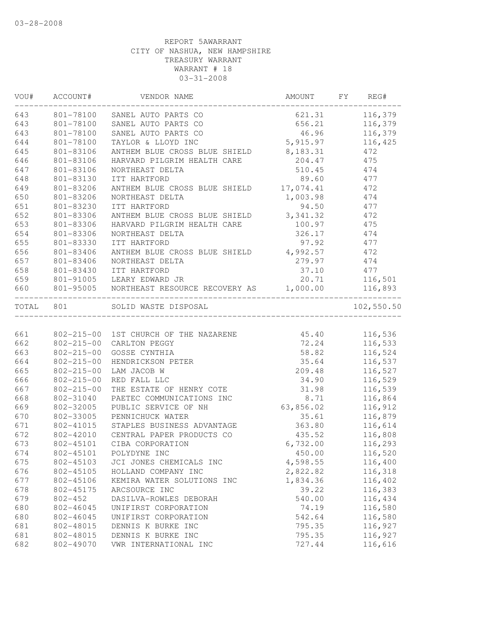| VOU# ACCOUNT#<br>VENDOR NAME |                  | AMOUNT FY REG#                                    |                    |                |
|------------------------------|------------------|---------------------------------------------------|--------------------|----------------|
| 643                          |                  | 801-78100 SANEL AUTO PARTS CO                     |                    | 621.31 116,379 |
| 643                          | 801-78100        | SANEL AUTO PARTS CO                               |                    | 656.21 116,379 |
| 643                          | 801-78100        | SANEL AUTO PARTS CO                               | 46.96 116,379      |                |
| 644                          | 801-78100        | TAYLOR & LLOYD INC                                | 5, 915.97 116, 425 |                |
| 645                          | 801-83106        | ANTHEM BLUE CROSS BLUE SHIELD                     | 8, 183. 31         | 472            |
| 646                          | 801-83106        | HARVARD PILGRIM HEALTH CARE                       | 204.47             | 475            |
| 647                          | 801-83106        | NORTHEAST DELTA                                   | 510.45             | 474            |
| 648                          | 801-83130        | ITT HARTFORD                                      | 89.60              | 477            |
| 649                          | 801-83206        | ANTHEM BLUE CROSS BLUE SHIELD 17,074.41           |                    | 472            |
| 650                          | 801-83206        | NORTHEAST DELTA                                   | 1,003.98 474       |                |
| 651                          | 801-83230        | ITT HARTFORD                                      | 94.50 477          |                |
| 652                          | 801-83306        | ANTHEM BLUE CROSS BLUE SHIELD 3,341.32 472        |                    |                |
| 653                          | 801-83306        | HARVARD PILGRIM HEALTH CARE                       | 100.97             | 475            |
| 654                          | 801-83306        | NORTHEAST DELTA                                   | 326.17             | 474            |
| 655                          | 801-83330        | ITT HARTFORD                                      | 97.92              | 477            |
| 656                          | 801-83406        | ANTHEM BLUE CROSS BLUE SHIELD                     | 4,992.57           | 472            |
| 657                          | 801-83406        | NORTHEAST DELTA                                   | 279.97             | 474            |
| 658                          | 801-83430        | ITT HARTFORD                                      | 37.10              | 477            |
| 659                          |                  | 801-91005 LEARY EDWARD JR                         | 20.71 116,501      |                |
| 660                          |                  | 801-95005 NORTHEAST RESOURCE RECOVERY AS 1,000.00 |                    | 116,893        |
| TOTAL 801                    |                  | ------------------------<br>SOLID WASTE DISPOSAL  |                    | 102,550.50     |
|                              |                  |                                                   |                    |                |
| 661                          |                  | 802-215-00 1ST CHURCH OF THE NAZARENE 45.40       |                    | 116,536        |
| 662                          | $802 - 215 - 00$ | CARLTON PEGGY                                     | 72.24              | 116,533        |
| 663                          | $802 - 215 - 00$ | GOSSE CYNTHIA                                     | 58.82              | 116,524        |
| 664                          | $802 - 215 - 00$ | HENDRICKSON PETER                                 | 35.64 116,537      |                |
| 665                          | $802 - 215 - 00$ | LAM JACOB W                                       | 209.48             | 116,527        |
| 666                          | $802 - 215 - 00$ | RED FALL LLC                                      | 34.90              | 116,529        |
| 667                          | $802 - 215 - 00$ | THE ESTATE OF HENRY COTE                          | 31.98              | 116,539        |
| 668                          | 802-31040        | PAETEC COMMUNICATIONS INC                         | 8.71               | 116,864        |
| 669                          | 802-32005        | PUBLIC SERVICE OF NH                              | 63,856.02          | 116,912        |
| 670                          | 802-33005        | PENNICHUCK WATER                                  | 35.61              | 116,879        |
| 671                          |                  | 802-41015 STAPLES BUSINESS ADVANTAGE              | 363.80             | 116,614        |
| 672                          |                  | 802-42010 CENTRAL PAPER PRODUCTS CO               | 435.52             | 116,808        |
| 673                          | 802-45101        | CIBA CORPORATION                                  | 6,732.00           | 116,293        |
| 674                          |                  | 802-45101 POLYDYNE INC                            | 450.00             | 116,520        |
| 675                          | 802-45103        | JCI JONES CHEMICALS INC                           | 4,598.55           | 116,400        |
| 676                          | 802-45105        | HOLLAND COMPANY INC                               | 2,822.82           | 116,318        |
| 677                          | 802-45106        | KEMIRA WATER SOLUTIONS INC                        | 1,834.36           | 116,402        |
| 678                          | 802-45175        | ARCSOURCE INC                                     | 39.22              | 116,383        |
|                              |                  |                                                   | 540.00             |                |
| 679                          | $802 - 452$      | DASILVA-ROWLES DEBORAH                            |                    | 116,434        |
| 680                          | 802-46045        | UNIFIRST CORPORATION                              | 74.19              | 116,580        |
| 680                          | 802-46045        | UNIFIRST CORPORATION                              | 542.64             | 116,580        |
| 681                          | 802-48015        | DENNIS K BURKE INC                                | 795.35             | 116,927        |
| 681                          | 802-48015        | DENNIS K BURKE INC                                | 795.35             | 116,927        |
| 682                          | 802-49070        | VWR INTERNATIONAL INC                             | 727.44             | 116,616        |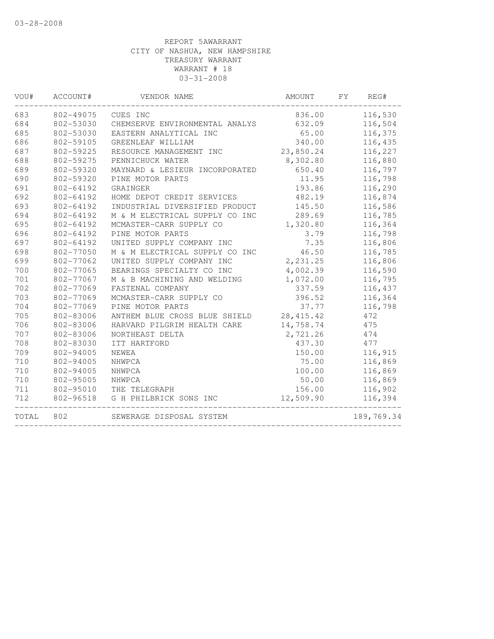| VOU#  | ACCOUNT#  | VENDOR NAME                    | AMOUNT     | FY | REG#       |
|-------|-----------|--------------------------------|------------|----|------------|
| 683   | 802-49075 | CUES INC                       | 836.00     |    | 116,530    |
| 684   | 802-53030 | CHEMSERVE ENVIRONMENTAL ANALYS | 632.09     |    | 116,504    |
| 685   | 802-53030 | EASTERN ANALYTICAL INC         | 65.00      |    | 116,375    |
| 686   | 802-59105 | GREENLEAF WILLIAM              | 340.00     |    | 116,435    |
| 687   | 802-59225 | RESOURCE MANAGEMENT INC        | 23,850.24  |    | 116,227    |
| 688   | 802-59275 | PENNICHUCK WATER               | 8,302.80   |    | 116,880    |
| 689   | 802-59320 | MAYNARD & LESIEUR INCORPORATED | 650.40     |    | 116,797    |
| 690   | 802-59320 | PINE MOTOR PARTS               | 11.95      |    | 116,798    |
| 691   | 802-64192 | GRAINGER                       | 193.86     |    | 116,290    |
| 692   | 802-64192 | HOME DEPOT CREDIT SERVICES     | 482.19     |    | 116,874    |
| 693   | 802-64192 | INDUSTRIAL DIVERSIFIED PRODUCT | 145.50     |    | 116,586    |
| 694   | 802-64192 | M & M ELECTRICAL SUPPLY CO INC | 289.69     |    | 116,785    |
| 695   | 802-64192 | MCMASTER-CARR SUPPLY CO        | 1,320.80   |    | 116,364    |
| 696   | 802-64192 | PINE MOTOR PARTS               | 3.79       |    | 116,798    |
| 697   | 802-64192 | UNITED SUPPLY COMPANY INC      | 7.35       |    | 116,806    |
| 698   | 802-77050 | M & M ELECTRICAL SUPPLY CO INC | 46.50      |    | 116,785    |
| 699   | 802-77062 | UNITED SUPPLY COMPANY INC      | 2, 231.25  |    | 116,806    |
| 700   | 802-77065 | BEARINGS SPECIALTY CO INC      | 4,002.39   |    | 116,590    |
| 701   | 802-77067 | M & B MACHINING AND WELDING    | 1,072.00   |    | 116,795    |
| 702   | 802-77069 | FASTENAL COMPANY               | 337.59     |    | 116,437    |
| 703   | 802-77069 | MCMASTER-CARR SUPPLY CO        | 396.52     |    | 116,364    |
| 704   | 802-77069 | PINE MOTOR PARTS               | 37.77      |    | 116,798    |
| 705   | 802-83006 | ANTHEM BLUE CROSS BLUE SHIELD  | 28, 415.42 |    | 472        |
| 706   | 802-83006 | HARVARD PILGRIM HEALTH CARE    | 14,758.74  |    | 475        |
| 707   | 802-83006 | NORTHEAST DELTA                | 2,721.26   |    | 474        |
| 708   | 802-83030 | ITT HARTFORD                   | 437.30     |    | 477        |
| 709   | 802-94005 | NEWEA                          | 150.00     |    | 116,915    |
| 710   | 802-94005 | NHWPCA                         | 75.00      |    | 116,869    |
| 710   | 802-94005 | NHWPCA                         | 100.00     |    | 116,869    |
| 710   | 802-95005 | NHWPCA                         | 50.00      |    | 116,869    |
| 711   | 802-95010 | THE TELEGRAPH                  | 156.00     |    | 116,902    |
| 712   | 802-96518 | G H PHILBRICK SONS INC         | 12,509.90  |    | 116,394    |
| TOTAL | 802       | SEWERAGE DISPOSAL SYSTEM       |            |    | 189,769.34 |
|       |           |                                |            |    |            |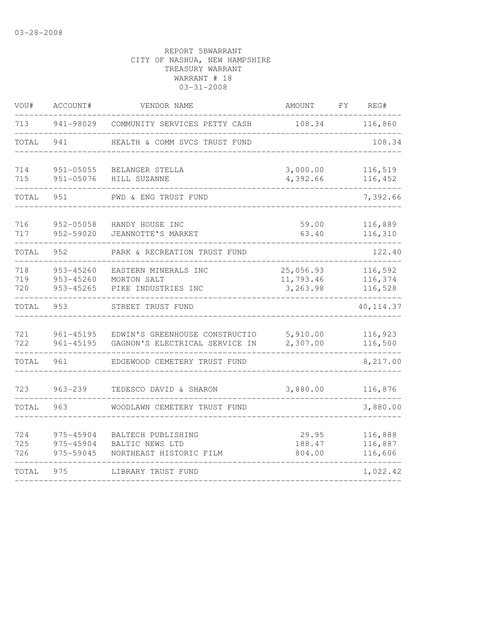| VOU#              | ACCOUNT#                            | VENDOR NAME                                                      | AMOUNT                    | FΥ                            | REG#                          |  |
|-------------------|-------------------------------------|------------------------------------------------------------------|---------------------------|-------------------------------|-------------------------------|--|
| 713               | 941-98029                           | COMMUNITY SERVICES PETTY CASH                                    | 108.34                    |                               | 116,860                       |  |
| TOTAL             | 941                                 | HEALTH & COMM SVCS TRUST FUND                                    |                           |                               | 108.34                        |  |
| 714<br>715        | $951 - 05055$<br>$951 - 05076$      | BELANGER STELLA<br>HILL SUZANNE                                  | 3,000.00<br>4,392.66      |                               |                               |  |
| TOTAL             | 951                                 | PWD & ENG TRUST FUND                                             |                           |                               | 7,392.66                      |  |
| 716<br>717        | 952-05058<br>952-59020              | HANDY HOUSE INC<br>JEANNOTTE'S MARKET                            | 59.00<br>63.40            |                               | 116,889<br>116,310            |  |
| TOTAL             | 952                                 | PARK & RECREATION TRUST FUND                                     |                           |                               | 122.40                        |  |
| 718<br>719<br>720 | 953-45260<br>953-45260<br>953-45265 | EASTERN MINERALS INC<br>MORTON SALT<br>PIKE INDUSTRIES INC       |                           | 116,592<br>116,374<br>116,528 |                               |  |
| TOTAL             | 953                                 | STREET TRUST FUND                                                |                           |                               | 40, 114.37                    |  |
| 721<br>722        | $961 - 45195$<br>$961 - 45195$      | EDWIN'S GREENHOUSE CONSTRUCTIO<br>GAGNON'S ELECTRICAL SERVICE IN | 5,910.00<br>2,307.00      |                               | 116,923<br>116,500            |  |
| TOTAL             | 961                                 | EDGEWOOD CEMETERY TRUST FUND                                     |                           |                               | 8,217.00                      |  |
| 723               | $963 - 239$                         | TEDESCO DAVID & SHARON                                           | 3,880.00                  |                               | 116,876                       |  |
| TOTAL             | 963                                 | WOODLAWN CEMETERY TRUST FUND                                     |                           |                               | 3,880.00                      |  |
| 724<br>725<br>726 | 975-45904<br>975-45904<br>975-59045 | BALTECH PUBLISHING<br>BALTIC NEWS LTD<br>NORTHEAST HISTORIC FILM | 29.95<br>188.47<br>804.00 |                               | 116,888<br>116,887<br>116,606 |  |
| TOTAL             | 975                                 | LIBRARY TRUST FUND                                               |                           |                               | 1,022.42                      |  |
|                   |                                     |                                                                  |                           |                               |                               |  |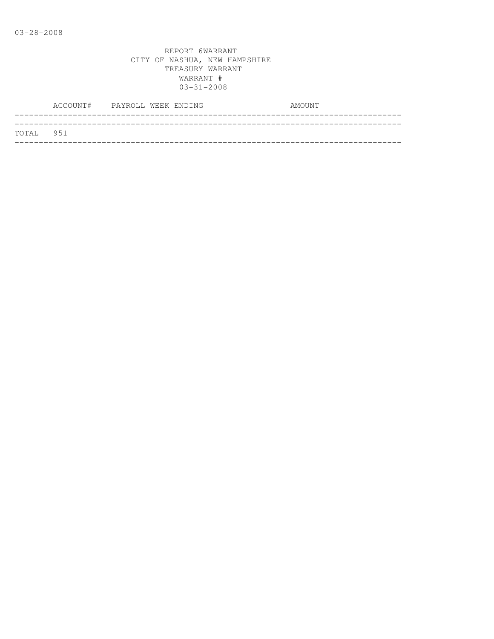|           | ACCOUNT# PAYROLL WEEK ENDING |  | AMOUNT |
|-----------|------------------------------|--|--------|
|           |                              |  |        |
| TOTAL 951 |                              |  |        |
|           |                              |  |        |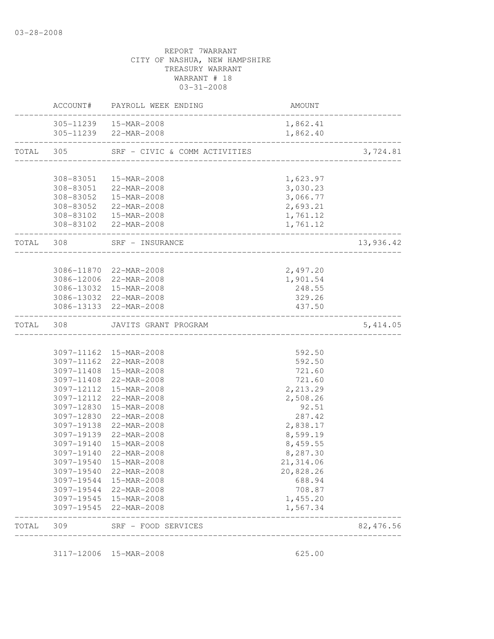|           | ACCOUNT#               | PAYROLL WEEK ENDING                                     | AMOUNT               |            |
|-----------|------------------------|---------------------------------------------------------|----------------------|------------|
|           |                        | 305-11239  15-MAR-2008<br>305-11239 22-MAR-2008         | 1,862.41<br>1,862.40 |            |
| TOTAL 305 |                        | SRF - CIVIC & COMM ACTIVITIES                           |                      | 3,724.81   |
|           |                        |                                                         |                      |            |
|           | 308-83051              | 15-MAR-2008                                             | 1,623.97             |            |
|           |                        | 308-83051 22-MAR-2008                                   | 3,030.23             |            |
|           | 308-83052<br>308-83052 | 15-MAR-2008                                             | 3,066.77             |            |
|           |                        | 22-MAR-2008<br>308-83102  15-MAR-2008                   | 2,693.21<br>1,761.12 |            |
|           |                        | 308-83102 22-MAR-2008                                   | 1,761.12             |            |
| TOTAL     | 308                    | SRF - INSURANCE<br><u> 2002 - Alexandria Alexandria</u> |                      | 13,936.42  |
|           |                        |                                                         |                      |            |
|           |                        | 3086-11870 22-MAR-2008                                  | 2,497.20             |            |
|           |                        | 3086-12006 22-MAR-2008<br>3086-13032 15-MAR-2008        | 1,901.54             |            |
|           |                        | 3086-13032 22-MAR-2008                                  | 248.55<br>329.26     |            |
|           |                        | 3086-13133 22-MAR-2008                                  | 437.50               |            |
| TOTAL     | 308                    | JAVITS GRANT PROGRAM<br>___________________             |                      | 5,414.05   |
|           |                        |                                                         |                      |            |
|           |                        | 3097-11162 15-MAR-2008                                  | 592.50               |            |
|           | 3097-11162             | 22-MAR-2008                                             | 592.50               |            |
|           | 3097-11408             | 3097-11408 15-MAR-2008<br>22-MAR-2008                   | 721.60<br>721.60     |            |
|           | 3097-12112             | 15-MAR-2008                                             | 2,213.29             |            |
|           | 3097-12112             | 22-MAR-2008                                             | 2,508.26             |            |
|           | 3097-12830             | 15-MAR-2008                                             | 92.51                |            |
|           | 3097-12830             | 22-MAR-2008                                             | 287.42               |            |
|           | 3097-19138             | 22-MAR-2008                                             | 2,838.17             |            |
|           |                        | 3097-19139 22-MAR-2008                                  | 8,599.19             |            |
|           | 3097-19140             | 15-MAR-2008                                             | 8,459.55             |            |
|           | 3097-19140             | 22-MAR-2008                                             | 8,287.30             |            |
|           |                        | 3097-19540  15-MAR-2008                                 | 21, 314.06           |            |
|           | 3097-19540             | 22-MAR-2008                                             | 20,828.26            |            |
|           |                        | 3097-19544 15-MAR-2008                                  | 688.94               |            |
|           |                        | 3097-19544 22-MAR-2008                                  | 708.87               |            |
|           |                        | 3097-19545 15-MAR-2008                                  | 1,455.20             |            |
|           |                        | 3097-19545 22-MAR-2008                                  | 1,567.34             |            |
| TOTAL     | 309                    | SRF - FOOD SERVICES<br>________________                 |                      | 82, 476.56 |

3117-12006 15-MAR-2008 625.00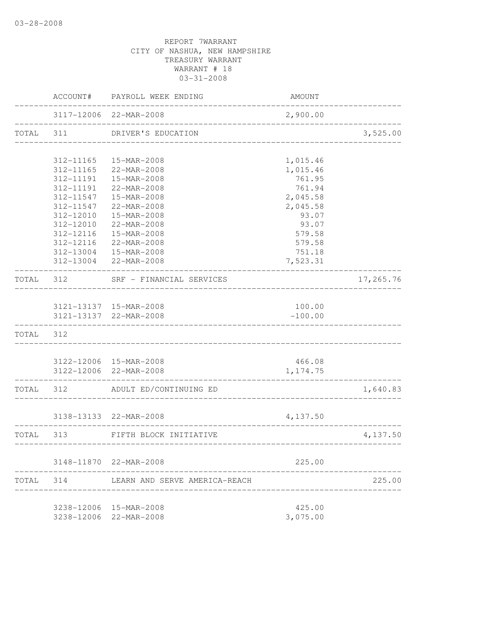|       | ACCOUNT#          | PAYROLL WEEK ENDING                             | AMOUNT    |           |
|-------|-------------------|-------------------------------------------------|-----------|-----------|
|       |                   | 3117-12006 22-MAR-2008                          | 2,900.00  |           |
| TOTAL | 311               | DRIVER'S EDUCATION                              |           | 3,525.00  |
|       | 312-11165         | 15-MAR-2008                                     | 1,015.46  |           |
|       | 312-11165         | 22-MAR-2008                                     | 1,015.46  |           |
|       | 312-11191         | 15-MAR-2008                                     | 761.95    |           |
|       | 312-11191         | 22-MAR-2008                                     | 761.94    |           |
|       | 312-11547         | 15-MAR-2008                                     | 2,045.58  |           |
|       | 312-11547         | 22-MAR-2008                                     | 2,045.58  |           |
|       | 312-12010         | 15-MAR-2008                                     | 93.07     |           |
|       | 312-12010         | 22-MAR-2008                                     | 93.07     |           |
|       | 312-12116         | 15-MAR-2008                                     | 579.58    |           |
|       | 312-12116         | 22-MAR-2008                                     | 579.58    |           |
|       | 312-13004         | $15 - MAR - 2008$                               | 751.18    |           |
|       |                   | 312-13004 22-MAR-2008                           | 7,523.31  |           |
|       |                   | TOTAL 312 SRF - FINANCIAL SERVICES              |           | 17,265.76 |
|       |                   |                                                 |           |           |
|       |                   | 3121-13137  15-MAR-2008                         | 100.00    |           |
|       |                   | 3121-13137 22-MAR-2008<br>_____________         | $-100.00$ |           |
| TOTAL | 312               |                                                 |           |           |
|       |                   | 3122-12006 15-MAR-2008                          | 466.08    |           |
|       |                   | 3122-12006 22-MAR-2008                          | 1, 174.75 |           |
|       | ----------------- | TOTAL 312 ADULT ED/CONTINUING ED                |           | 1,640.83  |
|       |                   | 3138-13133 22-MAR-2008                          | 4,137.50  |           |
|       |                   |                                                 |           |           |
| TOTAL | 313               | FIFTH BLOCK INITIATIVE<br>--------------------- |           | 4,137.50  |
|       |                   | 3148-11870 22-MAR-2008                          | 225.00    |           |
| TOTAL | 314               | LEARN AND SERVE AMERICA-REACH                   |           | 225.00    |
|       |                   |                                                 |           |           |
|       |                   | 3238-12006 15-MAR-2008                          | 425.00    |           |
|       |                   | 3238-12006 22-MAR-2008                          | 3,075.00  |           |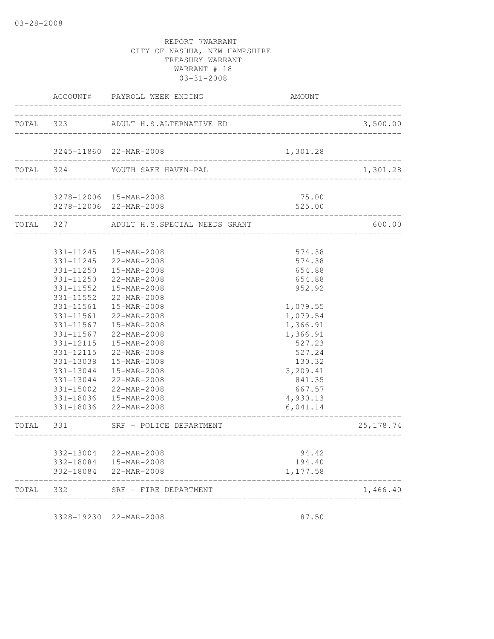|           |           | ACCOUNT# PAYROLL WEEK ENDING                             | AMOUNT                              |            |
|-----------|-----------|----------------------------------------------------------|-------------------------------------|------------|
| TOTAL 323 |           | ADULT H.S.ALTERNATIVE ED                                 |                                     | 3,500.00   |
|           |           | _________________                                        |                                     |            |
|           |           | 3245-11860 22-MAR-2008                                   | 1,301.28                            |            |
| TOTAL 324 |           | YOUTH SAFE HAVEN-PAL                                     | ----------------------------------- | 1,301.28   |
|           |           | 3278-12006 15-MAR-2008                                   | 75.00                               |            |
|           |           | 3278-12006 22-MAR-2008                                   | 525.00                              |            |
| TOTAL 327 |           | ADULT H.S.SPECIAL NEEDS GRANT                            |                                     | 600.00     |
|           | 331-11245 | 15-MAR-2008                                              | 574.38                              |            |
|           | 331-11245 | 22-MAR-2008                                              | 574.38                              |            |
|           | 331-11250 | 15-MAR-2008                                              | 654.88                              |            |
|           | 331-11250 | 22-MAR-2008                                              | 654.88                              |            |
|           | 331-11552 | 15-MAR-2008                                              | 952.92                              |            |
|           | 331-11552 | 22-MAR-2008                                              |                                     |            |
|           | 331-11561 | 15-MAR-2008                                              | 1,079.55                            |            |
|           | 331-11561 | 22-MAR-2008                                              | 1,079.54                            |            |
|           | 331-11567 | 15-MAR-2008                                              | 1,366.91                            |            |
|           | 331-11567 | 22-MAR-2008                                              | 1,366.91                            |            |
|           | 331-12115 | 15-MAR-2008                                              | 527.23                              |            |
|           | 331-12115 | 22-MAR-2008                                              | 527.24                              |            |
|           | 331-13038 | 15-MAR-2008                                              | 130.32                              |            |
|           | 331-13044 | 15-MAR-2008                                              | 3,209.41                            |            |
|           | 331-13044 | 22-MAR-2008                                              | 841.35                              |            |
|           | 331-15002 | 22-MAR-2008                                              | 667.57                              |            |
|           |           | 331-18036  15-MAR-2008                                   | 4,930.13                            |            |
|           | 331-18036 | 22-MAR-2008<br>------------------------------            | 6,041.14<br>__________________      |            |
|           |           | TOTAL 331 SRF - POLICE DEPARTMENT<br>___________________ |                                     | 25, 178.74 |
|           |           | 332-13004 22-MAR-2008                                    | 94.42                               |            |
|           |           | 332-18084  15-MAR-2008                                   | 194.40                              |            |
|           |           | 332-18084 22-MAR-2008                                    | 1,177.58                            |            |
| TOTAL 332 |           | ----------------------------<br>SRF - FIRE DEPARTMENT    | ______________________________      | 1,466.40   |
|           |           |                                                          |                                     |            |

3328-19230 22-MAR-2008 87.50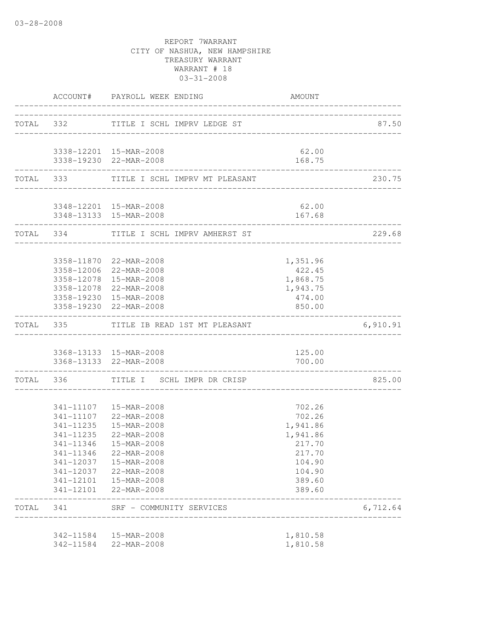|       |                        | ACCOUNT# PAYROLL WEEK ENDING                                            | AMOUNT                                    |          |
|-------|------------------------|-------------------------------------------------------------------------|-------------------------------------------|----------|
|       |                        | TOTAL 332 TITLE I SCHL IMPRV LEDGE ST                                   | _________________________________         | 87.50    |
|       |                        | 3338-12201 15-MAR-2008                                                  | 62.00                                     |          |
|       |                        | 3338-19230 22-MAR-2008<br>-------------------------------               | 168.75<br>------------------------------- |          |
|       |                        | TOTAL 333 TITLE I SCHL IMPRV MT PLEASANT                                |                                           | 230.75   |
|       |                        | 3348-12201 15-MAR-2008                                                  | 62.00                                     |          |
|       | ______________________ | 3348-13133 15-MAR-2008                                                  | 167.68                                    |          |
|       |                        | TOTAL 334 TITLE I SCHL IMPRV AMHERST ST                                 | ___________________________________       | 229.68   |
|       |                        | 3358-11870 22-MAR-2008                                                  | 1,351.96                                  |          |
|       |                        | 3358-12006 22-MAR-2008                                                  | 422.45                                    |          |
|       |                        | 3358-12078 15-MAR-2008                                                  | 1,868.75                                  |          |
|       |                        | 3358-12078 22-MAR-2008                                                  | 1,943.75                                  |          |
|       |                        | 3358-19230 15-MAR-2008<br>3358-19230 22-MAR-2008                        | 474.00<br>850.00                          |          |
|       |                        | ----------------------------<br>TOTAL 335 TITLE IB READ 1ST MT PLEASANT |                                           | 6,910.91 |
|       |                        | 3368-13133 15-MAR-2008                                                  | 125.00                                    |          |
|       |                        | 3368-13133 22-MAR-2008                                                  | 700.00                                    |          |
|       |                        | TOTAL 336 TITLE I SCHL IMPR DR CRISP                                    |                                           | 825.00   |
|       |                        | 341-11107  15-MAR-2008                                                  | 702.26                                    |          |
|       |                        | 341-11107 22-MAR-2008                                                   | 702.26                                    |          |
|       |                        | 341-11235  15-MAR-2008                                                  | 1,941.86                                  |          |
|       |                        | 341-11235 22-MAR-2008                                                   | 1,941.86                                  |          |
|       | 341-11346              | 15-MAR-2008                                                             | 217.70                                    |          |
|       | 341-11346              | 22-MAR-2008                                                             | 217.70                                    |          |
|       | 341-12037              | 15-MAR-2008                                                             | 104.90                                    |          |
|       |                        | 341-12037 22-MAR-2008                                                   | 104.90                                    |          |
|       |                        | 341-12101  15-MAR-2008<br>341-12101 22-MAR-2008                         | 389.60<br>389.60                          |          |
| TOTAL | 341                    | SRF - COMMUNITY SERVICES<br>----------------                            |                                           | 6,712.64 |
|       |                        | 342-11584  15-MAR-2008                                                  | 1,810.58                                  |          |
|       | 342-11584              | 22-MAR-2008                                                             | 1,810.58                                  |          |
|       |                        |                                                                         |                                           |          |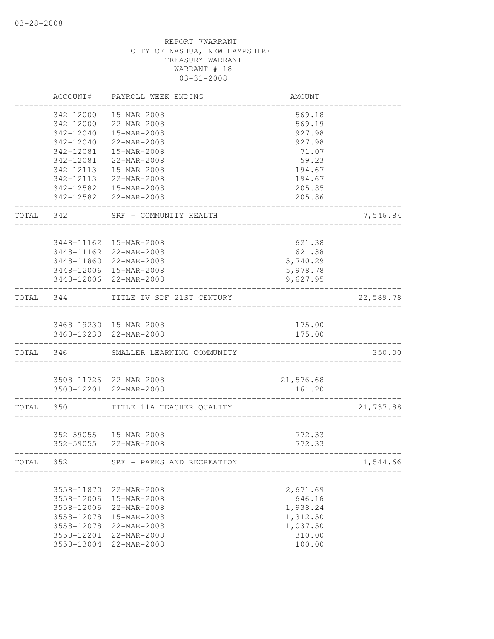|       | ACCOUNT#                 | PAYROLL WEEK ENDING                              | AMOUNT              |           |
|-------|--------------------------|--------------------------------------------------|---------------------|-----------|
|       | 342-12000                | 15-MAR-2008                                      | 569.18              |           |
|       | 342-12000                | 22-MAR-2008                                      | 569.19              |           |
|       | 342-12040                | 15-MAR-2008                                      | 927.98              |           |
|       | 342-12040                | 22-MAR-2008                                      | 927.98              |           |
|       | 342-12081                | 15-MAR-2008                                      | 71.07               |           |
|       | 342-12081                | 22-MAR-2008                                      | 59.23               |           |
|       | 342-12113                | 15-MAR-2008                                      | 194.67              |           |
|       | 342-12113                | 22-MAR-2008                                      | 194.67              |           |
|       | 342-12582                | 15-MAR-2008                                      | 205.85              |           |
|       |                          | 342-12582 22-MAR-2008                            | 205.86              |           |
| TOTAL | 342                      | SRF - COMMUNITY HEALTH                           |                     | 7,546.84  |
|       |                          |                                                  | 621.38              |           |
|       | 3448-11162<br>3448-11162 | 15-MAR-2008<br>22-MAR-2008                       | 621.38              |           |
|       | 3448-11860               | 22-MAR-2008                                      |                     |           |
|       | 3448-12006               | 15-MAR-2008                                      | 5,740.29            |           |
|       |                          |                                                  | 5,978.78            |           |
|       | 3448-12006               | 22-MAR-2008                                      | 9,627.95            |           |
| TOTAL | 344                      | TITLE IV SDF 21ST CENTURY                        |                     | 22,589.78 |
|       |                          |                                                  |                     |           |
|       |                          | 3468-19230 15-MAR-2008                           | 175.00              |           |
|       |                          | 3468-19230 22-MAR-2008                           | 175.00              |           |
| TOTAL | 346                      | SMALLER LEARNING COMMUNITY                       |                     | 350.00    |
|       |                          |                                                  |                     |           |
|       |                          | 3508-11726 22-MAR-2008<br>3508-12201 22-MAR-2008 | 21,576.68<br>161.20 |           |
|       |                          |                                                  |                     |           |
| TOTAL | 350                      | TITLE 11A TEACHER QUALITY                        |                     | 21,737.88 |
|       |                          |                                                  |                     |           |
|       |                          | 352-59055  15-MAR-2008                           | 772.33              |           |
|       |                          | 352-59055 22-MAR-2008                            | 772.33              |           |
| TOTAL | 352                      | SRF - PARKS AND RECREATION                       |                     | 1,544.66  |
|       |                          |                                                  |                     |           |
|       | 3558-11870               | 22-MAR-2008                                      | 2,671.69            |           |
|       | 3558-12006               | 15-MAR-2008                                      | 646.16              |           |
|       | 3558-12006               | 22-MAR-2008                                      | 1,938.24            |           |
|       | 3558-12078               | 15-MAR-2008                                      | 1,312.50            |           |
|       | 3558-12078               | 22-MAR-2008                                      | 1,037.50<br>310.00  |           |
|       | 3558-12201               | 22-MAR-2008                                      | 100.00              |           |
|       | 3558-13004               | 22-MAR-2008                                      |                     |           |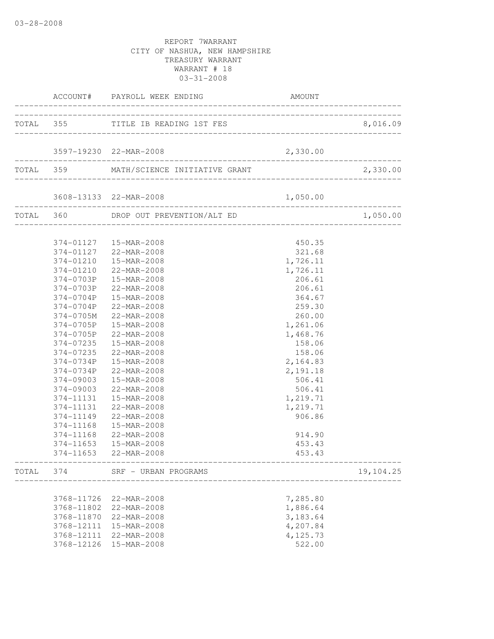|            | ACCOUNT# PAYROLL WEEK ENDING            | AMOUNT                                       |                                       |
|------------|-----------------------------------------|----------------------------------------------|---------------------------------------|
|            | TOTAL 355 TITLE IB READING 1ST FES      |                                              | 8,016.09                              |
|            |                                         |                                              |                                       |
|            | 3597-19230 22-MAR-2008                  | 2,330.00                                     |                                       |
|            |                                         |                                              | . _ _ _ _ _ _ _ _ _ _ _ _ _ _ _ _ _   |
|            | TOTAL 359 MATH/SCIENCE INITIATIVE GRANT |                                              | 2,330.00                              |
|            | 3608-13133 22-MAR-2008                  | 1,050.00                                     | . _ _ _ _ _ _ _ _ _ _ _ _ _ _ _ _ _ _ |
|            | TOTAL 360 DROP OUT PREVENTION/ALT ED    |                                              | 1,050.00                              |
|            | 374-01127  15-MAR-2008                  | 450.35                                       |                                       |
|            | 374-01127 22-MAR-2008                   | 321.68                                       |                                       |
|            | 374-01210  15-MAR-2008                  | 1,726.11                                     |                                       |
|            | 374-01210 22-MAR-2008                   | 1,726.11                                     |                                       |
|            | 374-0703P 15-MAR-2008                   | 206.61                                       |                                       |
| 374-0703P  | 22-MAR-2008                             | 206.61                                       |                                       |
| 374-0704P  | 15-MAR-2008                             | 364.67                                       |                                       |
| 374-0704P  | 22-MAR-2008                             | 259.30                                       |                                       |
| 374-0705M  | 22-MAR-2008                             | 260.00                                       |                                       |
| 374-0705P  | 15-MAR-2008                             | 1,261.06                                     |                                       |
| 374-0705P  | 22-MAR-2008                             | 1,468.76                                     |                                       |
| 374-07235  | 15-MAR-2008                             | 158.06                                       |                                       |
| 374-07235  | 22-MAR-2008                             | 158.06                                       |                                       |
| 374-0734P  | 15-MAR-2008                             | 2,164.83                                     |                                       |
| 374-0734P  | 22-MAR-2008                             | 2,191.18                                     |                                       |
| 374-09003  | 15-MAR-2008                             | 506.41                                       |                                       |
| 374-09003  | 22-MAR-2008                             | 506.41                                       |                                       |
| 374-11131  | 15-MAR-2008                             | 1,219.71                                     |                                       |
|            | 374-11131 22-MAR-2008                   | 1,219.71                                     |                                       |
|            | 374-11149 22-MAR-2008                   | 906.86                                       |                                       |
|            | 374-11168  15-MAR-2008                  |                                              |                                       |
| 374-11168  | 22-MAR-2008                             | 914.90                                       |                                       |
| 374-11653  | 15-MAR-2008                             | 453.43                                       |                                       |
|            | 374-11653 22-MAR-2008                   | 453.43<br>__________________________________ |                                       |
|            | TOTAL 374 SRF - URBAN PROGRAMS          | ___________________________________          | 19,104.25                             |
|            | 22-MAR-2008                             |                                              |                                       |
| 3768-11726 |                                         | 7,285.80                                     |                                       |
| 3768-11802 | 22-MAR-2008                             | 1,886.64                                     |                                       |
| 3768-11870 | 22-MAR-2008                             | 3,183.64                                     |                                       |
| 3768-12111 | 15-MAR-2008                             | 4,207.84                                     |                                       |
| 3768-12111 | 22-MAR-2008                             | 4,125.73<br>522.00                           |                                       |
| 3768-12126 | 15-MAR-2008                             |                                              |                                       |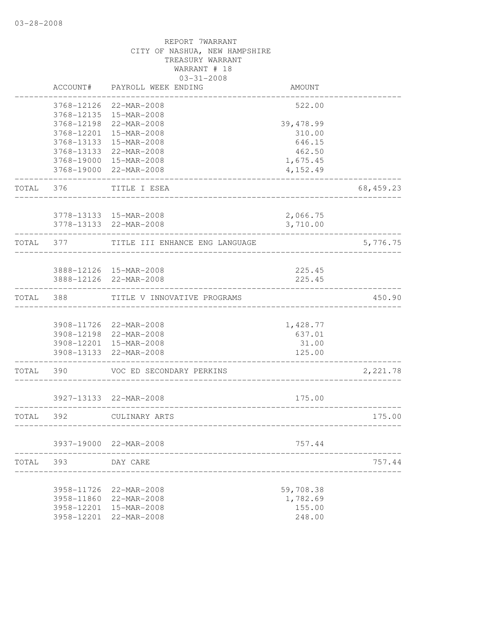|           |                    | REPORT 7WARRANT<br>CITY OF NASHUA, NEW HAMPSHIRE<br>TREASURY WARRANT<br>WARRANT # 18<br>$03 - 31 - 2008$ |                    |            |
|-----------|--------------------|----------------------------------------------------------------------------------------------------------|--------------------|------------|
|           |                    | ACCOUNT# PAYROLL WEEK ENDING                                                                             | AMOUNT             |            |
|           |                    | 3768-12126 22-MAR-2008<br>3768-12135 15-MAR-2008                                                         | 522.00             |            |
|           |                    | 3768-12198 22-MAR-2008                                                                                   | 39, 478.99         |            |
|           |                    | 3768-12201 15-MAR-2008<br>3768-13133 15-MAR-2008                                                         | 310.00<br>646.15   |            |
|           |                    | 3768-13133 22-MAR-2008                                                                                   | 462.50             |            |
|           |                    | 3768-19000 15-MAR-2008                                                                                   | 1,675.45           |            |
|           |                    | 3768-19000 22-MAR-2008                                                                                   | 4,152.49           |            |
| TOTAL 376 |                    | TITLE I ESEA                                                                                             |                    | 68, 459.23 |
|           |                    | 3778-13133 15-MAR-2008                                                                                   | 2,066.75           |            |
|           |                    | 3778-13133 22-MAR-2008                                                                                   | 3,710.00           |            |
| TOTAL 377 |                    | TITLE III ENHANCE ENG LANGUAGE                                                                           |                    | 5,776.75   |
|           |                    | 3888-12126  15-MAR-2008                                                                                  | 225.45             |            |
|           |                    | 3888-12126 22-MAR-2008                                                                                   | 225.45             |            |
| TOTAL 388 |                    | TITLE V INNOVATIVE PROGRAMS                                                                              |                    | 450.90     |
|           |                    |                                                                                                          |                    |            |
|           |                    | 3908-11726 22-MAR-2008<br>3908-12198 22-MAR-2008                                                         | 1,428.77<br>637.01 |            |
|           |                    | 3908-12201 15-MAR-2008                                                                                   | 31.00              |            |
|           |                    | 3908-13133 22-MAR-2008                                                                                   | 125.00             |            |
| TOTAL 390 |                    | VOC ED SECONDARY PERKINS                                                                                 |                    | 2,221.78   |
|           |                    | 3927-13133 22-MAR-2008                                                                                   | 175.00             |            |
| TOTAL 392 |                    | CULINARY ARTS                                                                                            |                    | 175.00     |
|           |                    | 3937-19000 22-MAR-2008                                                                                   | 757.44             |            |
|           | TOTAL 393 DAY CARE |                                                                                                          |                    | 757.44     |
|           |                    |                                                                                                          |                    |            |
|           |                    | 3958-11726 22-MAR-2008                                                                                   | 59,708.38          |            |
|           |                    | 3958-11860 22-MAR-2008<br>3958-12201 15-MAR-2008                                                         | 1,782.69<br>155.00 |            |
|           |                    | 3958-12201 22-MAR-2008                                                                                   | 248.00             |            |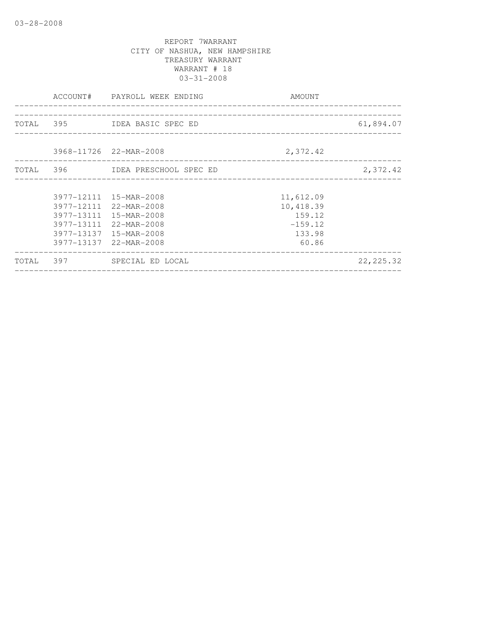|  | ACCOUNT# PAYROLL WEEK ENDING     | AMOUNT                            |            |
|--|----------------------------------|-----------------------------------|------------|
|  |                                  |                                   |            |
|  | TOTAL 395 IDEA BASIC SPEC ED     |                                   | 61,894.07  |
|  |                                  |                                   |            |
|  | 3968-11726 22-MAR-2008           | 2,372.42                          |            |
|  | TOTAL 396 IDEA PRESCHOOL SPEC ED | _________________________________ | 2,372.42   |
|  |                                  |                                   |            |
|  | 3977-12111 15-MAR-2008           | 11,612.09                         |            |
|  | 3977-12111 22-MAR-2008           | 10,418.39                         |            |
|  | 3977-13111 15-MAR-2008           | 159.12                            |            |
|  | 3977-13111 22-MAR-2008           | $-159.12$                         |            |
|  | 3977-13137 15-MAR-2008           | 133.98                            |            |
|  | 3977-13137 22-MAR-2008           | 60.86                             |            |
|  | TOTAL 397 SPECIAL ED LOCAL       |                                   | 22, 225.32 |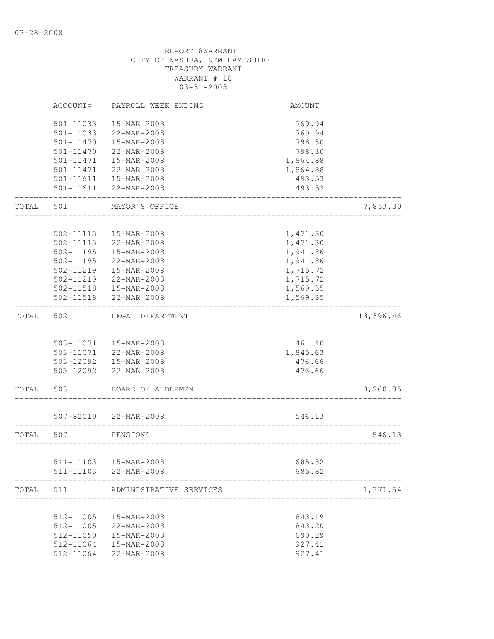|       | ACCOUNT#               | PAYROLL WEEK ENDING                                      | AMOUNT           |           |
|-------|------------------------|----------------------------------------------------------|------------------|-----------|
|       | 501-11033              | 15-MAR-2008                                              | 769.94           |           |
|       | 501-11033              | 22-MAR-2008                                              | 769.94           |           |
|       | 501-11470              | 15-MAR-2008                                              | 798.30           |           |
|       | 501-11470              | 22-MAR-2008                                              | 798.30           |           |
|       | 501-11471              | 15-MAR-2008                                              | 1,864.88         |           |
|       | 501-11471              | 22-MAR-2008                                              | 1,864.88         |           |
|       | 501-11611              | 15-MAR-2008                                              | 493.53           |           |
|       | 501-11611              | 22-MAR-2008                                              | 493.53           |           |
| TOTAL | 501                    | MAYOR'S OFFICE                                           |                  | 7,853.30  |
|       |                        |                                                          |                  |           |
|       | 502-11113              | 15-MAR-2008                                              | 1,471.30         |           |
|       | 502-11113              | 22-MAR-2008                                              | 1,471.30         |           |
|       | 502-11195              | 15-MAR-2008                                              | 1,941.86         |           |
|       | 502-11195              | 22-MAR-2008                                              | 1,941.86         |           |
|       | 502-11219              | 15-MAR-2008                                              | 1,715.72         |           |
|       | 502-11219              | 22-MAR-2008                                              | 1,715.72         |           |
|       | 502-11518              | 15-MAR-2008                                              | 1,569.35         |           |
|       | 502-11518              | 22-MAR-2008                                              | 1,569.35         |           |
| TOTAL | 502                    | LEGAL DEPARTMENT                                         |                  | 13,396.46 |
|       |                        | 503-11071  15-MAR-2008                                   | 461.40           |           |
|       |                        | 503-11071 22-MAR-2008                                    | 1,845.63         |           |
|       |                        | 503-12092  15-MAR-2008                                   | 476.66           |           |
|       | 503-12092              | 22-MAR-2008                                              | 476.66           |           |
| TOTAL | 503                    | BOARD OF ALDERMEN                                        |                  | 3,260.35  |
|       |                        | 507-82010 22-MAR-2008                                    | 546.13           |           |
| TOTAL | 507                    | __________________________<br>PENSIONS                   |                  | 546.13    |
|       |                        |                                                          |                  |           |
|       |                        | 511-11103 15-MAR-2008                                    | 685.82           |           |
|       |                        | 511-11103 22-MAR-2008<br>.______________________________ | 685.82           |           |
| TOTAL | 511                    | ADMINISTRATIVE SERVICES                                  |                  | 1,371.64  |
|       |                        |                                                          |                  |           |
|       | 512-11005              | 15-MAR-2008                                              | 843.19           |           |
|       | 512-11005              | 22-MAR-2008<br>15-MAR-2008                               | 843.20           |           |
|       | 512-11050<br>512-11064 | 15-MAR-2008                                              | 690.29<br>927.41 |           |
|       | 512-11064              | 22-MAR-2008                                              | 927.41           |           |
|       |                        |                                                          |                  |           |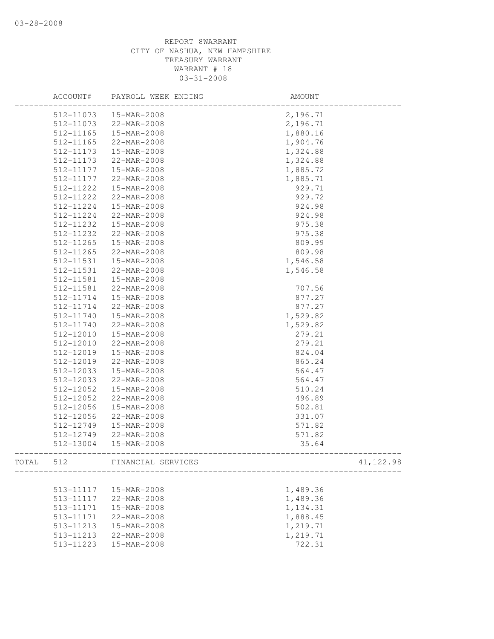|       | ACCOUNT#  | PAYROLL WEEK ENDING | AMOUNT   |            |
|-------|-----------|---------------------|----------|------------|
|       | 512-11073 | 15-MAR-2008         | 2,196.71 |            |
|       | 512-11073 | 22-MAR-2008         | 2,196.71 |            |
|       | 512-11165 | 15-MAR-2008         | 1,880.16 |            |
|       | 512-11165 | 22-MAR-2008         | 1,904.76 |            |
|       | 512-11173 | 15-MAR-2008         | 1,324.88 |            |
|       | 512-11173 | 22-MAR-2008         | 1,324.88 |            |
|       | 512-11177 | 15-MAR-2008         | 1,885.72 |            |
|       | 512-11177 | 22-MAR-2008         | 1,885.71 |            |
|       | 512-11222 | 15-MAR-2008         | 929.71   |            |
|       | 512-11222 | 22-MAR-2008         | 929.72   |            |
|       | 512-11224 | 15-MAR-2008         | 924.98   |            |
|       | 512-11224 | 22-MAR-2008         | 924.98   |            |
|       | 512-11232 | 15-MAR-2008         | 975.38   |            |
|       | 512-11232 | 22-MAR-2008         | 975.38   |            |
|       | 512-11265 | 15-MAR-2008         | 809.99   |            |
|       | 512-11265 | 22-MAR-2008         | 809.98   |            |
|       | 512-11531 | 15-MAR-2008         | 1,546.58 |            |
|       | 512-11531 | 22-MAR-2008         | 1,546.58 |            |
|       | 512-11581 | 15-MAR-2008         |          |            |
|       | 512-11581 | 22-MAR-2008         | 707.56   |            |
|       | 512-11714 | 15-MAR-2008         | 877.27   |            |
|       | 512-11714 | 22-MAR-2008         | 877.27   |            |
|       | 512-11740 | 15-MAR-2008         | 1,529.82 |            |
|       | 512-11740 | 22-MAR-2008         | 1,529.82 |            |
|       | 512-12010 | 15-MAR-2008         | 279.21   |            |
|       | 512-12010 | 22-MAR-2008         | 279.21   |            |
|       | 512-12019 | 15-MAR-2008         | 824.04   |            |
|       | 512-12019 | 22-MAR-2008         | 865.24   |            |
|       | 512-12033 | 15-MAR-2008         | 564.47   |            |
|       | 512-12033 | 22-MAR-2008         | 564.47   |            |
|       | 512-12052 | 15-MAR-2008         | 510.24   |            |
|       | 512-12052 | 22-MAR-2008         | 496.89   |            |
|       | 512-12056 | 15-MAR-2008         | 502.81   |            |
|       | 512-12056 | 22-MAR-2008         | 331.07   |            |
|       | 512-12749 | 15-MAR-2008         | 571.82   |            |
|       | 512-12749 | 22-MAR-2008         | 571.82   |            |
|       | 512-13004 | 15-MAR-2008         | 35.64    |            |
| TOTAL | 512       | FINANCIAL SERVICES  |          | 41, 122.98 |
|       |           |                     |          |            |
|       | 513-11117 | 15-MAR-2008         | 1,489.36 |            |
|       | 513-11117 | 22-MAR-2008         | 1,489.36 |            |
|       | 513-11171 | 15-MAR-2008         | 1,134.31 |            |
|       | 513-11171 | 22-MAR-2008         | 1,888.45 |            |
|       | 513-11213 | 15-MAR-2008         | 1,219.71 |            |
|       | 513-11213 | 22-MAR-2008         | 1,219.71 |            |
|       | 513-11223 | 15-MAR-2008         | 722.31   |            |
|       |           |                     |          |            |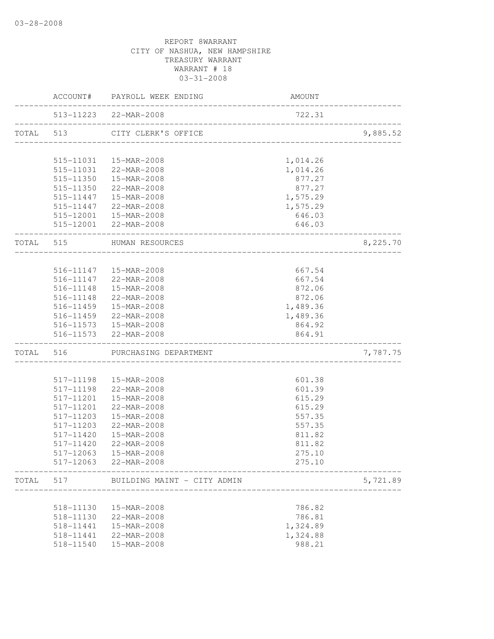| 513-11223 22-MAR-2008<br>722.31<br>TOTAL 513<br>CITY CLERK'S OFFICE<br>515-11031  15-MAR-2008<br>1,014.26<br>515-11031 22-MAR-2008<br>1,014.26<br>515-11350  15-MAR-2008<br>877.27<br>515-11350 22-MAR-2008<br>877.27<br>515-11447  15-MAR-2008<br>1,575.29<br>515-11447 22-MAR-2008<br>1,575.29<br>515-12001  15-MAR-2008<br>646.03<br>515-12001 22-MAR-2008<br>646.03<br>TOTAL 515 HUMAN RESOURCES<br>______________________<br>516-11147  15-MAR-2008<br>667.54<br>516-11147 22-MAR-2008<br>667.54<br>516-11148  15-MAR-2008<br>872.06<br>516-11148 22-MAR-2008<br>872.06<br>516-11459  15-MAR-2008<br>1,489.36<br>516-11459 22-MAR-2008<br>1,489.36<br>516-11573   15-MAR-2008<br>864.92<br>516-11573 22-MAR-2008<br>864.91<br>_________________________<br>TOTAL 516 PURCHASING DEPARTMENT<br>517-11198  15-MAR-2008<br>601.38<br>601.39<br>517-11198<br>22-MAR-2008<br>517-11201<br>15-MAR-2008<br>615.29<br>517-11201<br>22-MAR-2008<br>615.29<br>517-11203<br>557.35<br>15-MAR-2008<br>517-11203<br>22-MAR-2008<br>557.35<br>517-11420<br>15-MAR-2008<br>811.82<br>517-11420<br>22-MAR-2008<br>811.82<br>275.10<br>517-12063<br>15-MAR-2008<br>517-12063<br>22-MAR-2008<br>275.10<br>TOTAL<br>517<br>BUILDING MAINT - CITY ADMIN<br>786.82<br>518-11130<br>15-MAR-2008<br>518-11130<br>22-MAR-2008<br>786.81<br>15-MAR-2008<br>1,324.89<br>518-11441<br>22-MAR-2008<br>1,324.88<br>518-11441 |  | ACCOUNT#      | PAYROLL WEEK ENDING | AMOUNT |          |
|------------------------------------------------------------------------------------------------------------------------------------------------------------------------------------------------------------------------------------------------------------------------------------------------------------------------------------------------------------------------------------------------------------------------------------------------------------------------------------------------------------------------------------------------------------------------------------------------------------------------------------------------------------------------------------------------------------------------------------------------------------------------------------------------------------------------------------------------------------------------------------------------------------------------------------------------------------------------------------------------------------------------------------------------------------------------------------------------------------------------------------------------------------------------------------------------------------------------------------------------------------------------------------------------------------------------------------------------------------------------------------------------------|--|---------------|---------------------|--------|----------|
|                                                                                                                                                                                                                                                                                                                                                                                                                                                                                                                                                                                                                                                                                                                                                                                                                                                                                                                                                                                                                                                                                                                                                                                                                                                                                                                                                                                                      |  |               |                     |        |          |
|                                                                                                                                                                                                                                                                                                                                                                                                                                                                                                                                                                                                                                                                                                                                                                                                                                                                                                                                                                                                                                                                                                                                                                                                                                                                                                                                                                                                      |  |               |                     |        | 9,885.52 |
|                                                                                                                                                                                                                                                                                                                                                                                                                                                                                                                                                                                                                                                                                                                                                                                                                                                                                                                                                                                                                                                                                                                                                                                                                                                                                                                                                                                                      |  |               |                     |        |          |
|                                                                                                                                                                                                                                                                                                                                                                                                                                                                                                                                                                                                                                                                                                                                                                                                                                                                                                                                                                                                                                                                                                                                                                                                                                                                                                                                                                                                      |  |               |                     |        |          |
|                                                                                                                                                                                                                                                                                                                                                                                                                                                                                                                                                                                                                                                                                                                                                                                                                                                                                                                                                                                                                                                                                                                                                                                                                                                                                                                                                                                                      |  |               |                     |        |          |
|                                                                                                                                                                                                                                                                                                                                                                                                                                                                                                                                                                                                                                                                                                                                                                                                                                                                                                                                                                                                                                                                                                                                                                                                                                                                                                                                                                                                      |  |               |                     |        |          |
|                                                                                                                                                                                                                                                                                                                                                                                                                                                                                                                                                                                                                                                                                                                                                                                                                                                                                                                                                                                                                                                                                                                                                                                                                                                                                                                                                                                                      |  |               |                     |        |          |
|                                                                                                                                                                                                                                                                                                                                                                                                                                                                                                                                                                                                                                                                                                                                                                                                                                                                                                                                                                                                                                                                                                                                                                                                                                                                                                                                                                                                      |  |               |                     |        |          |
|                                                                                                                                                                                                                                                                                                                                                                                                                                                                                                                                                                                                                                                                                                                                                                                                                                                                                                                                                                                                                                                                                                                                                                                                                                                                                                                                                                                                      |  |               |                     |        |          |
|                                                                                                                                                                                                                                                                                                                                                                                                                                                                                                                                                                                                                                                                                                                                                                                                                                                                                                                                                                                                                                                                                                                                                                                                                                                                                                                                                                                                      |  |               |                     |        |          |
|                                                                                                                                                                                                                                                                                                                                                                                                                                                                                                                                                                                                                                                                                                                                                                                                                                                                                                                                                                                                                                                                                                                                                                                                                                                                                                                                                                                                      |  |               |                     |        | 8,225.70 |
|                                                                                                                                                                                                                                                                                                                                                                                                                                                                                                                                                                                                                                                                                                                                                                                                                                                                                                                                                                                                                                                                                                                                                                                                                                                                                                                                                                                                      |  |               |                     |        |          |
|                                                                                                                                                                                                                                                                                                                                                                                                                                                                                                                                                                                                                                                                                                                                                                                                                                                                                                                                                                                                                                                                                                                                                                                                                                                                                                                                                                                                      |  |               |                     |        |          |
|                                                                                                                                                                                                                                                                                                                                                                                                                                                                                                                                                                                                                                                                                                                                                                                                                                                                                                                                                                                                                                                                                                                                                                                                                                                                                                                                                                                                      |  |               |                     |        |          |
|                                                                                                                                                                                                                                                                                                                                                                                                                                                                                                                                                                                                                                                                                                                                                                                                                                                                                                                                                                                                                                                                                                                                                                                                                                                                                                                                                                                                      |  |               |                     |        |          |
|                                                                                                                                                                                                                                                                                                                                                                                                                                                                                                                                                                                                                                                                                                                                                                                                                                                                                                                                                                                                                                                                                                                                                                                                                                                                                                                                                                                                      |  |               |                     |        |          |
|                                                                                                                                                                                                                                                                                                                                                                                                                                                                                                                                                                                                                                                                                                                                                                                                                                                                                                                                                                                                                                                                                                                                                                                                                                                                                                                                                                                                      |  |               |                     |        |          |
|                                                                                                                                                                                                                                                                                                                                                                                                                                                                                                                                                                                                                                                                                                                                                                                                                                                                                                                                                                                                                                                                                                                                                                                                                                                                                                                                                                                                      |  |               |                     |        |          |
|                                                                                                                                                                                                                                                                                                                                                                                                                                                                                                                                                                                                                                                                                                                                                                                                                                                                                                                                                                                                                                                                                                                                                                                                                                                                                                                                                                                                      |  |               |                     |        |          |
|                                                                                                                                                                                                                                                                                                                                                                                                                                                                                                                                                                                                                                                                                                                                                                                                                                                                                                                                                                                                                                                                                                                                                                                                                                                                                                                                                                                                      |  |               |                     |        |          |
|                                                                                                                                                                                                                                                                                                                                                                                                                                                                                                                                                                                                                                                                                                                                                                                                                                                                                                                                                                                                                                                                                                                                                                                                                                                                                                                                                                                                      |  |               |                     |        | 7,787.75 |
|                                                                                                                                                                                                                                                                                                                                                                                                                                                                                                                                                                                                                                                                                                                                                                                                                                                                                                                                                                                                                                                                                                                                                                                                                                                                                                                                                                                                      |  |               |                     |        |          |
|                                                                                                                                                                                                                                                                                                                                                                                                                                                                                                                                                                                                                                                                                                                                                                                                                                                                                                                                                                                                                                                                                                                                                                                                                                                                                                                                                                                                      |  |               |                     |        |          |
|                                                                                                                                                                                                                                                                                                                                                                                                                                                                                                                                                                                                                                                                                                                                                                                                                                                                                                                                                                                                                                                                                                                                                                                                                                                                                                                                                                                                      |  |               |                     |        |          |
|                                                                                                                                                                                                                                                                                                                                                                                                                                                                                                                                                                                                                                                                                                                                                                                                                                                                                                                                                                                                                                                                                                                                                                                                                                                                                                                                                                                                      |  |               |                     |        |          |
|                                                                                                                                                                                                                                                                                                                                                                                                                                                                                                                                                                                                                                                                                                                                                                                                                                                                                                                                                                                                                                                                                                                                                                                                                                                                                                                                                                                                      |  |               |                     |        |          |
|                                                                                                                                                                                                                                                                                                                                                                                                                                                                                                                                                                                                                                                                                                                                                                                                                                                                                                                                                                                                                                                                                                                                                                                                                                                                                                                                                                                                      |  |               |                     |        |          |
|                                                                                                                                                                                                                                                                                                                                                                                                                                                                                                                                                                                                                                                                                                                                                                                                                                                                                                                                                                                                                                                                                                                                                                                                                                                                                                                                                                                                      |  |               |                     |        |          |
|                                                                                                                                                                                                                                                                                                                                                                                                                                                                                                                                                                                                                                                                                                                                                                                                                                                                                                                                                                                                                                                                                                                                                                                                                                                                                                                                                                                                      |  |               |                     |        |          |
|                                                                                                                                                                                                                                                                                                                                                                                                                                                                                                                                                                                                                                                                                                                                                                                                                                                                                                                                                                                                                                                                                                                                                                                                                                                                                                                                                                                                      |  |               |                     |        |          |
|                                                                                                                                                                                                                                                                                                                                                                                                                                                                                                                                                                                                                                                                                                                                                                                                                                                                                                                                                                                                                                                                                                                                                                                                                                                                                                                                                                                                      |  |               |                     |        |          |
|                                                                                                                                                                                                                                                                                                                                                                                                                                                                                                                                                                                                                                                                                                                                                                                                                                                                                                                                                                                                                                                                                                                                                                                                                                                                                                                                                                                                      |  |               |                     |        |          |
|                                                                                                                                                                                                                                                                                                                                                                                                                                                                                                                                                                                                                                                                                                                                                                                                                                                                                                                                                                                                                                                                                                                                                                                                                                                                                                                                                                                                      |  |               |                     |        | 5,721.89 |
|                                                                                                                                                                                                                                                                                                                                                                                                                                                                                                                                                                                                                                                                                                                                                                                                                                                                                                                                                                                                                                                                                                                                                                                                                                                                                                                                                                                                      |  |               |                     |        |          |
|                                                                                                                                                                                                                                                                                                                                                                                                                                                                                                                                                                                                                                                                                                                                                                                                                                                                                                                                                                                                                                                                                                                                                                                                                                                                                                                                                                                                      |  |               |                     |        |          |
|                                                                                                                                                                                                                                                                                                                                                                                                                                                                                                                                                                                                                                                                                                                                                                                                                                                                                                                                                                                                                                                                                                                                                                                                                                                                                                                                                                                                      |  |               |                     |        |          |
|                                                                                                                                                                                                                                                                                                                                                                                                                                                                                                                                                                                                                                                                                                                                                                                                                                                                                                                                                                                                                                                                                                                                                                                                                                                                                                                                                                                                      |  |               |                     |        |          |
|                                                                                                                                                                                                                                                                                                                                                                                                                                                                                                                                                                                                                                                                                                                                                                                                                                                                                                                                                                                                                                                                                                                                                                                                                                                                                                                                                                                                      |  | $518 - 11540$ | 15-MAR-2008         | 988.21 |          |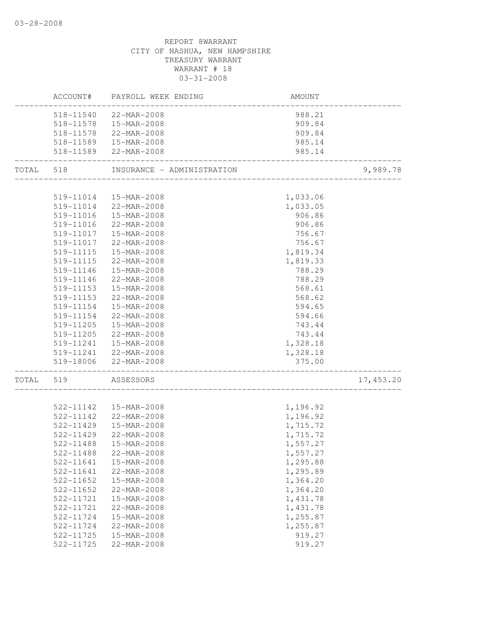|           |           | ACCOUNT# PAYROLL WEEK ENDING                   | AMOUNT                            |            |
|-----------|-----------|------------------------------------------------|-----------------------------------|------------|
|           |           | 518-11540 22-MAR-2008                          | 988.21                            |            |
|           |           | 518-11578  15-MAR-2008                         | 909.84                            |            |
|           |           | 518-11578 22-MAR-2008                          | 909.84                            |            |
|           |           | 518-11589  15-MAR-2008                         | 985.14                            |            |
|           |           | 518-11589 22-MAR-2008                          | 985.14                            |            |
| TOTAL 518 |           | INSURANCE - ADMINISTRATION                     | _________________________________ | 9,989.78   |
|           |           |                                                |                                   |            |
|           | 519-11014 | 15-MAR-2008<br>519-11014 22-MAR-2008           | 1,033.06                          |            |
|           |           |                                                | 1,033.05                          |            |
|           |           | 519-11016  15-MAR-2008                         | 906.86                            |            |
|           | 519-11016 | 22-MAR-2008                                    | 906.86                            |            |
|           |           | 519-11017  15-MAR-2008                         | 756.67                            |            |
|           | 519-11017 | 22-MAR-2008                                    | 756.67                            |            |
|           | 519-11115 | 15-MAR-2008                                    | 1,819.34                          |            |
|           | 519-11115 | 22-MAR-2008                                    | 1,819.33                          |            |
|           | 519-11146 | 15-MAR-2008                                    | 788.29                            |            |
|           | 519-11146 | 22-MAR-2008                                    | 788.29                            |            |
|           | 519-11153 | 15-MAR-2008                                    | 568.61                            |            |
|           | 519-11153 | 22-MAR-2008                                    | 568.62                            |            |
|           | 519-11154 | 15-MAR-2008                                    | 594.65                            |            |
|           | 519-11154 | 22-MAR-2008                                    | 594.66                            |            |
|           | 519-11205 | 15-MAR-2008                                    | 743.44                            |            |
|           | 519-11205 | 22-MAR-2008                                    | 743.44                            |            |
|           | 519-11241 | 15-MAR-2008                                    | 1,328.18                          |            |
|           |           | 519-11241 22-MAR-2008<br>519-18006 22-MAR-2008 | 1,328.18<br>375.00                |            |
| TOTAL 519 |           | ASSESSORS                                      |                                   | 17, 453.20 |
|           |           | _________________________                      |                                   |            |
|           |           | 522-11142  15-MAR-2008                         | 1,196.92                          |            |
|           | 522-11142 | 22-MAR-2008                                    | 1,196.92                          |            |
|           | 522-11429 | 15-MAR-2008                                    | 1,715.72                          |            |
|           | 522-11429 | 22-MAR-2008                                    | 1,715.72                          |            |
|           | 522-11488 | 15-MAR-2008                                    | 1,557.27                          |            |
|           | 522-11488 | 22-MAR-2008                                    | 1,557.27                          |            |
|           | 522-11641 | 15-MAR-2008                                    | 1,295.88                          |            |
|           | 522-11641 | 22-MAR-2008                                    | 1,295.89                          |            |
|           | 522-11652 | 15-MAR-2008                                    | 1,364.20                          |            |
|           | 522-11652 | 22-MAR-2008                                    | 1,364.20                          |            |
|           | 522-11721 | 15-MAR-2008                                    | 1,431.78                          |            |
|           | 522-11721 | 22-MAR-2008                                    | 1,431.78                          |            |
|           | 522-11724 | 15-MAR-2008                                    | 1,255.87                          |            |
|           | 522-11724 | 22-MAR-2008                                    | 1,255.87                          |            |
|           | 522-11725 | 15-MAR-2008                                    | 919.27                            |            |
|           | 522-11725 | 22-MAR-2008                                    | 919.27                            |            |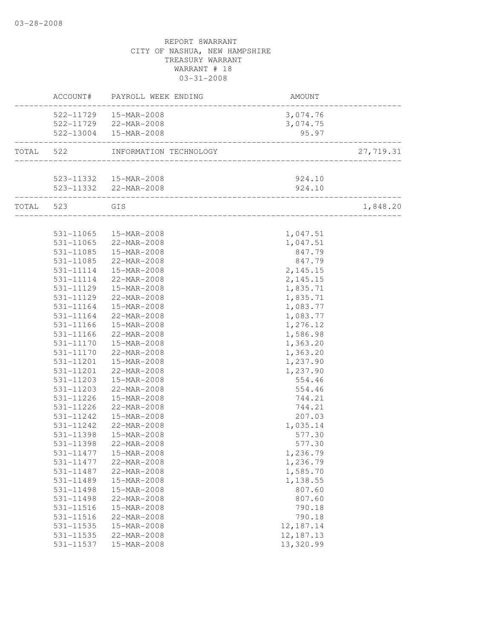|           | ACCOUNT#      | PAYROLL WEEK ENDING                                          | <b>AMOUNT</b> |           |
|-----------|---------------|--------------------------------------------------------------|---------------|-----------|
|           |               | 522-11729  15-MAR-2008                                       | 3,074.76      |           |
|           |               | 522-11729 22-MAR-2008                                        | 3,074.75      |           |
|           |               | 522-13004  15-MAR-2008                                       | 95.97         |           |
| TOTAL 522 |               | INFORMATION TECHNOLOGY                                       |               | 27,719.31 |
|           |               |                                                              |               |           |
|           |               | 523-11332  15-MAR-2008                                       | 924.10        |           |
|           |               | 523-11332 22-MAR-2008<br>___________________________________ | 924.10        |           |
|           | TOTAL 523 GIS | ______________________________________                       |               | 1,848.20  |
|           |               |                                                              |               |           |
|           | 531-11065     | 15-MAR-2008                                                  | 1,047.51      |           |
|           | 531-11065     | 22-MAR-2008                                                  | 1,047.51      |           |
|           | 531-11085     | 15-MAR-2008                                                  | 847.79        |           |
|           | $531 - 11085$ | 22-MAR-2008                                                  | 847.79        |           |
|           | 531-11114     | 15-MAR-2008                                                  | 2, 145.15     |           |
|           | 531-11114     | 22-MAR-2008                                                  | 2, 145.15     |           |
|           | 531-11129     | 15-MAR-2008                                                  | 1,835.71      |           |
|           | 531-11129     | 22-MAR-2008                                                  | 1,835.71      |           |
|           | 531-11164     | 15-MAR-2008                                                  | 1,083.77      |           |
|           | 531-11164     | 22-MAR-2008                                                  | 1,083.77      |           |
|           | 531-11166     | 15-MAR-2008                                                  | 1,276.12      |           |
|           | 531-11166     | 22-MAR-2008                                                  | 1,586.98      |           |
|           | 531-11170     | 15-MAR-2008                                                  | 1,363.20      |           |
|           | 531-11170     | 22-MAR-2008                                                  | 1,363.20      |           |
|           | 531-11201     | 15-MAR-2008                                                  | 1,237.90      |           |
|           | 531-11201     | 22-MAR-2008                                                  | 1,237.90      |           |
|           | 531-11203     | 15-MAR-2008                                                  | 554.46        |           |
|           | 531-11203     | 22-MAR-2008                                                  | 554.46        |           |
|           | 531-11226     | 15-MAR-2008                                                  | 744.21        |           |
|           | 531-11226     | 22-MAR-2008                                                  | 744.21        |           |
|           | 531-11242     | 15-MAR-2008                                                  | 207.03        |           |
|           | 531-11242     | 22-MAR-2008                                                  | 1,035.14      |           |
|           | 531-11398     | 15-MAR-2008                                                  | 577.30        |           |
|           | 531-11398     | 22-MAR-2008                                                  | 577.30        |           |
|           |               | 531-11477   15-MAR-2008                                      | 1,236.79      |           |
|           | 531-11477     | 22-MAR-2008                                                  | 1,236.79      |           |
|           | 531-11487     | 22-MAR-2008                                                  | 1,585.70      |           |
|           | 531-11489     | 15-MAR-2008                                                  | 1,138.55      |           |
|           | 531-11498     | 15-MAR-2008                                                  | 807.60        |           |
|           | 531-11498     | 22-MAR-2008                                                  | 807.60        |           |
|           | 531-11516     | 15-MAR-2008                                                  | 790.18        |           |
|           | 531-11516     | 22-MAR-2008                                                  | 790.18        |           |
|           | 531-11535     | 15-MAR-2008                                                  | 12, 187. 14   |           |
|           | 531-11535     | 22-MAR-2008                                                  | 12, 187. 13   |           |
|           | 531-11537     | 15-MAR-2008                                                  | 13,320.99     |           |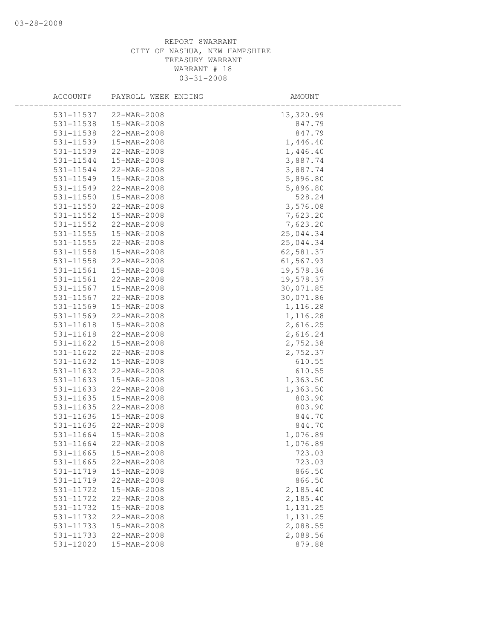| ACCOUNT#      | PAYROLL WEEK ENDING | AMOUNT    |
|---------------|---------------------|-----------|
| 531-11537     | 22-MAR-2008         | 13,320.99 |
| 531-11538     | 15-MAR-2008         | 847.79    |
| 531-11538     | 22-MAR-2008         | 847.79    |
| 531-11539     | 15-MAR-2008         | 1,446.40  |
| 531-11539     | 22-MAR-2008         | 1,446.40  |
| 531-11544     | 15-MAR-2008         | 3,887.74  |
| 531-11544     | 22-MAR-2008         | 3,887.74  |
| 531-11549     | 15-MAR-2008         | 5,896.80  |
| 531-11549     | 22-MAR-2008         | 5,896.80  |
| 531-11550     | 15-MAR-2008         | 528.24    |
| 531-11550     | 22-MAR-2008         | 3,576.08  |
| 531-11552     | 15-MAR-2008         | 7,623.20  |
| 531-11552     | 22-MAR-2008         | 7,623.20  |
| $531 - 11555$ | 15-MAR-2008         | 25,044.34 |
| 531-11555     | 22-MAR-2008         | 25,044.34 |
| 531-11558     | 15-MAR-2008         | 62,581.37 |
| 531-11558     | 22-MAR-2008         | 61,567.93 |
| 531-11561     | 15-MAR-2008         | 19,578.36 |
| 531-11561     | 22-MAR-2008         | 19,578.37 |
| 531-11567     | 15-MAR-2008         | 30,071.85 |
| 531-11567     | 22-MAR-2008         | 30,071.86 |
| 531-11569     | 15-MAR-2008         | 1,116.28  |
| 531-11569     | 22-MAR-2008         | 1,116.28  |
| 531-11618     | 15-MAR-2008         | 2,616.25  |
| 531-11618     | 22-MAR-2008         | 2,616.24  |
| 531-11622     | 15-MAR-2008         | 2,752.38  |
| 531-11622     | 22-MAR-2008         | 2,752.37  |
| 531-11632     | 15-MAR-2008         | 610.55    |
| 531-11632     | 22-MAR-2008         | 610.55    |
| 531-11633     | 15-MAR-2008         | 1,363.50  |
| 531-11633     | 22-MAR-2008         | 1,363.50  |
| 531-11635     | 15-MAR-2008         | 803.90    |
| 531-11635     | 22-MAR-2008         | 803.90    |
| 531-11636     | 15-MAR-2008         | 844.70    |
| $531 - 11636$ | 22-MAR-2008         | 844.70    |
| 531-11664     | 15-MAR-2008         | 1,076.89  |
| 531-11664     | 22-MAR-2008         | 1,076.89  |
| 531-11665     | 15-MAR-2008         | 723.03    |
| 531-11665     | 22-MAR-2008         | 723.03    |
| 531-11719     | 15-MAR-2008         | 866.50    |
| 531-11719     | 22-MAR-2008         | 866.50    |
| 531-11722     | 15-MAR-2008         | 2,185.40  |
| 531-11722     | 22-MAR-2008         | 2,185.40  |
| 531-11732     | 15-MAR-2008         | 1,131.25  |
| 531-11732     | 22-MAR-2008         | 1,131.25  |
| 531-11733     | 15-MAR-2008         | 2,088.55  |
| 531-11733     | 22-MAR-2008         | 2,088.56  |
| 531-12020     | 15-MAR-2008         | 879.88    |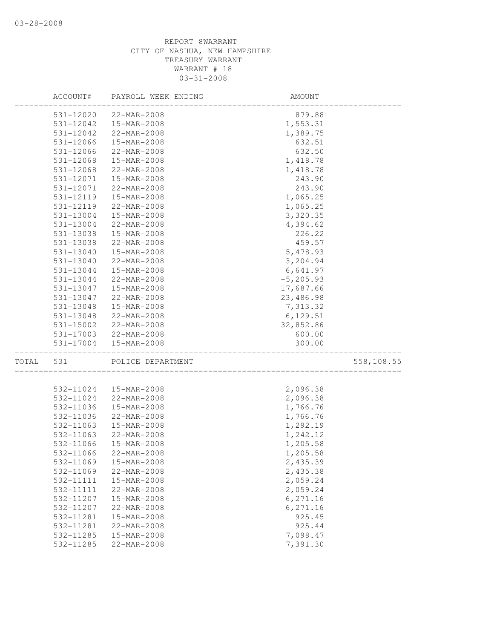|       | ACCOUNT#  | PAYROLL WEEK ENDING | AMOUNT       |            |
|-------|-----------|---------------------|--------------|------------|
|       | 531-12020 | 22-MAR-2008         | 879.88       |            |
|       | 531-12042 | 15-MAR-2008         | 1,553.31     |            |
|       | 531-12042 | 22-MAR-2008         | 1,389.75     |            |
|       | 531-12066 | 15-MAR-2008         | 632.51       |            |
|       | 531-12066 | 22-MAR-2008         | 632.50       |            |
|       | 531-12068 | 15-MAR-2008         | 1,418.78     |            |
|       | 531-12068 | 22-MAR-2008         | 1,418.78     |            |
|       | 531-12071 | 15-MAR-2008         | 243.90       |            |
|       | 531-12071 | 22-MAR-2008         | 243.90       |            |
|       | 531-12119 | 15-MAR-2008         | 1,065.25     |            |
|       | 531-12119 | 22-MAR-2008         | 1,065.25     |            |
|       | 531-13004 | 15-MAR-2008         | 3,320.35     |            |
|       | 531-13004 | 22-MAR-2008         | 4,394.62     |            |
|       | 531-13038 | 15-MAR-2008         | 226.22       |            |
|       | 531-13038 | 22-MAR-2008         | 459.57       |            |
|       | 531-13040 | 15-MAR-2008         | 5,478.93     |            |
|       | 531-13040 | 22-MAR-2008         | 3,204.94     |            |
|       | 531-13044 | 15-MAR-2008         | 6,641.97     |            |
|       | 531-13044 | 22-MAR-2008         | $-5, 205.93$ |            |
|       | 531-13047 | 15-MAR-2008         | 17,687.66    |            |
|       | 531-13047 | 22-MAR-2008         | 23,486.98    |            |
|       | 531-13048 | 15-MAR-2008         | 7,313.32     |            |
|       | 531-13048 | 22-MAR-2008         | 6,129.51     |            |
|       | 531-15002 | 22-MAR-2008         | 32,852.86    |            |
|       | 531-17003 | 22-MAR-2008         | 600.00       |            |
|       | 531-17004 | 15-MAR-2008         | 300.00       |            |
| TOTAL | 531       | POLICE DEPARTMENT   |              | 558,108.55 |
|       |           |                     |              |            |
|       | 532-11024 | 15-MAR-2008         | 2,096.38     |            |
|       | 532-11024 | 22-MAR-2008         | 2,096.38     |            |
|       | 532-11036 | 15-MAR-2008         | 1,766.76     |            |
|       | 532-11036 | 22-MAR-2008         | 1,766.76     |            |
|       | 532-11063 | 15-MAR-2008         | 1,292.19     |            |
|       | 532-11063 | 22-MAR-2008         | 1,242.12     |            |
|       | 532-11066 | 15-MAR-2008         | 1,205.58     |            |
|       | 532-11066 | 22-MAR-2008         | 1,205.58     |            |
|       | 532-11069 | 15-MAR-2008         | 2,435.39     |            |
|       | 532-11069 | 22-MAR-2008         | 2,435.38     |            |
|       | 532-11111 | 15-MAR-2008         | 2,059.24     |            |
|       | 532-11111 | 22-MAR-2008         | 2,059.24     |            |
|       | 532-11207 | 15-MAR-2008         | 6,271.16     |            |
|       | 532-11207 | 22-MAR-2008         | 6,271.16     |            |
|       | 532-11281 | 15-MAR-2008         | 925.45       |            |
|       | 532-11281 | 22-MAR-2008         | 925.44       |            |
|       | 532-11285 | 15-MAR-2008         | 7,098.47     |            |
|       | 532-11285 | 22-MAR-2008         | 7,391.30     |            |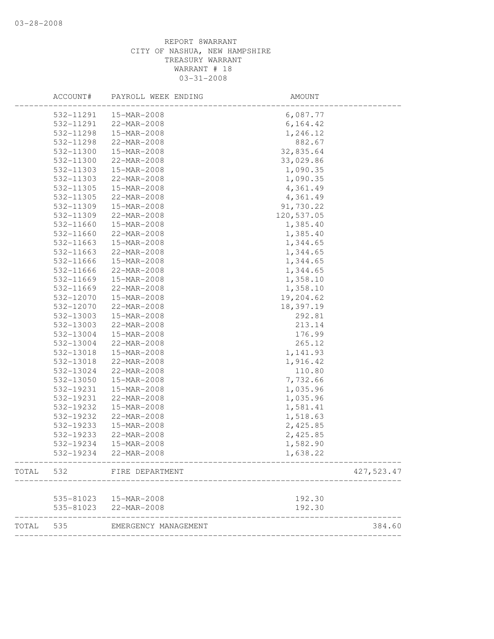| 15-MAR-2008<br>532-11291<br>532-11291<br>22-MAR-2008<br>532-11298<br>15-MAR-2008<br>532-11298<br>22-MAR-2008<br>532-11300<br>15-MAR-2008<br>532-11300<br>22-MAR-2008 | 6,087.77<br>6, 164.42<br>1,246.12<br>882.67<br>32,835.64<br>33,029.86<br>1,090.35 |
|----------------------------------------------------------------------------------------------------------------------------------------------------------------------|-----------------------------------------------------------------------------------|
|                                                                                                                                                                      |                                                                                   |
|                                                                                                                                                                      |                                                                                   |
|                                                                                                                                                                      |                                                                                   |
|                                                                                                                                                                      |                                                                                   |
|                                                                                                                                                                      |                                                                                   |
|                                                                                                                                                                      |                                                                                   |
| 532-11303<br>15-MAR-2008                                                                                                                                             |                                                                                   |
| 532-11303<br>22-MAR-2008                                                                                                                                             | 1,090.35                                                                          |
| 532-11305<br>15-MAR-2008                                                                                                                                             | 4,361.49                                                                          |
| 532-11305<br>22-MAR-2008                                                                                                                                             | 4,361.49                                                                          |
| 532-11309<br>15-MAR-2008                                                                                                                                             | 91,730.22                                                                         |
| 532-11309<br>22-MAR-2008                                                                                                                                             | 120,537.05                                                                        |
| 532-11660<br>15-MAR-2008                                                                                                                                             | 1,385.40                                                                          |
| 532-11660<br>22-MAR-2008                                                                                                                                             | 1,385.40                                                                          |
| 532-11663<br>15-MAR-2008                                                                                                                                             | 1,344.65                                                                          |
| 532-11663<br>22-MAR-2008                                                                                                                                             | 1,344.65                                                                          |
| 532-11666<br>15-MAR-2008                                                                                                                                             | 1,344.65                                                                          |
| 532-11666<br>22-MAR-2008                                                                                                                                             | 1,344.65                                                                          |
| 532-11669<br>15-MAR-2008                                                                                                                                             | 1,358.10                                                                          |
| 532-11669<br>22-MAR-2008                                                                                                                                             | 1,358.10                                                                          |
| 532-12070<br>15-MAR-2008                                                                                                                                             | 19,204.62                                                                         |
| 532-12070<br>22-MAR-2008                                                                                                                                             | 18,397.19                                                                         |
| 532-13003<br>15-MAR-2008                                                                                                                                             | 292.81                                                                            |
| 532-13003<br>22-MAR-2008                                                                                                                                             | 213.14                                                                            |
| 532-13004<br>15-MAR-2008                                                                                                                                             | 176.99                                                                            |
| 532-13004<br>22-MAR-2008                                                                                                                                             | 265.12                                                                            |
| 532-13018<br>15-MAR-2008                                                                                                                                             | 1,141.93                                                                          |
| 532-13018<br>22-MAR-2008                                                                                                                                             | 1,916.42                                                                          |
| 532-13024<br>22-MAR-2008                                                                                                                                             | 110.80                                                                            |
| 532-13050<br>15-MAR-2008                                                                                                                                             | 7,732.66                                                                          |
| 532-19231<br>15-MAR-2008                                                                                                                                             | 1,035.96                                                                          |
| 532-19231<br>22-MAR-2008                                                                                                                                             | 1,035.96                                                                          |
| 532-19232<br>15-MAR-2008                                                                                                                                             | 1,581.41                                                                          |
| 532-19232<br>22-MAR-2008                                                                                                                                             | 1,518.63                                                                          |
| 532-19233<br>15-MAR-2008                                                                                                                                             | 2,425.85                                                                          |
| 532-19233<br>22-MAR-2008                                                                                                                                             | 2,425.85                                                                          |
| 532-19234<br>15-MAR-2008                                                                                                                                             | 1,582.90                                                                          |
| 532-19234<br>22-MAR-2008                                                                                                                                             | 1,638.22                                                                          |
| TOTAL 532<br>FIRE DEPARTMENT                                                                                                                                         | 427,523.47                                                                        |
|                                                                                                                                                                      |                                                                                   |
| 535-81023  15-MAR-2008<br>535-81023 22-MAR-2008                                                                                                                      | 192.30<br>192.30                                                                  |
| TOTAL 535<br>EMERGENCY MANAGEMENT                                                                                                                                    | 384.60                                                                            |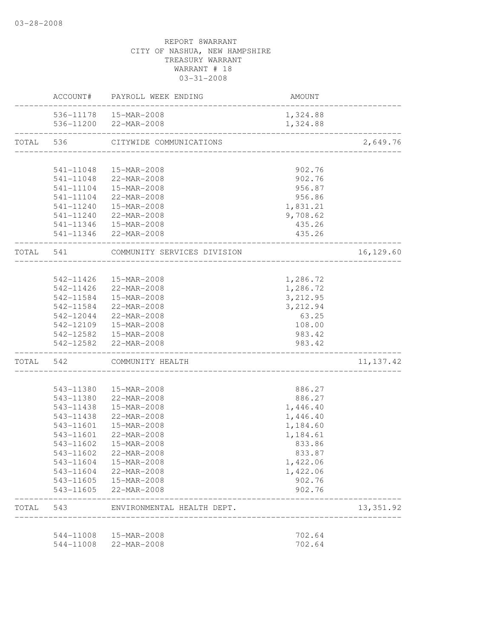|           |           | ACCOUNT# PAYROLL WEEK ENDING          | AMOUNT                  |            |
|-----------|-----------|---------------------------------------|-------------------------|------------|
|           |           | 536-11178  15-MAR-2008                | 1,324.88                |            |
|           |           | 536-11200 22-MAR-2008                 | 1,324.88                |            |
| TOTAL     | 536       | CITYWIDE COMMUNICATIONS               |                         | 2,649.76   |
|           |           |                                       |                         |            |
|           | 541-11048 | 15-MAR-2008                           | 902.76                  |            |
|           |           | 541-11048 22-MAR-2008                 | 902.76                  |            |
|           | 541-11104 | 15-MAR-2008                           | 956.87                  |            |
|           | 541-11104 | 22-MAR-2008                           | 956.86                  |            |
|           | 541-11240 | 15-MAR-2008                           | 1,831.21                |            |
|           |           | 541-11240 22-MAR-2008                 | 9,708.62                |            |
|           |           | 541-11346  15-MAR-2008                | 435.26                  |            |
|           |           | 541-11346 22-MAR-2008                 | 435.26<br>_____________ |            |
| TOTAL 541 |           | COMMUNITY SERVICES DIVISION           |                         | 16,129.60  |
|           |           |                                       |                         |            |
|           | 542-11426 | 15-MAR-2008                           | 1,286.72                |            |
|           |           | 542-11426 22-MAR-2008                 | 1,286.72                |            |
|           |           | 542-11584  15-MAR-2008                | 3,212.95                |            |
|           |           | 542-11584 22-MAR-2008                 | 3,212.94                |            |
|           |           | 542-12044 22-MAR-2008                 | 63.25                   |            |
|           |           | 542-12109  15-MAR-2008                | 108.00                  |            |
|           |           | 542-12582  15-MAR-2008                | 983.42                  |            |
|           |           | 542-12582 22-MAR-2008                 | 983.42                  |            |
| TOTAL     | 542       | COMMUNITY HEALTH                      |                         | 11, 137.42 |
|           | 543-11380 | 15-MAR-2008                           | 886.27                  |            |
|           | 543-11380 | 22-MAR-2008                           | 886.27                  |            |
|           | 543-11438 | 15-MAR-2008                           | 1,446.40                |            |
|           | 543-11438 | 22-MAR-2008                           | 1,446.40                |            |
|           | 543-11601 | 15-MAR-2008                           | 1,184.60                |            |
|           | 543-11601 | 22-MAR-2008                           | 1,184.61                |            |
|           | 543-11602 | 15-MAR-2008                           | 833.86                  |            |
|           |           |                                       |                         |            |
|           | 543-11602 | 22-MAR-2008                           | 833.87                  |            |
|           | 543-11604 | 15-MAR-2008                           | 1,422.06                |            |
|           |           | 543-11604 22-MAR-2008                 | 1,422.06                |            |
|           | 543-11605 | 543-11605  15-MAR-2008<br>22-MAR-2008 | 902.76<br>902.76        |            |
| TOTAL 543 |           | ENVIRONMENTAL HEALTH DEPT.            |                         | 13, 351.92 |
|           |           |                                       |                         |            |
|           |           | 544-11008  15-MAR-2008                | 702.64                  |            |
|           | 544-11008 | 22-MAR-2008                           | 702.64                  |            |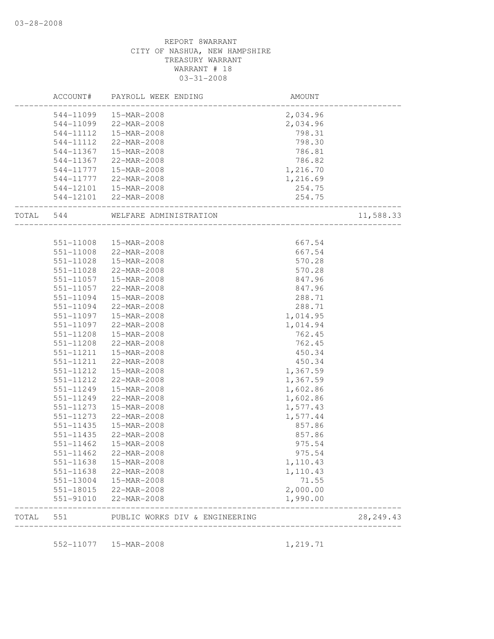|       | ACCOUNT#               | PAYROLL WEEK ENDING                                     | AMOUNT               |            |
|-------|------------------------|---------------------------------------------------------|----------------------|------------|
|       | 544-11099              | 15-MAR-2008                                             | 2,034.96             |            |
|       | 544-11099              | 22-MAR-2008                                             | 2,034.96             |            |
|       | 544-11112              | 15-MAR-2008                                             | 798.31               |            |
|       | 544-11112              | 22-MAR-2008                                             | 798.30               |            |
|       | 544-11367              | 15-MAR-2008                                             | 786.81               |            |
|       | 544-11367              | 22-MAR-2008                                             | 786.82               |            |
|       | 544-11777              | 15-MAR-2008                                             | 1,216.70             |            |
|       | 544-11777              | 22-MAR-2008                                             | 1,216.69             |            |
|       | 544-12101              | 15-MAR-2008                                             | 254.75               |            |
|       | 544-12101              | 22-MAR-2008<br>_____________________                    | 254.75               |            |
| TOTAL | 544                    | WELFARE ADMINISTRATION                                  |                      | 11,588.33  |
|       |                        |                                                         |                      |            |
|       | 551-11008              | 15-MAR-2008                                             | 667.54               |            |
|       | 551-11008              | 22-MAR-2008                                             | 667.54               |            |
|       | 551-11028              | 15-MAR-2008                                             | 570.28               |            |
|       | 551-11028              | 22-MAR-2008                                             | 570.28               |            |
|       | 551-11057              | 15-MAR-2008                                             | 847.96               |            |
|       | 551-11057              | 22-MAR-2008                                             | 847.96               |            |
|       | 551-11094              | 15-MAR-2008                                             | 288.71               |            |
|       | 551-11094              | 22-MAR-2008                                             | 288.71               |            |
|       | 551-11097              | 15-MAR-2008                                             | 1,014.95             |            |
|       | 551-11097              | 22-MAR-2008                                             | 1,014.94             |            |
|       | 551-11208              | 15-MAR-2008                                             | 762.45               |            |
|       | 551-11208              | 22-MAR-2008                                             | 762.45               |            |
|       | 551-11211              | 15-MAR-2008                                             | 450.34               |            |
|       | 551-11211              | 22-MAR-2008                                             | 450.34               |            |
|       | 551-11212              | 15-MAR-2008                                             | 1,367.59             |            |
|       | 551-11212              | 22-MAR-2008                                             | 1,367.59             |            |
|       | 551-11249              | 15-MAR-2008                                             | 1,602.86             |            |
|       | 551-11249              | 22-MAR-2008                                             | 1,602.86             |            |
|       | 551-11273              | 15-MAR-2008                                             | 1,577.43             |            |
|       | 551-11273              | 22-MAR-2008                                             | 1,577.44             |            |
|       | $551 - 11435$          | 15-MAR-2008                                             | 857.86               |            |
|       | 551-11435              | $22 - \text{MAR} - 2008$                                | 857.86               |            |
|       |                        |                                                         |                      |            |
|       | $551 - 11462$          | 15-MAR-2008                                             | 975.54               |            |
|       | 551-11462              | 22-MAR-2008                                             | 975.54               |            |
|       | 551-11638              | 15-MAR-2008                                             | 1,110.43             |            |
|       | 551-11638              | 22-MAR-2008                                             | 1,110.43             |            |
|       | 551-13004              | 15-MAR-2008                                             | 71.55                |            |
|       | 551-18015<br>551-91010 | 22-MAR-2008<br>22-MAR-2008                              | 2,000.00<br>1,990.00 |            |
|       |                        |                                                         |                      |            |
| TOTAL | 551                    | PUBLIC WORKS DIV & ENGINEERING<br>_____________________ |                      | 28, 249.43 |

552-11077 15-MAR-2008 1,219.71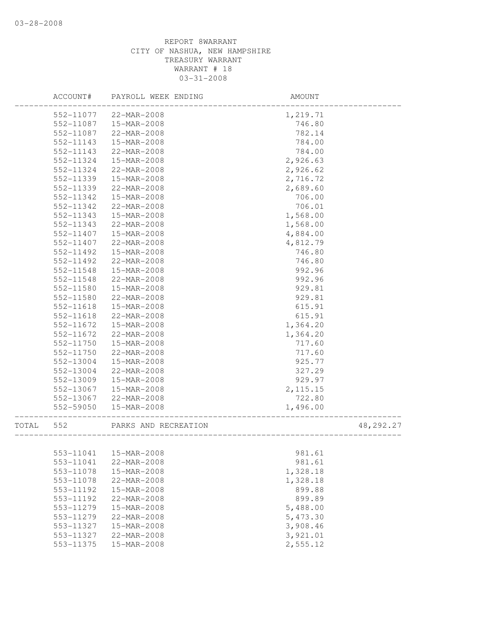|       | ACCOUNT#               | PAYROLL WEEK ENDING        | AMOUNT               |           |
|-------|------------------------|----------------------------|----------------------|-----------|
|       | 552-11077              | 22-MAR-2008                | 1,219.71             |           |
|       | 552-11087              | 15-MAR-2008                | 746.80               |           |
|       | 552-11087              | 22-MAR-2008                | 782.14               |           |
|       | 552-11143              | 15-MAR-2008                | 784.00               |           |
|       | 552-11143              | 22-MAR-2008                | 784.00               |           |
|       | 552-11324              | 15-MAR-2008                | 2,926.63             |           |
|       | 552-11324              | 22-MAR-2008                | 2,926.62             |           |
|       | 552-11339              | 15-MAR-2008                | 2,716.72             |           |
|       | 552-11339              | 22-MAR-2008                | 2,689.60             |           |
|       | 552-11342              | 15-MAR-2008                | 706.00               |           |
|       | 552-11342              | 22-MAR-2008                | 706.01               |           |
|       | 552-11343              | 15-MAR-2008                | 1,568.00             |           |
|       | 552-11343              | 22-MAR-2008                | 1,568.00             |           |
|       | 552-11407              | 15-MAR-2008                | 4,884.00             |           |
|       | 552-11407              | 22-MAR-2008                | 4,812.79             |           |
|       | 552-11492              | 15-MAR-2008                | 746.80               |           |
|       | 552-11492              | 22-MAR-2008                | 746.80               |           |
|       | 552-11548              | 15-MAR-2008                | 992.96               |           |
|       | 552-11548              | 22-MAR-2008                | 992.96               |           |
|       | 552-11580              | 15-MAR-2008                | 929.81               |           |
|       | 552-11580              | 22-MAR-2008                | 929.81               |           |
|       | 552-11618              | 15-MAR-2008                | 615.91               |           |
|       | 552-11618              | 22-MAR-2008                | 615.91               |           |
|       | 552-11672              | 15-MAR-2008                | 1,364.20             |           |
|       | 552-11672              | 22-MAR-2008                | 1,364.20             |           |
|       | 552-11750              | 15-MAR-2008                | 717.60               |           |
|       | 552-11750              | 22-MAR-2008                | 717.60               |           |
|       | 552-13004              | 15-MAR-2008                | 925.77               |           |
|       | 552-13004              | 22-MAR-2008                | 327.29               |           |
|       | 552-13009              | 15-MAR-2008                | 929.97               |           |
|       | 552-13067              | 15-MAR-2008                | 2, 115.15            |           |
|       | 552-13067              | 22-MAR-2008                | 722.80               |           |
|       | 552-59050              | 15-MAR-2008                | 1,496.00             |           |
| TOTAL | 552                    | PARKS AND RECREATION       |                      | 48,292.27 |
|       |                        | 553-11041  15-MAR-2008     |                      |           |
|       |                        |                            | 981.61               |           |
|       | 553-11041              | 22-MAR-2008<br>15-MAR-2008 | 981.61               |           |
|       | 553-11078              | 22-MAR-2008                | 1,328.18             |           |
|       | 553-11078<br>553-11192 |                            | 1,328.18             |           |
|       |                        | 15-MAR-2008<br>22-MAR-2008 | 899.88<br>899.89     |           |
|       | 553-11192              |                            |                      |           |
|       | 553-11279              | 15-MAR-2008                | 5,488.00             |           |
|       | 553-11279              | 22-MAR-2008                | 5,473.30             |           |
|       | 553-11327              | 15-MAR-2008                | 3,908.46             |           |
|       | 553-11327<br>553-11375 | 22-MAR-2008<br>15-MAR-2008 | 3,921.01<br>2,555.12 |           |
|       |                        |                            |                      |           |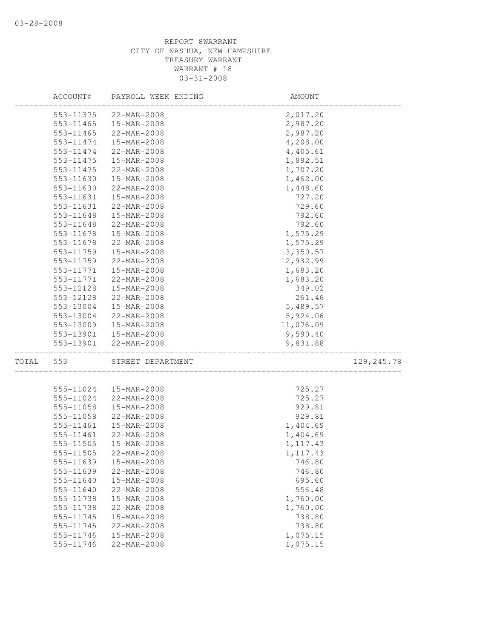|       | ACCOUNT#               | PAYROLL WEEK ENDING        | AMOUNT               |             |
|-------|------------------------|----------------------------|----------------------|-------------|
|       | 553-11375              | 22-MAR-2008                | 2,017.20             |             |
|       | 553-11465              | 15-MAR-2008                | 2,987.20             |             |
|       | 553-11465              | 22-MAR-2008                | 2,987.20             |             |
|       | 553-11474              | 15-MAR-2008                | 4,208.00             |             |
|       | 553-11474              | 22-MAR-2008                | 4,405.61             |             |
|       | 553-11475              | 15-MAR-2008                | 1,892.51             |             |
|       | 553-11475              | 22-MAR-2008                | 1,707.20             |             |
|       | 553-11630              | 15-MAR-2008                | 1,462.00             |             |
|       | 553-11630              | 22-MAR-2008                | 1,448.60             |             |
|       | 553-11631              | 15-MAR-2008                | 727.20               |             |
|       | 553-11631              | 22-MAR-2008                | 729.60               |             |
|       | 553-11648              | 15-MAR-2008                | 792.60               |             |
|       | 553-11648              | 22-MAR-2008                | 792.60               |             |
|       | 553-11678              | 15-MAR-2008                | 1,575.29             |             |
|       | 553-11678              | 22-MAR-2008                | 1,575.29             |             |
|       | 553-11759              | 15-MAR-2008                | 13,350.57            |             |
|       | 553-11759              | 22-MAR-2008                | 12,932.99            |             |
|       | 553-11771              | 15-MAR-2008                | 1,683.20             |             |
|       | 553-11771              | 22-MAR-2008                | 1,683.20             |             |
|       | 553-12128              | 15-MAR-2008                | 349.02               |             |
|       | 553-12128              | 22-MAR-2008                | 261.46               |             |
|       | 553-13004              | 15-MAR-2008                | 5,489.57             |             |
|       | 553-13004              | 22-MAR-2008                | 5,924.06             |             |
|       |                        |                            |                      |             |
|       | 553-13009              | 15-MAR-2008                | 11,076.09            |             |
|       | 553-13901<br>553-13901 | 15-MAR-2008<br>22-MAR-2008 | 9,590.40<br>9,831.88 |             |
|       |                        |                            |                      |             |
| TOTAL | 553                    | STREET DEPARTMENT          |                      | 129, 245.78 |
|       |                        |                            |                      |             |
|       | 555-11024              | 15-MAR-2008                | 725.27               |             |
|       | 555-11024              | 22-MAR-2008                | 725.27               |             |
|       | 555-11058              | 15-MAR-2008                | 929.81               |             |
|       | 555-11058              | 22-MAR-2008                | 929.81               |             |
|       | 555-11461              | 15-MAR-2008                | 1,404.69             |             |
|       | 555-11461              | 22-MAR-2008                | 1,404.69             |             |
|       | 555-11505              | 15-MAR-2008                | 1, 117.43            |             |
|       | 555-11505              | $22 - \text{MAR} - 2008$   | 1, 117.43            |             |
|       | 555-11639              | 15-MAR-2008                | 746.80               |             |
|       | 555-11639              | 22-MAR-2008                | 746.80               |             |
|       | 555-11640              | 15-MAR-2008                | 695.60               |             |
|       | 555-11640              | 22-MAR-2008                | 556.48               |             |
|       | 555-11738              | 15-MAR-2008                | 1,760.00             |             |
|       | 555-11738              | 22-MAR-2008                | 1,760.00             |             |
|       | 555-11745              | 15-MAR-2008                | 738.80               |             |
|       | 555-11745              | 22-MAR-2008                | 738.80               |             |
|       | 555-11746              | 15-MAR-2008                | 1,075.15             |             |
|       | 555-11746              | 22-MAR-2008                | 1,075.15             |             |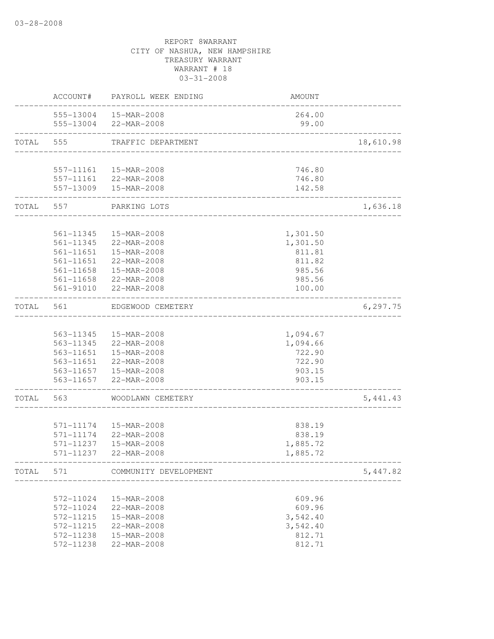|           | ACCOUNT#               | PAYROLL WEEK ENDING                             | AMOUNT                               |           |
|-----------|------------------------|-------------------------------------------------|--------------------------------------|-----------|
|           |                        | 555-13004  15-MAR-2008<br>555-13004 22-MAR-2008 | 264.00<br>99.00                      |           |
| TOTAL     | 555                    | TRAFFIC DEPARTMENT                              | ------------------------------------ | 18,610.98 |
|           |                        |                                                 |                                      |           |
|           |                        | 557-11161  15-MAR-2008                          | 746.80                               |           |
|           |                        | 557-11161 22-MAR-2008                           | 746.80                               |           |
|           |                        | 557-13009  15-MAR-2008                          | 142.58                               |           |
| TOTAL 557 |                        | PARKING LOTS                                    | ____________________                 | 1,636.18  |
|           |                        |                                                 |                                      |           |
|           | 561-11345              | 15-MAR-2008                                     | 1,301.50                             |           |
|           | 561-11345              | 22-MAR-2008                                     | 1,301.50                             |           |
|           | 561-11651<br>561-11651 | 15-MAR-2008                                     | 811.81                               |           |
|           | 561-11658              | 22-MAR-2008<br>15-MAR-2008                      | 811.82<br>985.56                     |           |
|           |                        | 561-11658 22-MAR-2008                           | 985.56                               |           |
|           |                        | 561-91010 22-MAR-2008                           | 100.00                               |           |
| TOTAL     | 561                    | EDGEWOOD CEMETERY                               |                                      | 6, 297.75 |
|           |                        |                                                 |                                      |           |
|           |                        | 563-11345  15-MAR-2008                          | 1,094.67                             |           |
|           |                        | 563-11345 22-MAR-2008                           | 1,094.66                             |           |
|           |                        | 563-11651  15-MAR-2008                          | 722.90                               |           |
|           |                        | 563-11651 22-MAR-2008                           | 722.90                               |           |
|           |                        | 563-11657  15-MAR-2008                          | 903.15                               |           |
|           |                        | 563-11657 22-MAR-2008                           | 903.15<br>________________________   |           |
| TOTAL     | 563                    | WOODLAWN CEMETERY                               |                                      | 5, 441.43 |
|           |                        |                                                 |                                      |           |
|           | 571-11174              | 15-MAR-2008                                     | 838.19                               |           |
|           | 571-11174              | 22-MAR-2008                                     | 838.19                               |           |
|           | 571-11237              | 15-MAR-2008                                     | 1,885.72                             |           |
|           | 571-11237              | 22-MAR-2008                                     | 1,885.72                             |           |
| TOTAL     | 571                    | COMMUNITY DEVELOPMENT                           |                                      | 5,447.82  |
|           |                        |                                                 |                                      |           |
|           | 572-11024              | 15-MAR-2008<br>22-MAR-2008                      | 609.96                               |           |
|           | 572-11024<br>572-11215 | 15-MAR-2008                                     | 609.96<br>3,542.40                   |           |
|           | 572-11215              | 22-MAR-2008                                     | 3,542.40                             |           |
|           | 572-11238              | 15-MAR-2008                                     | 812.71                               |           |
|           | 572-11238              | 22-MAR-2008                                     | 812.71                               |           |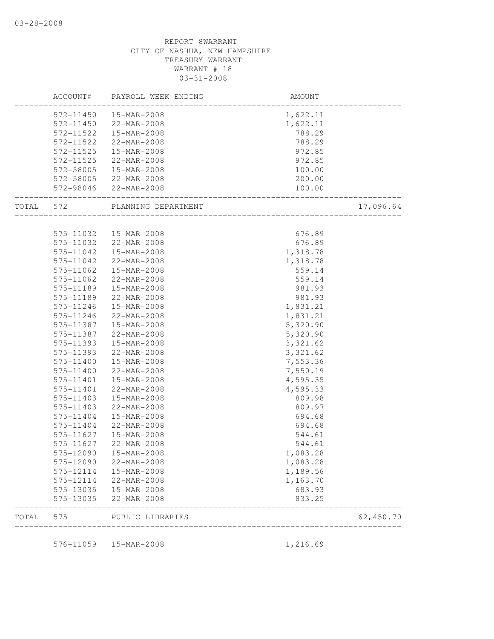|       | ACCOUNT#  | PAYROLL WEEK ENDING | AMOUNT   |           |
|-------|-----------|---------------------|----------|-----------|
|       | 572-11450 | 15-MAR-2008         | 1,622.11 |           |
|       | 572-11450 | 22-MAR-2008         | 1,622.11 |           |
|       | 572-11522 | 15-MAR-2008         | 788.29   |           |
|       | 572-11522 | 22-MAR-2008         | 788.29   |           |
|       | 572-11525 | 15-MAR-2008         | 972.85   |           |
|       | 572-11525 | 22-MAR-2008         | 972.85   |           |
|       | 572-58005 | 15-MAR-2008         | 100.00   |           |
|       | 572-58005 | 22-MAR-2008         | 200.00   |           |
|       | 572-98046 | 22-MAR-2008         | 100.00   |           |
| TOTAL | 572       | PLANNING DEPARTMENT |          | 17,096.64 |
|       |           |                     |          |           |
|       | 575-11032 | 15-MAR-2008         | 676.89   |           |
|       | 575-11032 | 22-MAR-2008         | 676.89   |           |
|       | 575-11042 | 15-MAR-2008         | 1,318.78 |           |
|       | 575-11042 | 22-MAR-2008         | 1,318.78 |           |
|       | 575-11062 | 15-MAR-2008         | 559.14   |           |
|       | 575-11062 | 22-MAR-2008         | 559.14   |           |
|       | 575-11189 | 15-MAR-2008         | 981.93   |           |
|       | 575-11189 | 22-MAR-2008         | 981.93   |           |
|       | 575-11246 | 15-MAR-2008         | 1,831.21 |           |
|       | 575-11246 | 22-MAR-2008         | 1,831.21 |           |
|       | 575-11387 | 15-MAR-2008         | 5,320.90 |           |
|       | 575-11387 | 22-MAR-2008         | 5,320.90 |           |
|       | 575-11393 | 15-MAR-2008         | 3,321.62 |           |
|       | 575-11393 | 22-MAR-2008         | 3,321.62 |           |
|       | 575-11400 | 15-MAR-2008         | 7,553.36 |           |
|       | 575-11400 | 22-MAR-2008         | 7,550.19 |           |
|       | 575-11401 | 15-MAR-2008         | 4,595.35 |           |
|       | 575-11401 | 22-MAR-2008         | 4,595.33 |           |
|       | 575-11403 | 15-MAR-2008         | 809.98   |           |
|       | 575-11403 | 22-MAR-2008         | 809.97   |           |
|       | 575-11404 | 15-MAR-2008         | 694.68   |           |
|       | 575-11404 | 22-MAR-2008         | 694.68   |           |
|       | 575-11627 | 15-MAR-2008         | 544.61   |           |
|       | 575-11627 | $22-MAR - 2008$     | 544.61   |           |
|       | 575-12090 | 15-MAR-2008         | 1,083.28 |           |
|       | 575-12090 | 22-MAR-2008         | 1,083.28 |           |
|       | 575-12114 | 15-MAR-2008         | 1,189.56 |           |
|       | 575-12114 | 22-MAR-2008         | 1,163.70 |           |
|       | 575-13035 | 15-MAR-2008         | 683.93   |           |
|       | 575-13035 | 22-MAR-2008         | 833.25   |           |
| TOTAL | 575       | PUBLIC LIBRARIES    |          | 62,450.70 |
|       | 576-11059 | 15-MAR-2008         |          |           |
|       |           |                     | 1,216.69 |           |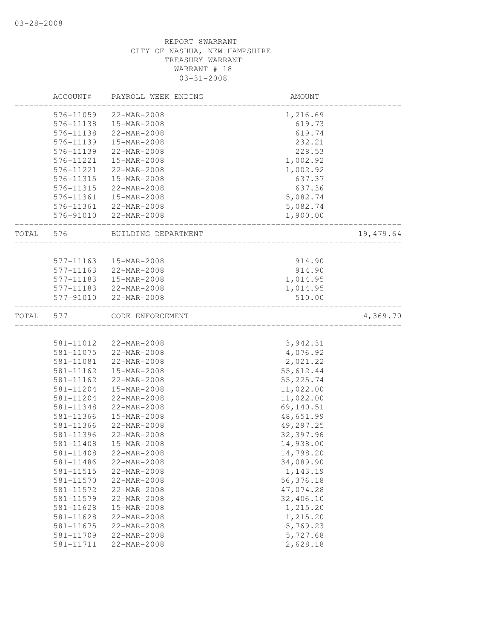|       | ACCOUNT#      | PAYROLL WEEK ENDING | AMOUNT                               |           |
|-------|---------------|---------------------|--------------------------------------|-----------|
|       | 576-11059     | 22-MAR-2008         | 1,216.69                             |           |
|       | 576-11138     | 15-MAR-2008         | 619.73                               |           |
|       | 576-11138     | 22-MAR-2008         | 619.74                               |           |
|       | 576-11139     | 15-MAR-2008         | 232.21                               |           |
|       | 576-11139     | 22-MAR-2008         | 228.53                               |           |
|       | 576-11221     | 15-MAR-2008         | 1,002.92                             |           |
|       | 576-11221     | 22-MAR-2008         | 1,002.92                             |           |
|       | 576-11315     | 15-MAR-2008         | 637.37                               |           |
|       | 576-11315     | 22-MAR-2008         | 637.36                               |           |
|       | 576-11361     | 15-MAR-2008         | 5,082.74                             |           |
|       | 576-11361     | 22-MAR-2008         | 5,082.74                             |           |
|       | 576-91010     | 22-MAR-2008         | 1,900.00                             |           |
| TOTAL | 576           | BUILDING DEPARTMENT | <u> 2002 - 2003 - 2003 - 20</u>      | 19,479.64 |
|       |               |                     |                                      |           |
|       | 577-11163     | 15-MAR-2008         | 914.90                               |           |
|       | 577-11163     | 22-MAR-2008         | 914.90                               |           |
|       | 577-11183     | 15-MAR-2008         | 1,014.95                             |           |
|       | 577-11183     | 22-MAR-2008         | 1,014.95                             |           |
|       | 577-91010     | 22-MAR-2008         | 510.00                               |           |
| TOTAL | 577           | CODE ENFORCEMENT    | ------------------------------------ | 4,369.70  |
|       |               |                     |                                      |           |
|       | 581-11012     | 22-MAR-2008         | 3,942.31                             |           |
|       | 581-11075     | 22-MAR-2008         | 4,076.92                             |           |
|       | 581-11081     | 22-MAR-2008         | 2,021.22                             |           |
|       | 581-11162     | 15-MAR-2008         | 55,612.44                            |           |
|       | 581-11162     | 22-MAR-2008         | 55, 225.74                           |           |
|       | 581-11204     | 15-MAR-2008         | 11,022.00                            |           |
|       | 581-11204     | 22-MAR-2008         | 11,022.00                            |           |
|       | 581-11348     | 22-MAR-2008         | 69,140.51                            |           |
|       | 581-11366     | 15-MAR-2008         | 48,651.99                            |           |
|       | 581-11366     | 22-MAR-2008         | 49,297.25                            |           |
|       | 581-11396     | 22-MAR-2008         | 32,397.96                            |           |
|       | $581 - 11408$ | 15-MAR-2008         | 14,938.00                            |           |
|       | 581-11408     | 22-MAR-2008         | 14,798.20                            |           |
|       | 581-11486     | 22-MAR-2008         | 34,089.90                            |           |
|       | 581-11515     | 22-MAR-2008         | 1,143.19                             |           |
|       | 581-11570     | 22-MAR-2008         | 56,376.18                            |           |
|       | 581-11572     | 22-MAR-2008         | 47,074.28                            |           |
|       | 581-11579     | 22-MAR-2008         | 32,406.10                            |           |
|       | 581-11628     | 15-MAR-2008         | 1,215.20                             |           |
|       | 581-11628     | 22-MAR-2008         | 1,215.20                             |           |
|       | 581-11675     | 22-MAR-2008         | 5,769.23                             |           |
|       | 581-11709     | 22-MAR-2008         | 5,727.68                             |           |
|       | 581-11711     | 22-MAR-2008         | 2,628.18                             |           |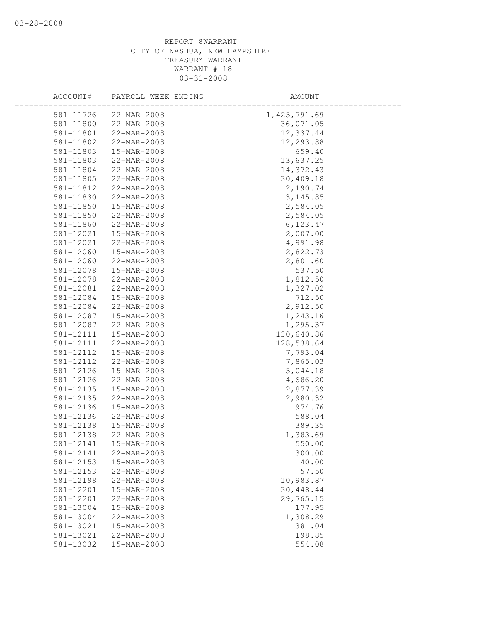| ACCOUNT#  | PAYROLL WEEK ENDING | AMOUNT         |  |
|-----------|---------------------|----------------|--|
| 581-11726 | 22-MAR-2008         | 1, 425, 791.69 |  |
| 581-11800 | 22-MAR-2008         | 36,071.05      |  |
| 581-11801 | 22-MAR-2008         | 12,337.44      |  |
| 581-11802 | 22-MAR-2008         | 12,293.88      |  |
| 581-11803 | 15-MAR-2008         | 659.40         |  |
| 581-11803 | 22-MAR-2008         | 13,637.25      |  |
| 581-11804 | 22-MAR-2008         | 14,372.43      |  |
| 581-11805 | 22-MAR-2008         | 30,409.18      |  |
| 581-11812 | 22-MAR-2008         | 2,190.74       |  |
| 581-11830 | 22-MAR-2008         | 3,145.85       |  |
| 581-11850 | 15-MAR-2008         | 2,584.05       |  |
| 581-11850 | 22-MAR-2008         | 2,584.05       |  |
| 581-11860 | 22-MAR-2008         | 6, 123.47      |  |
| 581-12021 | 15-MAR-2008         | 2,007.00       |  |
| 581-12021 | 22-MAR-2008         | 4,991.98       |  |
| 581-12060 | 15-MAR-2008         | 2,822.73       |  |
| 581-12060 | 22-MAR-2008         | 2,801.60       |  |
| 581-12078 | 15-MAR-2008         | 537.50         |  |
| 581-12078 | 22-MAR-2008         | 1,812.50       |  |
| 581-12081 | 22-MAR-2008         | 1,327.02       |  |
| 581-12084 | 15-MAR-2008         | 712.50         |  |
| 581-12084 | 22-MAR-2008         | 2,912.50       |  |
| 581-12087 | 15-MAR-2008         | 1,243.16       |  |
| 581-12087 | 22-MAR-2008         | 1,295.37       |  |
| 581-12111 | 15-MAR-2008         | 130,640.86     |  |
| 581-12111 | 22-MAR-2008         | 128,538.64     |  |
| 581-12112 | 15-MAR-2008         | 7,793.04       |  |
| 581-12112 | 22-MAR-2008         | 7,865.03       |  |
| 581-12126 | 15-MAR-2008         | 5,044.18       |  |
| 581-12126 | 22-MAR-2008         | 4,686.20       |  |
| 581-12135 | 15-MAR-2008         | 2,877.39       |  |
| 581-12135 | 22-MAR-2008         | 2,980.32       |  |
| 581-12136 | 15-MAR-2008         | 974.76         |  |
| 581-12136 | 22-MAR-2008         | 588.04         |  |
| 581-12138 | 15-MAR-2008         | 389.35         |  |
| 581-12138 | 22-MAR-2008         | 1,383.69       |  |
| 581-12141 | 15-MAR-2008         | 550.00         |  |
| 581-12141 | 22-MAR-2008         | 300.00         |  |
| 581-12153 | 15-MAR-2008         | 40.00          |  |
| 581-12153 | 22-MAR-2008         | 57.50          |  |
| 581-12198 | 22-MAR-2008         | 10,983.87      |  |
| 581-12201 | 15-MAR-2008         | 30, 448.44     |  |
| 581-12201 | 22-MAR-2008         | 29,765.15      |  |
| 581-13004 | 15-MAR-2008         | 177.95         |  |
| 581-13004 | 22-MAR-2008         | 1,308.29       |  |
| 581-13021 | 15-MAR-2008         | 381.04         |  |
| 581-13021 | 22-MAR-2008         | 198.85         |  |
| 581-13032 | 15-MAR-2008         | 554.08         |  |
|           |                     |                |  |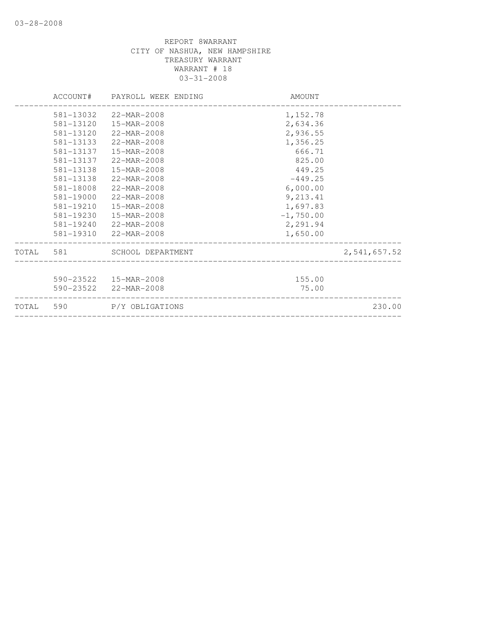| TOTAL 590                                                                                            | P/Y OBLIGATIONS                                                                                                                                                                      |                                                                                                          | 230.00       |
|------------------------------------------------------------------------------------------------------|--------------------------------------------------------------------------------------------------------------------------------------------------------------------------------------|----------------------------------------------------------------------------------------------------------|--------------|
|                                                                                                      | 590-23522  15-MAR-2008<br>590-23522 22-MAR-2008                                                                                                                                      | 155.00<br>75.00                                                                                          |              |
|                                                                                                      | TOTAL 581 SCHOOL DEPARTMENT                                                                                                                                                          |                                                                                                          | 2,541,657.52 |
| 581-13137<br>581-13138<br>581-13138<br>581-18008<br>581-19000<br>581-19210<br>581-19230<br>581-19240 | $22 - \text{MAR} - 2008$<br>15-MAR-2008<br>$22 - \text{MAR} - 2008$<br>22-MAR-2008<br>$22 - \text{MAR} - 2008$<br>15-MAR-2008<br>15-MAR-2008<br>22-MAR-2008<br>581-19310 22-MAR-2008 | 825.00<br>449.25<br>$-449.25$<br>6,000.00<br>9,213.41<br>1,697.83<br>$-1,750.00$<br>2,291.94<br>1,650.00 |              |
| 581-13032<br>581-13120<br>581-13120<br>581-13133<br>581-13137                                        | 22-MAR-2008<br>15-MAR-2008<br>22-MAR-2008<br>$22 - \text{MAR} - 2008$<br>15-MAR-2008                                                                                                 | 1,152.78<br>2,634.36<br>2,936.55<br>1,356.25<br>666.71                                                   |              |
|                                                                                                      | ACCOUNT# PAYROLL WEEK ENDING                                                                                                                                                         | AMOUNT                                                                                                   |              |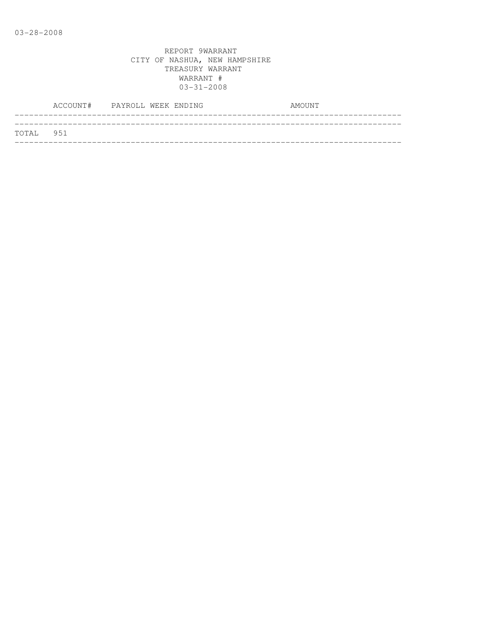|           | ACCOUNT# PAYROLL WEEK ENDING |  |  |  | AMOUNT |
|-----------|------------------------------|--|--|--|--------|
|           |                              |  |  |  |        |
| TOTAL 951 |                              |  |  |  |        |
|           |                              |  |  |  |        |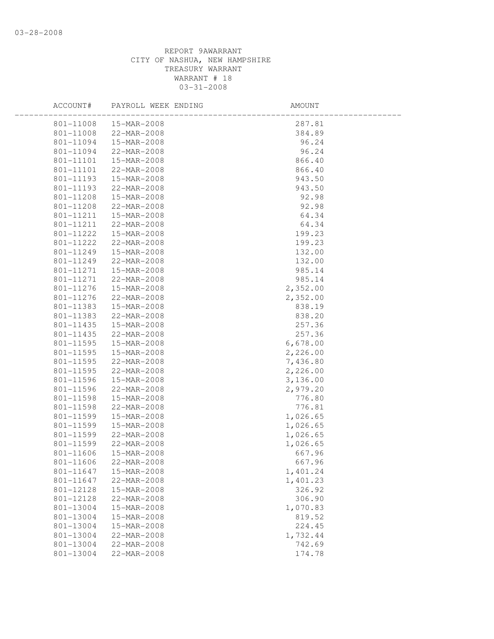| ACCOUNT#  | PAYROLL WEEK ENDING | AMOUNT   |  |
|-----------|---------------------|----------|--|
| 801-11008 | 15-MAR-2008         | 287.81   |  |
| 801-11008 | 22-MAR-2008         | 384.89   |  |
| 801-11094 | 15-MAR-2008         | 96.24    |  |
| 801-11094 | 22-MAR-2008         | 96.24    |  |
| 801-11101 | 15-MAR-2008         | 866.40   |  |
| 801-11101 | 22-MAR-2008         | 866.40   |  |
| 801-11193 | 15-MAR-2008         | 943.50   |  |
| 801-11193 | 22-MAR-2008         | 943.50   |  |
| 801-11208 | 15-MAR-2008         | 92.98    |  |
| 801-11208 | 22-MAR-2008         | 92.98    |  |
| 801-11211 | 15-MAR-2008         | 64.34    |  |
| 801-11211 | 22-MAR-2008         | 64.34    |  |
| 801-11222 | 15-MAR-2008         | 199.23   |  |
| 801-11222 | 22-MAR-2008         | 199.23   |  |
| 801-11249 | 15-MAR-2008         | 132.00   |  |
| 801-11249 | 22-MAR-2008         | 132.00   |  |
| 801-11271 | 15-MAR-2008         | 985.14   |  |
| 801-11271 | 22-MAR-2008         | 985.14   |  |
| 801-11276 | 15-MAR-2008         | 2,352.00 |  |
| 801-11276 | 22-MAR-2008         | 2,352.00 |  |
| 801-11383 | 15-MAR-2008         | 838.19   |  |
| 801-11383 | 22-MAR-2008         | 838.20   |  |
| 801-11435 | 15-MAR-2008         | 257.36   |  |
| 801-11435 | 22-MAR-2008         | 257.36   |  |
| 801-11595 | 15-MAR-2008         | 6,678.00 |  |
| 801-11595 | 15-MAR-2008         | 2,226.00 |  |
| 801-11595 | 22-MAR-2008         | 7,436.80 |  |
| 801-11595 | 22-MAR-2008         | 2,226.00 |  |
| 801-11596 | 15-MAR-2008         | 3,136.00 |  |
| 801-11596 | 22-MAR-2008         | 2,979.20 |  |
| 801-11598 | 15-MAR-2008         | 776.80   |  |
| 801-11598 | 22-MAR-2008         | 776.81   |  |
| 801-11599 | 15-MAR-2008         | 1,026.65 |  |
| 801-11599 | 15-MAR-2008         | 1,026.65 |  |
| 801-11599 | 22-MAR-2008         | 1,026.65 |  |
| 801-11599 | 22-MAR-2008         | 1,026.65 |  |
| 801-11606 | 15-MAR-2008         | 667.96   |  |
| 801-11606 | 22-MAR-2008         | 667.96   |  |
| 801-11647 | 15-MAR-2008         | 1,401.24 |  |
| 801-11647 | 22-MAR-2008         | 1,401.23 |  |
| 801-12128 | 15-MAR-2008         | 326.92   |  |
| 801-12128 | 22-MAR-2008         | 306.90   |  |
| 801-13004 | 15-MAR-2008         | 1,070.83 |  |
| 801-13004 | 15-MAR-2008         | 819.52   |  |
| 801-13004 | 15-MAR-2008         | 224.45   |  |
| 801-13004 | 22-MAR-2008         | 1,732.44 |  |
| 801-13004 | 22-MAR-2008         | 742.69   |  |
| 801-13004 | 22-MAR-2008         | 174.78   |  |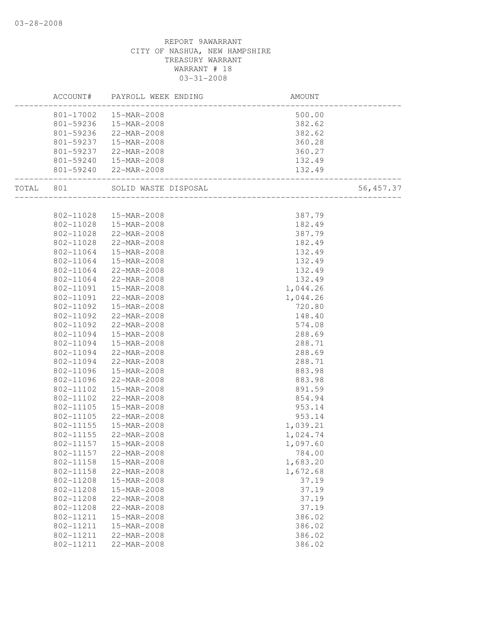|       | ACCOUNT#  | PAYROLL WEEK ENDING      | AMOUNT                  |            |
|-------|-----------|--------------------------|-------------------------|------------|
|       | 801-17002 | 15-MAR-2008              | 500.00                  |            |
|       | 801-59236 | 15-MAR-2008              | 382.62                  |            |
|       | 801-59236 | 22-MAR-2008              | 382.62                  |            |
|       | 801-59237 | 15-MAR-2008              | 360.28                  |            |
|       | 801-59237 | 22-MAR-2008              | 360.27                  |            |
|       | 801-59240 | 15-MAR-2008              | 132.49                  |            |
|       | 801-59240 | 22-MAR-2008              | 132.49<br>___________   |            |
| TOTAL | 801       | SOLID WASTE DISPOSAL     | _______________________ | 56, 457.37 |
|       |           |                          |                         |            |
|       | 802-11028 | 15-MAR-2008              | 387.79                  |            |
|       | 802-11028 | 15-MAR-2008              | 182.49                  |            |
|       | 802-11028 | $22-MAR - 2008$          | 387.79                  |            |
|       | 802-11028 | 22-MAR-2008              | 182.49                  |            |
|       | 802-11064 | 15-MAR-2008              | 132.49                  |            |
|       | 802-11064 | 15-MAR-2008              | 132.49                  |            |
|       | 802-11064 | 22-MAR-2008              | 132.49                  |            |
|       | 802-11064 | 22-MAR-2008              | 132.49                  |            |
|       | 802-11091 | 15-MAR-2008              | 1,044.26                |            |
|       | 802-11091 | 22-MAR-2008              | 1,044.26                |            |
|       | 802-11092 | 15-MAR-2008              | 720.80                  |            |
|       | 802-11092 | 22-MAR-2008              | 148.40                  |            |
|       | 802-11092 | 22-MAR-2008              | 574.08                  |            |
|       | 802-11094 | 15-MAR-2008              | 288.69                  |            |
|       | 802-11094 | 15-MAR-2008              | 288.71                  |            |
|       | 802-11094 | 22-MAR-2008              | 288.69                  |            |
|       | 802-11094 | 22-MAR-2008              | 288.71                  |            |
|       | 802-11096 | 15-MAR-2008              | 883.98                  |            |
|       | 802-11096 | 22-MAR-2008              | 883.98                  |            |
|       | 802-11102 | 15-MAR-2008              | 891.59                  |            |
|       | 802-11102 | $22 - \text{MAR} - 2008$ | 854.94                  |            |
|       | 802-11105 | 15-MAR-2008              | 953.14                  |            |
|       | 802-11105 | 22-MAR-2008              | 953.14                  |            |
|       | 802-11155 | 15-MAR-2008              | 1,039.21                |            |
|       | 802-11155 | 22-MAR-2008              | 1,024.74                |            |
|       | 802-11157 | 15-MAR-2008              | 1,097.60                |            |
|       | 802-11157 | 22-MAR-2008              | 784.00                  |            |
|       | 802-11158 | 15-MAR-2008              | 1,683.20                |            |
|       | 802-11158 | 22-MAR-2008              | 1,672.68                |            |
|       | 802-11208 | 15-MAR-2008              | 37.19                   |            |
|       | 802-11208 | 15-MAR-2008              | 37.19                   |            |
|       | 802-11208 | 22-MAR-2008              | 37.19                   |            |
|       | 802-11208 | 22-MAR-2008              | 37.19                   |            |
|       | 802-11211 | 15-MAR-2008              | 386.02                  |            |
|       | 802-11211 | 15-MAR-2008              | 386.02                  |            |
|       | 802-11211 | 22-MAR-2008              | 386.02                  |            |
|       | 802-11211 | 22-MAR-2008              | 386.02                  |            |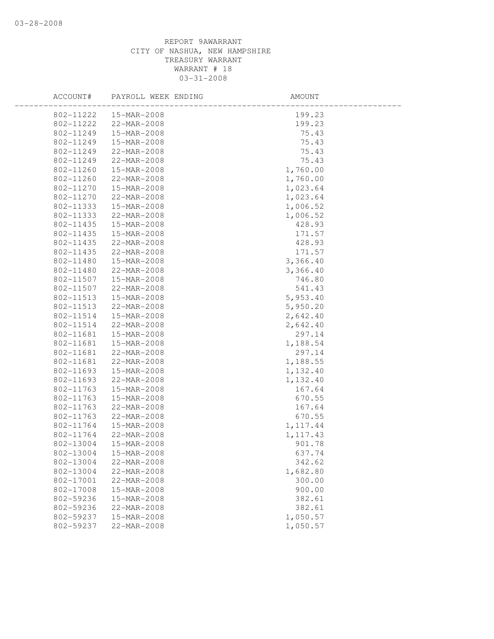| ACCOUNT#  | PAYROLL WEEK ENDING | AMOUNT    |  |
|-----------|---------------------|-----------|--|
| 802-11222 | 15-MAR-2008         | 199.23    |  |
| 802-11222 | 22-MAR-2008         | 199.23    |  |
| 802-11249 | 15-MAR-2008         | 75.43     |  |
| 802-11249 | 15-MAR-2008         | 75.43     |  |
| 802-11249 | 22-MAR-2008         | 75.43     |  |
| 802-11249 | 22-MAR-2008         | 75.43     |  |
| 802-11260 | 15-MAR-2008         | 1,760.00  |  |
| 802-11260 | 22-MAR-2008         | 1,760.00  |  |
| 802-11270 | 15-MAR-2008         | 1,023.64  |  |
| 802-11270 | 22-MAR-2008         | 1,023.64  |  |
| 802-11333 | 15-MAR-2008         | 1,006.52  |  |
| 802-11333 | 22-MAR-2008         | 1,006.52  |  |
| 802-11435 | 15-MAR-2008         | 428.93    |  |
| 802-11435 | 15-MAR-2008         | 171.57    |  |
| 802-11435 | 22-MAR-2008         | 428.93    |  |
| 802-11435 | 22-MAR-2008         | 171.57    |  |
| 802-11480 | 15-MAR-2008         | 3,366.40  |  |
| 802-11480 | 22-MAR-2008         | 3,366.40  |  |
| 802-11507 | 15-MAR-2008         | 746.80    |  |
| 802-11507 | 22-MAR-2008         | 541.43    |  |
| 802-11513 | 15-MAR-2008         | 5,953.40  |  |
| 802-11513 | 22-MAR-2008         | 5,950.20  |  |
| 802-11514 | 15-MAR-2008         | 2,642.40  |  |
| 802-11514 | 22-MAR-2008         | 2,642.40  |  |
| 802-11681 | 15-MAR-2008         | 297.14    |  |
| 802-11681 | 15-MAR-2008         | 1,188.54  |  |
| 802-11681 | 22-MAR-2008         | 297.14    |  |
| 802-11681 | 22-MAR-2008         | 1,188.55  |  |
| 802-11693 | 15-MAR-2008         | 1,132.40  |  |
| 802-11693 | 22-MAR-2008         | 1,132.40  |  |
| 802-11763 | 15-MAR-2008         | 167.64    |  |
| 802-11763 | 15-MAR-2008         | 670.55    |  |
| 802-11763 | 22-MAR-2008         | 167.64    |  |
| 802-11763 | 22-MAR-2008         | 670.55    |  |
| 802-11764 | 15-MAR-2008         | 1, 117.44 |  |
| 802-11764 | 22-MAR-2008         | 1, 117.43 |  |
| 802-13004 | 15-MAR-2008         | 901.78    |  |
| 802-13004 | 15-MAR-2008         | 637.74    |  |
| 802-13004 | 22-MAR-2008         | 342.62    |  |
| 802-13004 | 22-MAR-2008         | 1,682.80  |  |
| 802-17001 | 22-MAR-2008         | 300.00    |  |
| 802-17008 | 15-MAR-2008         | 900.00    |  |
| 802-59236 | 15-MAR-2008         | 382.61    |  |
| 802-59236 | 22-MAR-2008         | 382.61    |  |
| 802-59237 | 15-MAR-2008         | 1,050.57  |  |
| 802-59237 | 22-MAR-2008         | 1,050.57  |  |
|           |                     |           |  |